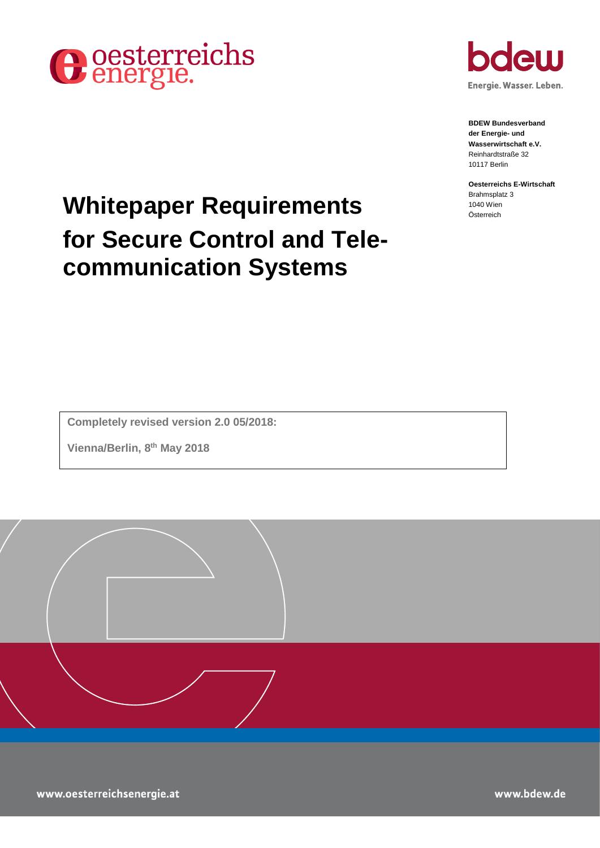



**BDEW Bundesverband der Energie- und Wasserwirtschaft e.V.** Reinhardtstraße 32 10117 Berlin

**Oesterreichs E-Wirtschaft** Brahmsplatz 3<br>1040 Wien

# **Whitepaper Requirements for Secure Control and Telecommunication Systems**

**Completely revised version 2.0 05/2018:**

**Vienna/Berlin, 8 th May 2018**

www.oesterreichsenergie.at

www.bdew.de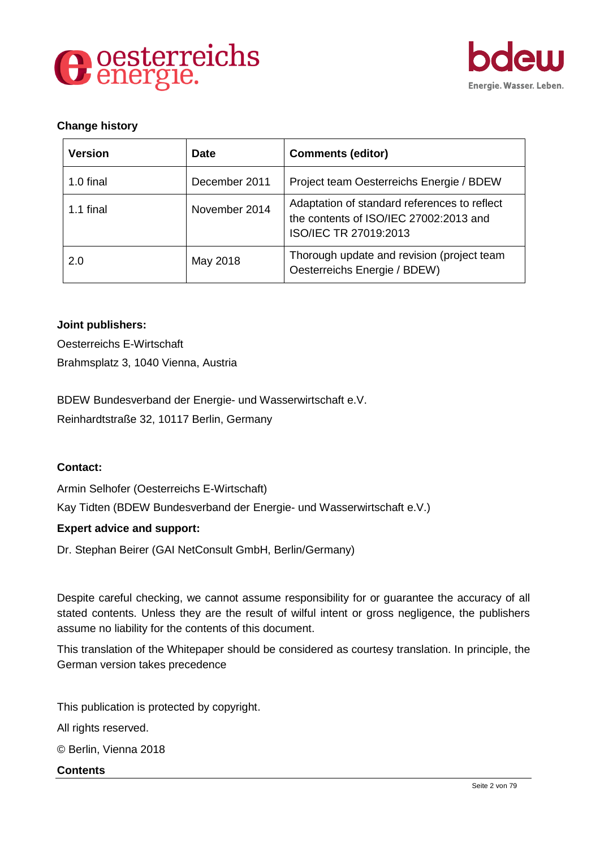



# **Change history**

| <b>Version</b> | <b>Date</b>   | <b>Comments (editor)</b>                                                                                        |
|----------------|---------------|-----------------------------------------------------------------------------------------------------------------|
| 1.0 final      | December 2011 | Project team Oesterreichs Energie / BDEW                                                                        |
| 1.1 final      | November 2014 | Adaptation of standard references to reflect<br>the contents of ISO/IEC 27002:2013 and<br>ISO/IEC TR 27019:2013 |
| 2.0            | May 2018      | Thorough update and revision (project team<br>Oesterreichs Energie / BDEW)                                      |

#### **Joint publishers:**

Oesterreichs E-Wirtschaft Brahmsplatz 3, 1040 Vienna, Austria

BDEW Bundesverband der Energie- und Wasserwirtschaft e.V. Reinhardtstraße 32, 10117 Berlin, Germany

#### **Contact:**

Armin Selhofer (Oesterreichs E-Wirtschaft) Kay Tidten (BDEW Bundesverband der Energie- und Wasserwirtschaft e.V.)

#### **Expert advice and support:**

Dr. Stephan Beirer (GAI NetConsult GmbH, Berlin/Germany)

Despite careful checking, we cannot assume responsibility for or guarantee the accuracy of all stated contents. Unless they are the result of wilful intent or gross negligence, the publishers assume no liability for the contents of this document.

This translation of the Whitepaper should be considered as courtesy translation. In principle, the German version takes precedence

This publication is protected by copyright. All rights reserved. © Berlin, Vienna 2018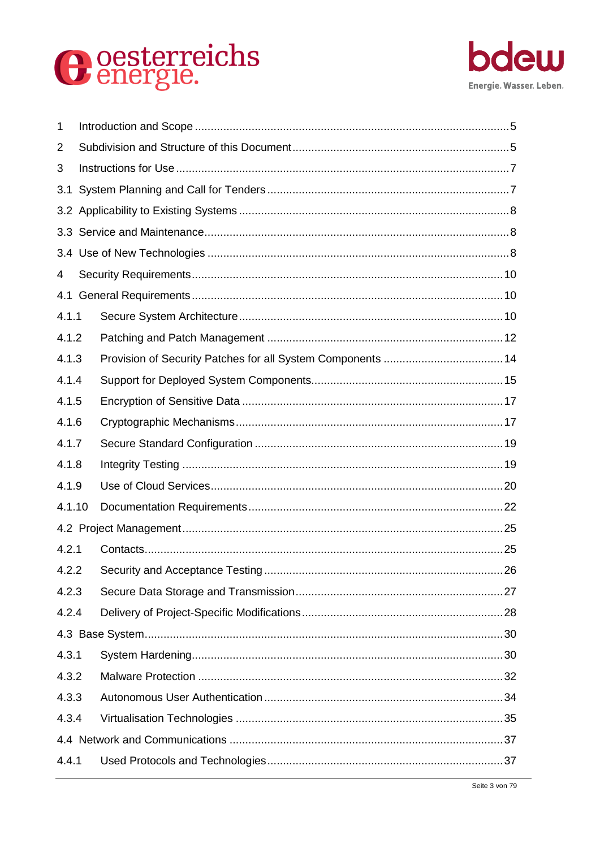# O oesterreichs



| 1      |       |  |  |  |
|--------|-------|--|--|--|
| 2      |       |  |  |  |
| 3      |       |  |  |  |
| 3.1    |       |  |  |  |
|        |       |  |  |  |
|        |       |  |  |  |
|        |       |  |  |  |
| 4      |       |  |  |  |
|        |       |  |  |  |
| 4.1.1  |       |  |  |  |
| 4.1.2  |       |  |  |  |
| 4.1.3  |       |  |  |  |
| 4.1.4  |       |  |  |  |
| 4.1.5  |       |  |  |  |
| 4.1.6  |       |  |  |  |
| 4.1.7  |       |  |  |  |
| 4.1.8  |       |  |  |  |
| 4.1.9  |       |  |  |  |
| 4.1.10 |       |  |  |  |
|        |       |  |  |  |
| 4.2.1  |       |  |  |  |
| 4.2.2  |       |  |  |  |
| 4.2.3  |       |  |  |  |
|        | 4.2.4 |  |  |  |
|        |       |  |  |  |
| 4.3.1  |       |  |  |  |
| 4.3.2  |       |  |  |  |
|        | 4.3.3 |  |  |  |
|        | 4.3.4 |  |  |  |
|        |       |  |  |  |
| 4.4.1  |       |  |  |  |
|        |       |  |  |  |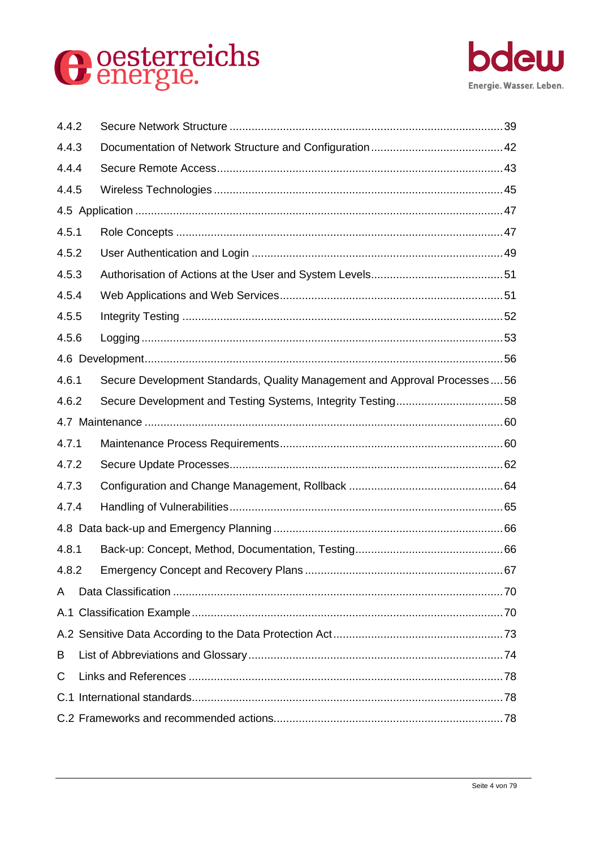



| 4.4.2 |       |                                                                           |  |  |
|-------|-------|---------------------------------------------------------------------------|--|--|
|       | 4.4.3 |                                                                           |  |  |
| 4.4.4 |       |                                                                           |  |  |
| 4.4.5 |       |                                                                           |  |  |
|       |       |                                                                           |  |  |
| 4.5.1 |       |                                                                           |  |  |
| 4.5.2 |       |                                                                           |  |  |
| 4.5.3 |       |                                                                           |  |  |
| 4.5.4 |       |                                                                           |  |  |
| 4.5.5 |       |                                                                           |  |  |
| 4.5.6 |       |                                                                           |  |  |
|       |       |                                                                           |  |  |
| 4.6.1 |       | Secure Development Standards, Quality Management and Approval Processes56 |  |  |
| 4.6.2 |       | Secure Development and Testing Systems, Integrity Testing58               |  |  |
|       |       |                                                                           |  |  |
| 4.7.1 |       |                                                                           |  |  |
| 4.7.2 |       |                                                                           |  |  |
| 4.7.3 |       |                                                                           |  |  |
| 4.7.4 |       |                                                                           |  |  |
|       |       |                                                                           |  |  |
| 4.8.1 |       |                                                                           |  |  |
| 4.8.2 |       |                                                                           |  |  |
| A     |       |                                                                           |  |  |
|       |       |                                                                           |  |  |
|       |       |                                                                           |  |  |
| B     |       |                                                                           |  |  |
| С     |       |                                                                           |  |  |
|       |       |                                                                           |  |  |
|       |       |                                                                           |  |  |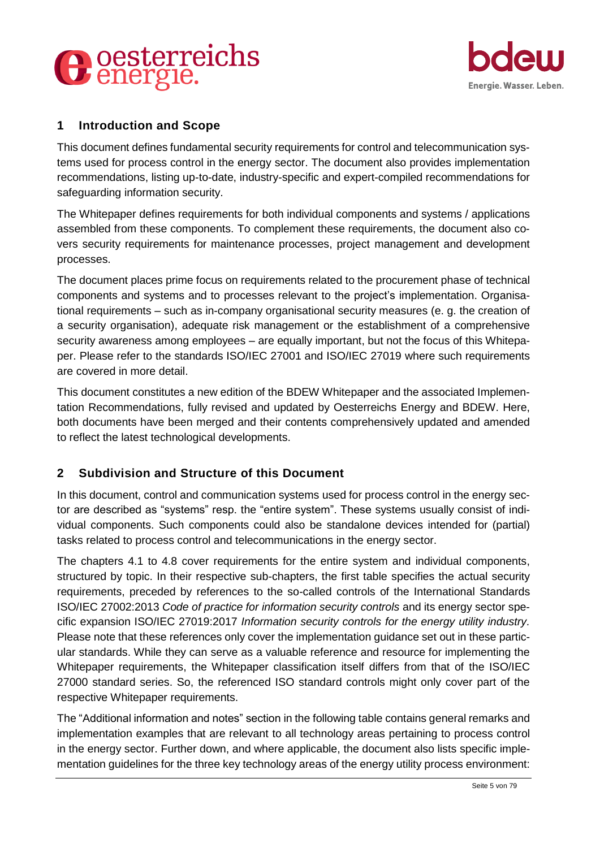



# <span id="page-4-0"></span>**1 Introduction and Scope**

This document defines fundamental security requirements for control and telecommunication systems used for process control in the energy sector. The document also provides implementation recommendations, listing up-to-date, industry-specific and expert-compiled recommendations for safeguarding information security.

The Whitepaper defines requirements for both individual components and systems / applications assembled from these components. To complement these requirements, the document also covers security requirements for maintenance processes, project management and development processes.

The document places prime focus on requirements related to the procurement phase of technical components and systems and to processes relevant to the project's implementation. Organisational requirements – such as in-company organisational security measures (e. g. the creation of a security organisation), adequate risk management or the establishment of a comprehensive security awareness among employees – are equally important, but not the focus of this Whitepaper. Please refer to the standards ISO/IEC 27001 and ISO/IEC 27019 where such requirements are covered in more detail.

This document constitutes a new edition of the BDEW Whitepaper and the associated Implementation Recommendations, fully revised and updated by Oesterreichs Energy and BDEW. Here, both documents have been merged and their contents comprehensively updated and amended to reflect the latest technological developments.

# <span id="page-4-1"></span>**2 Subdivision and Structure of this Document**

In this document, control and communication systems used for process control in the energy sector are described as "systems" resp. the "entire system". These systems usually consist of individual components. Such components could also be standalone devices intended for (partial) tasks related to process control and telecommunications in the energy sector.

The chapters 4.1 to 4.8 cover requirements for the entire system and individual components, structured by topic. In their respective sub-chapters, the first table specifies the actual security requirements, preceded by references to the so-called controls of the International Standards ISO/IEC 27002:2013 *Code of practice for information security controls* and its energy sector specific expansion ISO/IEC 27019:2017 *Information security controls for the energy utility industry.*  Please note that these references only cover the implementation guidance set out in these particular standards. While they can serve as a valuable reference and resource for implementing the Whitepaper requirements, the Whitepaper classification itself differs from that of the ISO/IEC 27000 standard series. So, the referenced ISO standard controls might only cover part of the respective Whitepaper requirements.

The "Additional information and notes" section in the following table contains general remarks and implementation examples that are relevant to all technology areas pertaining to process control in the energy sector. Further down, and where applicable, the document also lists specific implementation guidelines for the three key technology areas of the energy utility process environment: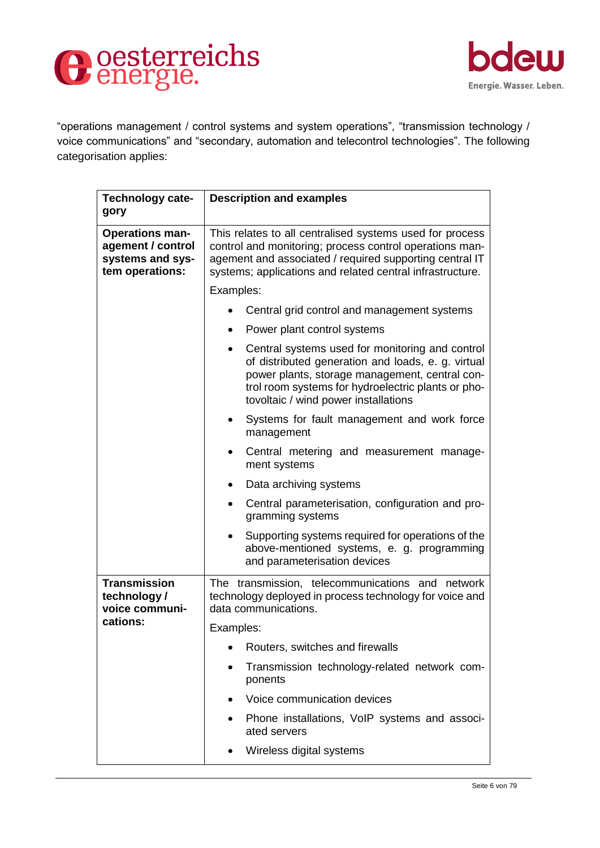



"operations management / control systems and system operations", "transmission technology / voice communications" and "secondary, automation and telecontrol technologies". The following categorisation applies:

| Technology cate-<br>gory                                                           | <b>Description and examples</b>                                                                                                                                                                                                                                    |  |
|------------------------------------------------------------------------------------|--------------------------------------------------------------------------------------------------------------------------------------------------------------------------------------------------------------------------------------------------------------------|--|
| <b>Operations man-</b><br>agement / control<br>systems and sys-<br>tem operations: | This relates to all centralised systems used for process<br>control and monitoring; process control operations man-<br>agement and associated / required supporting central IT<br>systems; applications and related central infrastructure.                        |  |
|                                                                                    | Examples:                                                                                                                                                                                                                                                          |  |
|                                                                                    | Central grid control and management systems                                                                                                                                                                                                                        |  |
|                                                                                    | Power plant control systems<br>$\bullet$                                                                                                                                                                                                                           |  |
|                                                                                    | Central systems used for monitoring and control<br>$\bullet$<br>of distributed generation and loads, e. g. virtual<br>power plants, storage management, central con-<br>trol room systems for hydroelectric plants or pho-<br>tovoltaic / wind power installations |  |
|                                                                                    | Systems for fault management and work force<br>management                                                                                                                                                                                                          |  |
|                                                                                    | Central metering and measurement manage-<br>$\bullet$<br>ment systems                                                                                                                                                                                              |  |
|                                                                                    | Data archiving systems<br>$\bullet$                                                                                                                                                                                                                                |  |
|                                                                                    | Central parameterisation, configuration and pro-<br>gramming systems                                                                                                                                                                                               |  |
|                                                                                    | Supporting systems required for operations of the<br>above-mentioned systems, e. g. programming<br>and parameterisation devices                                                                                                                                    |  |
| <b>Transmission</b><br>technology/<br>voice communi-                               | The transmission, telecommunications and network<br>technology deployed in process technology for voice and<br>data communications.                                                                                                                                |  |
| cations:                                                                           | Examples:                                                                                                                                                                                                                                                          |  |
|                                                                                    | Routers, switches and firewalls                                                                                                                                                                                                                                    |  |
|                                                                                    | Transmission technology-related network com-<br>ponents                                                                                                                                                                                                            |  |
|                                                                                    | Voice communication devices                                                                                                                                                                                                                                        |  |
|                                                                                    | Phone installations, VoIP systems and associ-<br>ated servers                                                                                                                                                                                                      |  |
|                                                                                    | Wireless digital systems                                                                                                                                                                                                                                           |  |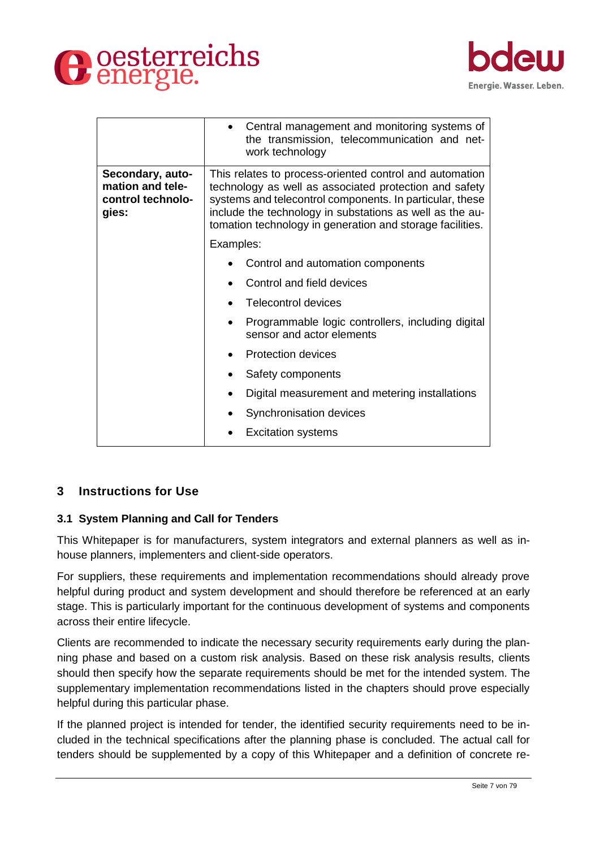



|                                                                    | Central management and monitoring systems of<br>the transmission, telecommunication and net-<br>work technology                                                                                                                                                                                        |  |
|--------------------------------------------------------------------|--------------------------------------------------------------------------------------------------------------------------------------------------------------------------------------------------------------------------------------------------------------------------------------------------------|--|
| Secondary, auto-<br>mation and tele-<br>control technolo-<br>gies: | This relates to process-oriented control and automation<br>technology as well as associated protection and safety<br>systems and telecontrol components. In particular, these<br>include the technology in substations as well as the au-<br>tomation technology in generation and storage facilities. |  |
|                                                                    | Examples:                                                                                                                                                                                                                                                                                              |  |
|                                                                    | Control and automation components                                                                                                                                                                                                                                                                      |  |
|                                                                    | Control and field devices                                                                                                                                                                                                                                                                              |  |
|                                                                    | Telecontrol devices                                                                                                                                                                                                                                                                                    |  |
|                                                                    | Programmable logic controllers, including digital<br>sensor and actor elements                                                                                                                                                                                                                         |  |
|                                                                    | Protection devices                                                                                                                                                                                                                                                                                     |  |
|                                                                    | Safety components                                                                                                                                                                                                                                                                                      |  |
|                                                                    | Digital measurement and metering installations                                                                                                                                                                                                                                                         |  |
|                                                                    | Synchronisation devices                                                                                                                                                                                                                                                                                |  |
|                                                                    | <b>Excitation systems</b>                                                                                                                                                                                                                                                                              |  |

# <span id="page-6-0"></span>**3 Instructions for Use**

#### <span id="page-6-1"></span>**3.1 System Planning and Call for Tenders**

This Whitepaper is for manufacturers, system integrators and external planners as well as inhouse planners, implementers and client-side operators.

For suppliers, these requirements and implementation recommendations should already prove helpful during product and system development and should therefore be referenced at an early stage. This is particularly important for the continuous development of systems and components across their entire lifecycle.

Clients are recommended to indicate the necessary security requirements early during the planning phase and based on a custom risk analysis. Based on these risk analysis results, clients should then specify how the separate requirements should be met for the intended system. The supplementary implementation recommendations listed in the chapters should prove especially helpful during this particular phase.

If the planned project is intended for tender, the identified security requirements need to be included in the technical specifications after the planning phase is concluded. The actual call for tenders should be supplemented by a copy of this Whitepaper and a definition of concrete re-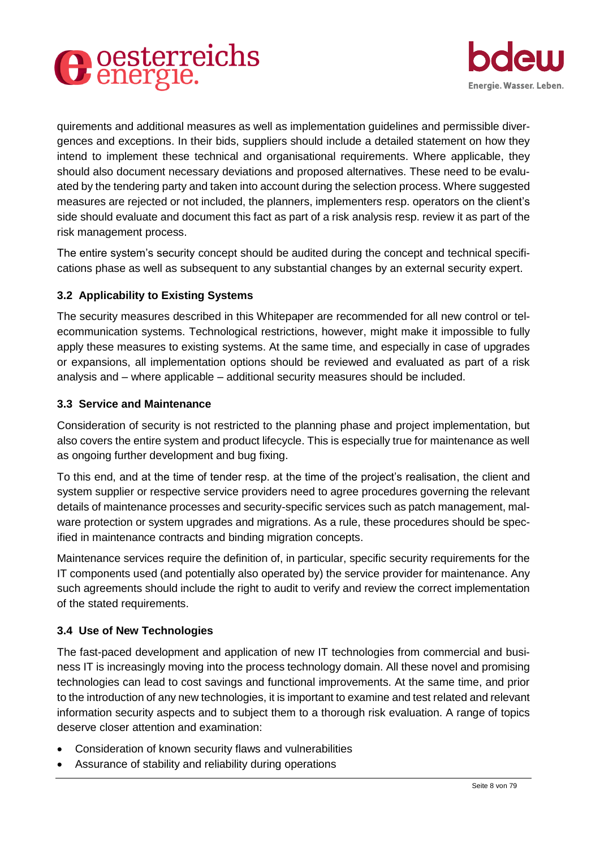



quirements and additional measures as well as implementation guidelines and permissible divergences and exceptions. In their bids, suppliers should include a detailed statement on how they intend to implement these technical and organisational requirements. Where applicable, they should also document necessary deviations and proposed alternatives. These need to be evaluated by the tendering party and taken into account during the selection process. Where suggested measures are rejected or not included, the planners, implementers resp. operators on the client's side should evaluate and document this fact as part of a risk analysis resp. review it as part of the risk management process.

The entire system's security concept should be audited during the concept and technical specifications phase as well as subsequent to any substantial changes by an external security expert.

# <span id="page-7-0"></span>**3.2 Applicability to Existing Systems**

The security measures described in this Whitepaper are recommended for all new control or telecommunication systems. Technological restrictions, however, might make it impossible to fully apply these measures to existing systems. At the same time, and especially in case of upgrades or expansions, all implementation options should be reviewed and evaluated as part of a risk analysis and – where applicable – additional security measures should be included.

#### <span id="page-7-1"></span>**3.3 Service and Maintenance**

Consideration of security is not restricted to the planning phase and project implementation, but also covers the entire system and product lifecycle. This is especially true for maintenance as well as ongoing further development and bug fixing.

To this end, and at the time of tender resp. at the time of the project's realisation, the client and system supplier or respective service providers need to agree procedures governing the relevant details of maintenance processes and security-specific services such as patch management, malware protection or system upgrades and migrations. As a rule, these procedures should be specified in maintenance contracts and binding migration concepts.

Maintenance services require the definition of, in particular, specific security requirements for the IT components used (and potentially also operated by) the service provider for maintenance. Any such agreements should include the right to audit to verify and review the correct implementation of the stated requirements.

#### <span id="page-7-2"></span>**3.4 Use of New Technologies**

The fast-paced development and application of new IT technologies from commercial and business IT is increasingly moving into the process technology domain. All these novel and promising technologies can lead to cost savings and functional improvements. At the same time, and prior to the introduction of any new technologies, it is important to examine and test related and relevant information security aspects and to subject them to a thorough risk evaluation. A range of topics deserve closer attention and examination:

- Consideration of known security flaws and vulnerabilities
- Assurance of stability and reliability during operations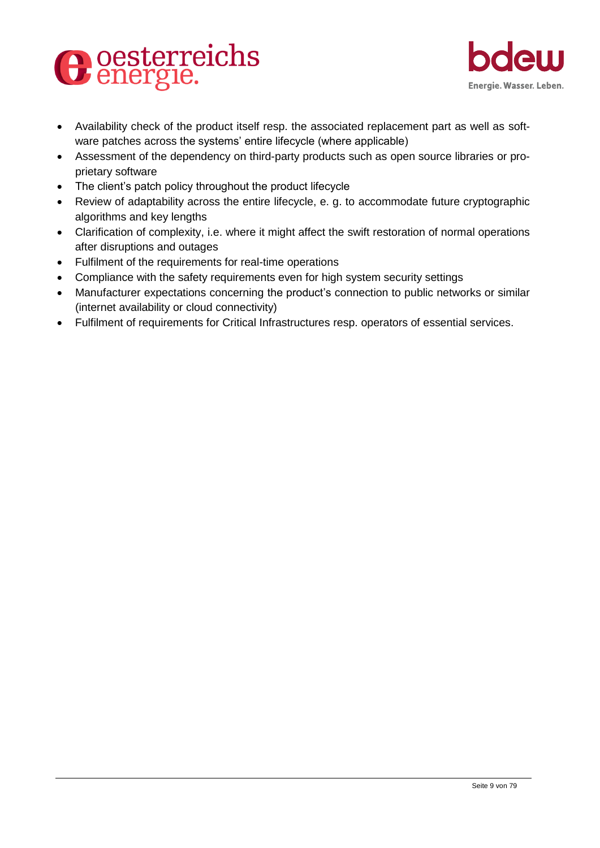



- Availability check of the product itself resp. the associated replacement part as well as software patches across the systems' entire lifecycle (where applicable)
- Assessment of the dependency on third-party products such as open source libraries or proprietary software
- The client's patch policy throughout the product lifecycle
- Review of adaptability across the entire lifecycle, e. g. to accommodate future cryptographic algorithms and key lengths
- Clarification of complexity, i.e. where it might affect the swift restoration of normal operations after disruptions and outages
- Fulfilment of the requirements for real-time operations
- Compliance with the safety requirements even for high system security settings
- Manufacturer expectations concerning the product's connection to public networks or similar (internet availability or cloud connectivity)
- Fulfilment of requirements for Critical Infrastructures resp. operators of essential services.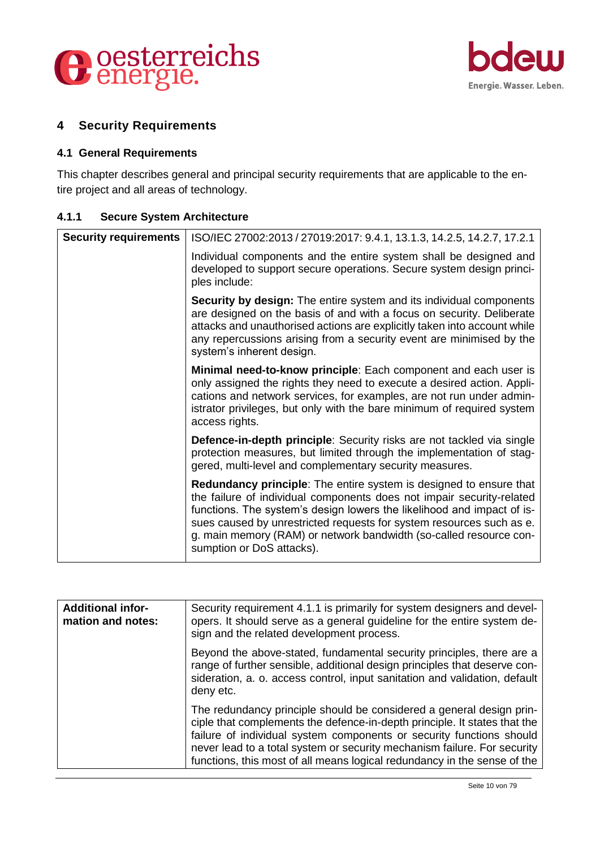



# <span id="page-9-0"></span>**4 Security Requirements**

#### <span id="page-9-1"></span>**4.1 General Requirements**

This chapter describes general and principal security requirements that are applicable to the entire project and all areas of technology.

<span id="page-9-2"></span>

| <b>Secure System Architecture</b><br>4.1.1 |  |
|--------------------------------------------|--|
|--------------------------------------------|--|

| <b>Security requirements</b> | ISO/IEC 27002:2013 / 27019:2017: 9.4.1, 13.1.3, 14.2.5, 14.2.7, 17.2.1                                                                                                                                                                                                                                                                                                                                  |
|------------------------------|---------------------------------------------------------------------------------------------------------------------------------------------------------------------------------------------------------------------------------------------------------------------------------------------------------------------------------------------------------------------------------------------------------|
|                              | Individual components and the entire system shall be designed and<br>developed to support secure operations. Secure system design princi-<br>ples include:                                                                                                                                                                                                                                              |
|                              | <b>Security by design:</b> The entire system and its individual components<br>are designed on the basis of and with a focus on security. Deliberate<br>attacks and unauthorised actions are explicitly taken into account while<br>any repercussions arising from a security event are minimised by the<br>system's inherent design.                                                                    |
|                              | Minimal need-to-know principle: Each component and each user is<br>only assigned the rights they need to execute a desired action. Appli-<br>cations and network services, for examples, are not run under admin-<br>istrator privileges, but only with the bare minimum of required system<br>access rights.                                                                                           |
|                              | <b>Defence-in-depth principle:</b> Security risks are not tackled via single<br>protection measures, but limited through the implementation of stag-<br>gered, multi-level and complementary security measures.                                                                                                                                                                                         |
|                              | <b>Redundancy principle:</b> The entire system is designed to ensure that<br>the failure of individual components does not impair security-related<br>functions. The system's design lowers the likelihood and impact of is-<br>sues caused by unrestricted requests for system resources such as e.<br>g. main memory (RAM) or network bandwidth (so-called resource con-<br>sumption or DoS attacks). |

| <b>Additional infor-</b><br>mation and notes: | Security requirement 4.1.1 is primarily for system designers and devel-<br>opers. It should serve as a general guideline for the entire system de-<br>sign and the related development process.                                                                                                                                                                                   |
|-----------------------------------------------|-----------------------------------------------------------------------------------------------------------------------------------------------------------------------------------------------------------------------------------------------------------------------------------------------------------------------------------------------------------------------------------|
|                                               | Beyond the above-stated, fundamental security principles, there are a<br>range of further sensible, additional design principles that deserve con-<br>sideration, a. o. access control, input sanitation and validation, default<br>deny etc.                                                                                                                                     |
|                                               | The redundancy principle should be considered a general design prin-<br>ciple that complements the defence-in-depth principle. It states that the<br>failure of individual system components or security functions should<br>never lead to a total system or security mechanism failure. For security<br>functions, this most of all means logical redundancy in the sense of the |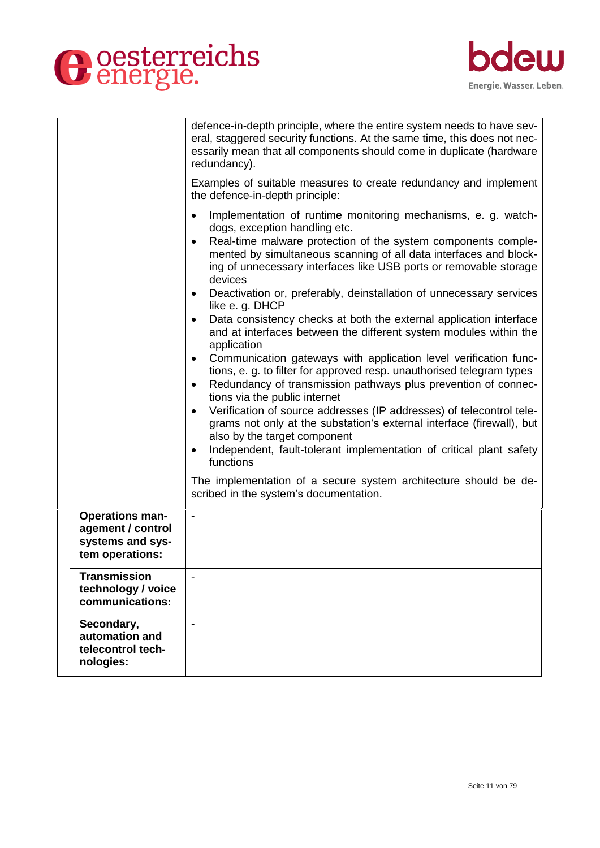



|                                                                                    | defence-in-depth principle, where the entire system needs to have sev-<br>eral, staggered security functions. At the same time, this does not nec-<br>essarily mean that all components should come in duplicate (hardware<br>redundancy).                                                                                                                                                                                               |
|------------------------------------------------------------------------------------|------------------------------------------------------------------------------------------------------------------------------------------------------------------------------------------------------------------------------------------------------------------------------------------------------------------------------------------------------------------------------------------------------------------------------------------|
|                                                                                    | Examples of suitable measures to create redundancy and implement<br>the defence-in-depth principle:                                                                                                                                                                                                                                                                                                                                      |
|                                                                                    | Implementation of runtime monitoring mechanisms, e. g. watch-<br>dogs, exception handling etc.<br>Real-time malware protection of the system components comple-<br>$\bullet$<br>mented by simultaneous scanning of all data interfaces and block-<br>ing of unnecessary interfaces like USB ports or removable storage<br>devices<br>Deactivation or, preferably, deinstallation of unnecessary services<br>$\bullet$<br>like e. g. DHCP |
|                                                                                    | Data consistency checks at both the external application interface<br>$\bullet$<br>and at interfaces between the different system modules within the<br>application                                                                                                                                                                                                                                                                      |
|                                                                                    | Communication gateways with application level verification func-<br>$\bullet$<br>tions, e. g. to filter for approved resp. unauthorised telegram types<br>Redundancy of transmission pathways plus prevention of connec-<br>٠<br>tions via the public internet                                                                                                                                                                           |
|                                                                                    | Verification of source addresses (IP addresses) of telecontrol tele-<br>grams not only at the substation's external interface (firewall), but<br>also by the target component<br>Independent, fault-tolerant implementation of critical plant safety<br>$\bullet$<br>functions                                                                                                                                                           |
|                                                                                    | The implementation of a secure system architecture should be de-<br>scribed in the system's documentation.                                                                                                                                                                                                                                                                                                                               |
| <b>Operations man-</b><br>agement / control<br>systems and sys-<br>tem operations: |                                                                                                                                                                                                                                                                                                                                                                                                                                          |
| <b>Transmission</b><br>technology / voice<br>communications:                       |                                                                                                                                                                                                                                                                                                                                                                                                                                          |
| Secondary,<br>automation and<br>telecontrol tech-<br>nologies:                     | $\overline{a}$                                                                                                                                                                                                                                                                                                                                                                                                                           |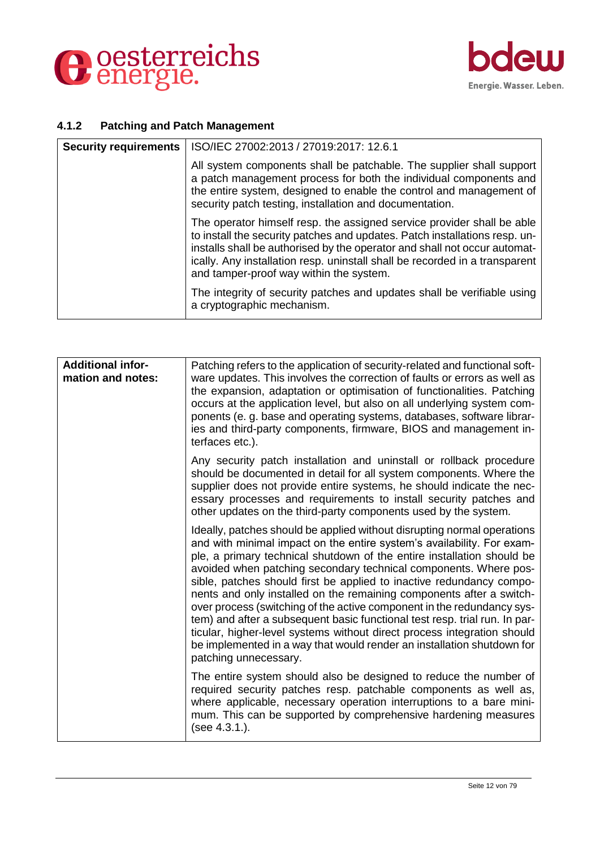



# <span id="page-11-0"></span>**4.1.2 Patching and Patch Management**

| <b>Security requirements</b> | ISO/IEC 27002:2013 / 27019:2017: 12.6.1                                                                                                                                                                                                                                                                                                                     |
|------------------------------|-------------------------------------------------------------------------------------------------------------------------------------------------------------------------------------------------------------------------------------------------------------------------------------------------------------------------------------------------------------|
|                              | All system components shall be patchable. The supplier shall support<br>a patch management process for both the individual components and<br>the entire system, designed to enable the control and management of<br>security patch testing, installation and documentation.                                                                                 |
|                              | The operator himself resp. the assigned service provider shall be able<br>to install the security patches and updates. Patch installations resp. un-<br>installs shall be authorised by the operator and shall not occur automat-<br>ically. Any installation resp. uninstall shall be recorded in a transparent<br>and tamper-proof way within the system. |
|                              | The integrity of security patches and updates shall be verifiable using<br>a cryptographic mechanism.                                                                                                                                                                                                                                                       |

| <b>Additional infor-</b><br>mation and notes: | Patching refers to the application of security-related and functional soft-<br>ware updates. This involves the correction of faults or errors as well as<br>the expansion, adaptation or optimisation of functionalities. Patching<br>occurs at the application level, but also on all underlying system com-<br>ponents (e. g. base and operating systems, databases, software librar-<br>ies and third-party components, firmware, BIOS and management in-<br>terfaces etc.).                                                                                                                                                                                                                                                                                                       |
|-----------------------------------------------|---------------------------------------------------------------------------------------------------------------------------------------------------------------------------------------------------------------------------------------------------------------------------------------------------------------------------------------------------------------------------------------------------------------------------------------------------------------------------------------------------------------------------------------------------------------------------------------------------------------------------------------------------------------------------------------------------------------------------------------------------------------------------------------|
|                                               | Any security patch installation and uninstall or rollback procedure<br>should be documented in detail for all system components. Where the<br>supplier does not provide entire systems, he should indicate the nec-<br>essary processes and requirements to install security patches and<br>other updates on the third-party components used by the system.                                                                                                                                                                                                                                                                                                                                                                                                                           |
|                                               | Ideally, patches should be applied without disrupting normal operations<br>and with minimal impact on the entire system's availability. For exam-<br>ple, a primary technical shutdown of the entire installation should be<br>avoided when patching secondary technical components. Where pos-<br>sible, patches should first be applied to inactive redundancy compo-<br>nents and only installed on the remaining components after a switch-<br>over process (switching of the active component in the redundancy sys-<br>tem) and after a subsequent basic functional test resp. trial run. In par-<br>ticular, higher-level systems without direct process integration should<br>be implemented in a way that would render an installation shutdown for<br>patching unnecessary. |
|                                               | The entire system should also be designed to reduce the number of<br>required security patches resp. patchable components as well as,<br>where applicable, necessary operation interruptions to a bare mini-<br>mum. This can be supported by comprehensive hardening measures<br>(see 4.3.1.).                                                                                                                                                                                                                                                                                                                                                                                                                                                                                       |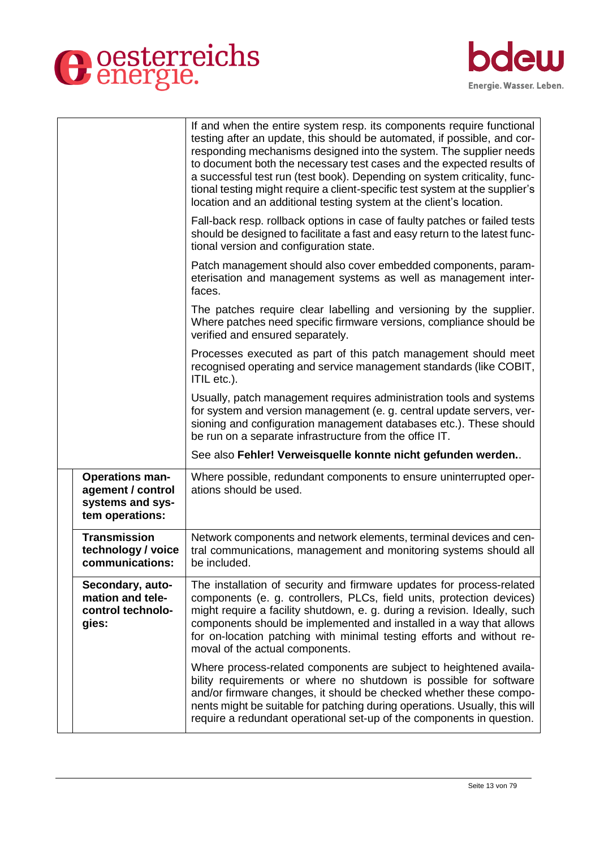



|                                                                                    | If and when the entire system resp. its components require functional<br>testing after an update, this should be automated, if possible, and cor-<br>responding mechanisms designed into the system. The supplier needs<br>to document both the necessary test cases and the expected results of<br>a successful test run (test book). Depending on system criticality, func-<br>tional testing might require a client-specific test system at the supplier's<br>location and an additional testing system at the client's location. |
|------------------------------------------------------------------------------------|--------------------------------------------------------------------------------------------------------------------------------------------------------------------------------------------------------------------------------------------------------------------------------------------------------------------------------------------------------------------------------------------------------------------------------------------------------------------------------------------------------------------------------------|
|                                                                                    | Fall-back resp. rollback options in case of faulty patches or failed tests<br>should be designed to facilitate a fast and easy return to the latest func-<br>tional version and configuration state.                                                                                                                                                                                                                                                                                                                                 |
|                                                                                    | Patch management should also cover embedded components, param-<br>eterisation and management systems as well as management inter-<br>faces.                                                                                                                                                                                                                                                                                                                                                                                          |
|                                                                                    | The patches require clear labelling and versioning by the supplier.<br>Where patches need specific firmware versions, compliance should be<br>verified and ensured separately.                                                                                                                                                                                                                                                                                                                                                       |
|                                                                                    | Processes executed as part of this patch management should meet<br>recognised operating and service management standards (like COBIT,<br>ITIL etc.).                                                                                                                                                                                                                                                                                                                                                                                 |
|                                                                                    | Usually, patch management requires administration tools and systems<br>for system and version management (e. g. central update servers, ver-<br>sioning and configuration management databases etc.). These should<br>be run on a separate infrastructure from the office IT.                                                                                                                                                                                                                                                        |
|                                                                                    | See also Fehler! Verweisquelle konnte nicht gefunden werden                                                                                                                                                                                                                                                                                                                                                                                                                                                                          |
| <b>Operations man-</b><br>agement / control<br>systems and sys-<br>tem operations: | Where possible, redundant components to ensure uninterrupted oper-<br>ations should be used.                                                                                                                                                                                                                                                                                                                                                                                                                                         |
| <b>Transmission</b><br>technology / voice<br>communications:                       | Network components and network elements, terminal devices and cen-<br>tral communications, management and monitoring systems should all<br>be included.                                                                                                                                                                                                                                                                                                                                                                              |
| Secondary, auto-<br>mation and tele-<br>control technolo-<br>gies:                 | The installation of security and firmware updates for process-related<br>components (e. g. controllers, PLCs, field units, protection devices)<br>might require a facility shutdown, e. g. during a revision. Ideally, such<br>components should be implemented and installed in a way that allows<br>for on-location patching with minimal testing efforts and without re-<br>moval of the actual components.                                                                                                                       |
|                                                                                    | Where process-related components are subject to heightened availa-<br>bility requirements or where no shutdown is possible for software<br>and/or firmware changes, it should be checked whether these compo-<br>nents might be suitable for patching during operations. Usually, this will<br>require a redundant operational set-up of the components in question.                                                                                                                                                                 |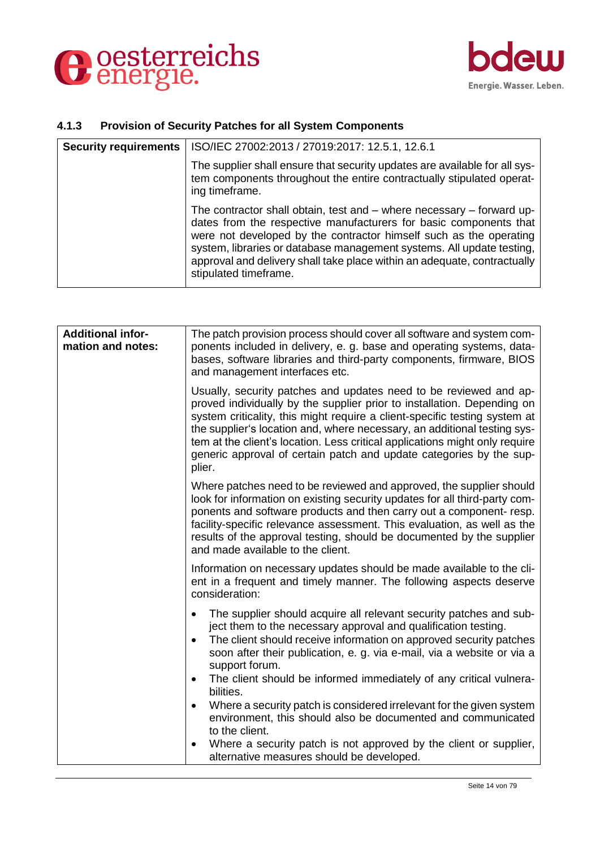



# <span id="page-13-0"></span>**4.1.3 Provision of Security Patches for all System Components**

| <b>Security requirements</b> | ISO/IEC 27002:2013 / 27019:2017: 12.5.1, 12.6.1                                                                                                                                                                                                                                                                                                                                                |
|------------------------------|------------------------------------------------------------------------------------------------------------------------------------------------------------------------------------------------------------------------------------------------------------------------------------------------------------------------------------------------------------------------------------------------|
|                              | The supplier shall ensure that security updates are available for all sys-<br>tem components throughout the entire contractually stipulated operat-<br>ing timeframe.                                                                                                                                                                                                                          |
|                              | The contractor shall obtain, test and – where necessary – forward up-<br>dates from the respective manufacturers for basic components that<br>were not developed by the contractor himself such as the operating<br>system, libraries or database management systems. All update testing,<br>approval and delivery shall take place within an adequate, contractually<br>stipulated timeframe. |

| <b>Additional infor-</b><br>mation and notes: | The patch provision process should cover all software and system com-<br>ponents included in delivery, e. g. base and operating systems, data-<br>bases, software libraries and third-party components, firmware, BIOS<br>and management interfaces etc.                                                                                                                                                                                                               |
|-----------------------------------------------|------------------------------------------------------------------------------------------------------------------------------------------------------------------------------------------------------------------------------------------------------------------------------------------------------------------------------------------------------------------------------------------------------------------------------------------------------------------------|
|                                               | Usually, security patches and updates need to be reviewed and ap-<br>proved individually by the supplier prior to installation. Depending on<br>system criticality, this might require a client-specific testing system at<br>the supplier's location and, where necessary, an additional testing sys-<br>tem at the client's location. Less critical applications might only require<br>generic approval of certain patch and update categories by the sup-<br>plier. |
|                                               | Where patches need to be reviewed and approved, the supplier should<br>look for information on existing security updates for all third-party com-<br>ponents and software products and then carry out a component-resp.<br>facility-specific relevance assessment. This evaluation, as well as the<br>results of the approval testing, should be documented by the supplier<br>and made available to the client.                                                       |
|                                               | Information on necessary updates should be made available to the cli-<br>ent in a frequent and timely manner. The following aspects deserve<br>consideration:                                                                                                                                                                                                                                                                                                          |
|                                               | The supplier should acquire all relevant security patches and sub-<br>ject them to the necessary approval and qualification testing.<br>The client should receive information on approved security patches<br>$\bullet$<br>soon after their publication, e. g. via e-mail, via a website or via a<br>support forum.<br>The client should be informed immediately of any critical vulnera-<br>bilities.                                                                 |
|                                               | Where a security patch is considered irrelevant for the given system<br>$\bullet$<br>environment, this should also be documented and communicated<br>to the client.                                                                                                                                                                                                                                                                                                    |
|                                               | Where a security patch is not approved by the client or supplier,<br>alternative measures should be developed.                                                                                                                                                                                                                                                                                                                                                         |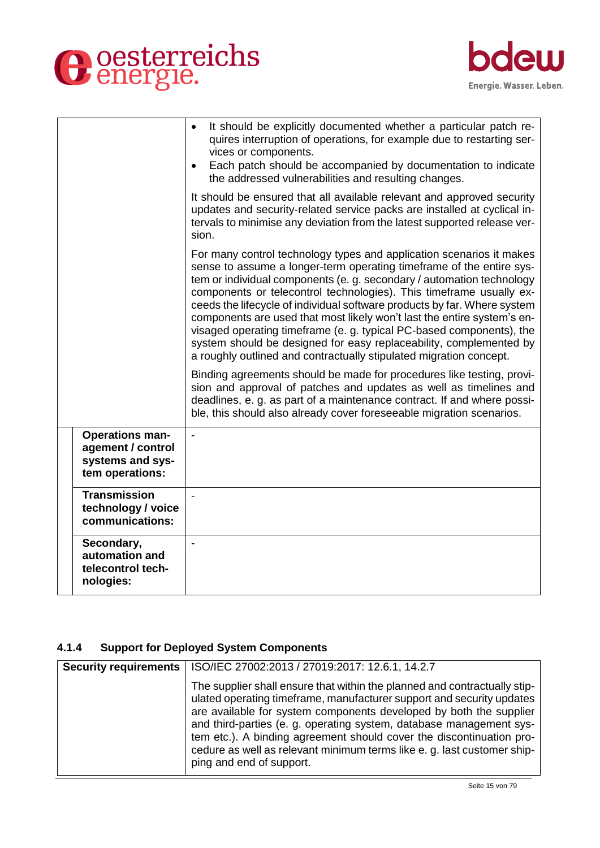



|                                                                                    | It should be explicitly documented whether a particular patch re-<br>quires interruption of operations, for example due to restarting ser-<br>vices or components.<br>Each patch should be accompanied by documentation to indicate<br>the addressed vulnerabilities and resulting changes.                                                                                                                                                                                                                                                                                                                                                                            |
|------------------------------------------------------------------------------------|------------------------------------------------------------------------------------------------------------------------------------------------------------------------------------------------------------------------------------------------------------------------------------------------------------------------------------------------------------------------------------------------------------------------------------------------------------------------------------------------------------------------------------------------------------------------------------------------------------------------------------------------------------------------|
|                                                                                    | It should be ensured that all available relevant and approved security<br>updates and security-related service packs are installed at cyclical in-<br>tervals to minimise any deviation from the latest supported release ver-<br>sion.                                                                                                                                                                                                                                                                                                                                                                                                                                |
|                                                                                    | For many control technology types and application scenarios it makes<br>sense to assume a longer-term operating timeframe of the entire sys-<br>tem or individual components (e. g. secondary / automation technology<br>components or telecontrol technologies). This timeframe usually ex-<br>ceeds the lifecycle of individual software products by far. Where system<br>components are used that most likely won't last the entire system's en-<br>visaged operating timeframe (e.g. typical PC-based components), the<br>system should be designed for easy replaceability, complemented by<br>a roughly outlined and contractually stipulated migration concept. |
|                                                                                    | Binding agreements should be made for procedures like testing, provi-<br>sion and approval of patches and updates as well as timelines and<br>deadlines, e. g. as part of a maintenance contract. If and where possi-<br>ble, this should also already cover foreseeable migration scenarios.                                                                                                                                                                                                                                                                                                                                                                          |
| <b>Operations man-</b><br>agement / control<br>systems and sys-<br>tem operations: |                                                                                                                                                                                                                                                                                                                                                                                                                                                                                                                                                                                                                                                                        |
| <b>Transmission</b><br>technology / voice<br>communications:                       |                                                                                                                                                                                                                                                                                                                                                                                                                                                                                                                                                                                                                                                                        |
| Secondary,<br>automation and<br>telecontrol tech-<br>nologies:                     | $\blacksquare$                                                                                                                                                                                                                                                                                                                                                                                                                                                                                                                                                                                                                                                         |

# <span id="page-14-0"></span>**4.1.4 Support for Deployed System Components**

| <b>Security requirements</b> | ISO/IEC 27002:2013 / 27019:2017: 12.6.1, 14.2.7                                                                                                                                                                                                                                                                                                                                                                                                                                |
|------------------------------|--------------------------------------------------------------------------------------------------------------------------------------------------------------------------------------------------------------------------------------------------------------------------------------------------------------------------------------------------------------------------------------------------------------------------------------------------------------------------------|
|                              | The supplier shall ensure that within the planned and contractually stip-<br>ulated operating timeframe, manufacturer support and security updates<br>are available for system components developed by both the supplier<br>and third-parties (e. g. operating system, database management sys-<br>tem etc.). A binding agreement should cover the discontinuation pro-<br>cedure as well as relevant minimum terms like e. g. last customer ship-<br>ping and end of support. |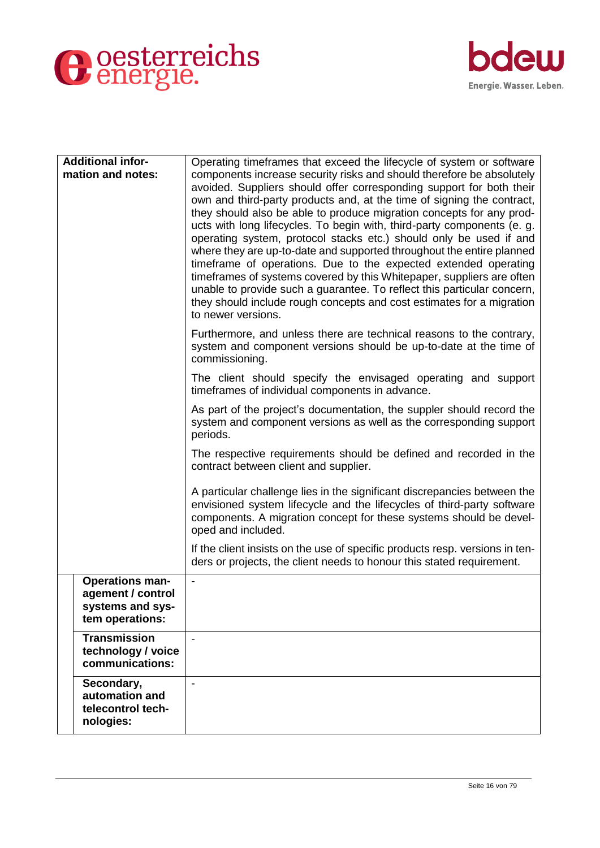



| <b>Additional infor-</b><br>mation and notes:                                      | Operating timeframes that exceed the lifecycle of system or software<br>components increase security risks and should therefore be absolutely<br>avoided. Suppliers should offer corresponding support for both their<br>own and third-party products and, at the time of signing the contract,<br>they should also be able to produce migration concepts for any prod-<br>ucts with long lifecycles. To begin with, third-party components (e. g.<br>operating system, protocol stacks etc.) should only be used if and<br>where they are up-to-date and supported throughout the entire planned<br>timeframe of operations. Due to the expected extended operating<br>timeframes of systems covered by this Whitepaper, suppliers are often<br>unable to provide such a guarantee. To reflect this particular concern,<br>they should include rough concepts and cost estimates for a migration<br>to newer versions. |
|------------------------------------------------------------------------------------|-------------------------------------------------------------------------------------------------------------------------------------------------------------------------------------------------------------------------------------------------------------------------------------------------------------------------------------------------------------------------------------------------------------------------------------------------------------------------------------------------------------------------------------------------------------------------------------------------------------------------------------------------------------------------------------------------------------------------------------------------------------------------------------------------------------------------------------------------------------------------------------------------------------------------|
|                                                                                    | Furthermore, and unless there are technical reasons to the contrary,<br>system and component versions should be up-to-date at the time of<br>commissioning.                                                                                                                                                                                                                                                                                                                                                                                                                                                                                                                                                                                                                                                                                                                                                             |
|                                                                                    | The client should specify the envisaged operating and support<br>timeframes of individual components in advance.                                                                                                                                                                                                                                                                                                                                                                                                                                                                                                                                                                                                                                                                                                                                                                                                        |
|                                                                                    | As part of the project's documentation, the suppler should record the<br>system and component versions as well as the corresponding support<br>periods.                                                                                                                                                                                                                                                                                                                                                                                                                                                                                                                                                                                                                                                                                                                                                                 |
|                                                                                    | The respective requirements should be defined and recorded in the<br>contract between client and supplier.                                                                                                                                                                                                                                                                                                                                                                                                                                                                                                                                                                                                                                                                                                                                                                                                              |
|                                                                                    | A particular challenge lies in the significant discrepancies between the<br>envisioned system lifecycle and the lifecycles of third-party software<br>components. A migration concept for these systems should be devel-<br>oped and included.                                                                                                                                                                                                                                                                                                                                                                                                                                                                                                                                                                                                                                                                          |
|                                                                                    | If the client insists on the use of specific products resp. versions in ten-<br>ders or projects, the client needs to honour this stated requirement.                                                                                                                                                                                                                                                                                                                                                                                                                                                                                                                                                                                                                                                                                                                                                                   |
| <b>Operations man-</b><br>agement / control<br>systems and sys-<br>tem operations: | $\qquad \qquad \blacksquare$                                                                                                                                                                                                                                                                                                                                                                                                                                                                                                                                                                                                                                                                                                                                                                                                                                                                                            |
| <b>Transmission</b><br>technology / voice<br>communications:                       |                                                                                                                                                                                                                                                                                                                                                                                                                                                                                                                                                                                                                                                                                                                                                                                                                                                                                                                         |
| Secondary,<br>automation and<br>telecontrol tech-<br>nologies:                     | $\blacksquare$                                                                                                                                                                                                                                                                                                                                                                                                                                                                                                                                                                                                                                                                                                                                                                                                                                                                                                          |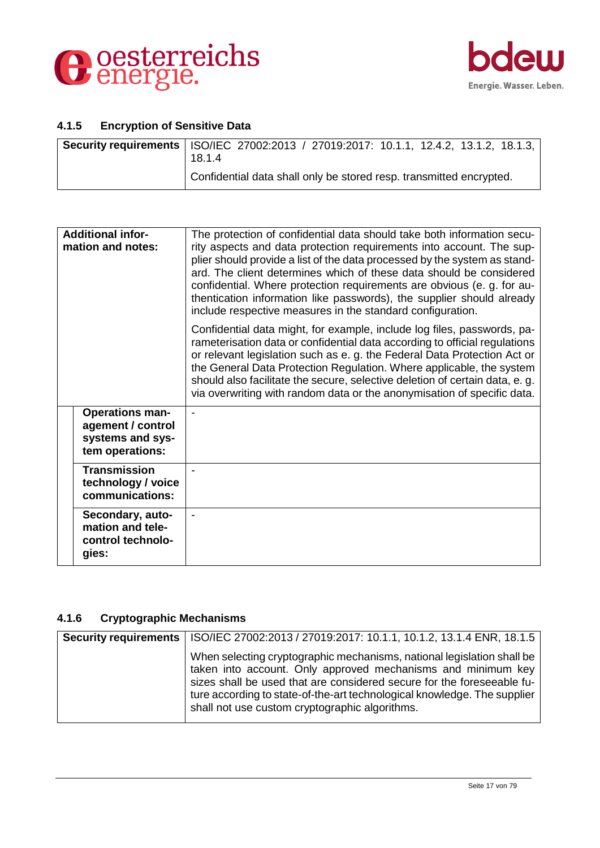



#### <span id="page-16-0"></span>**4.1.5 Encryption of Sensitive Data**

| <b>Security requirements</b>   ISO/IEC 27002:2013 / 27019:2017: 10.1.1, 12.4.2, 13.1.2, 18.1.3,<br>18.1.4 |
|-----------------------------------------------------------------------------------------------------------|
| Confidential data shall only be stored resp. transmitted encrypted.                                       |

| <b>Additional infor-</b><br>mation and notes: |                                                                                    | The protection of confidential data should take both information secu-<br>rity aspects and data protection requirements into account. The sup-<br>plier should provide a list of the data processed by the system as stand-<br>ard. The client determines which of these data should be considered<br>confidential. Where protection requirements are obvious (e. g. for au-<br>thentication information like passwords), the supplier should already<br>include respective measures in the standard configuration. |
|-----------------------------------------------|------------------------------------------------------------------------------------|---------------------------------------------------------------------------------------------------------------------------------------------------------------------------------------------------------------------------------------------------------------------------------------------------------------------------------------------------------------------------------------------------------------------------------------------------------------------------------------------------------------------|
|                                               |                                                                                    | Confidential data might, for example, include log files, passwords, pa-<br>rameterisation data or confidential data according to official regulations<br>or relevant legislation such as e. g. the Federal Data Protection Act or<br>the General Data Protection Regulation. Where applicable, the system<br>should also facilitate the secure, selective deletion of certain data, e. g.<br>via overwriting with random data or the anonymisation of specific data.                                                |
|                                               | <b>Operations man-</b><br>agement / control<br>systems and sys-<br>tem operations: |                                                                                                                                                                                                                                                                                                                                                                                                                                                                                                                     |
|                                               | <b>Transmission</b><br>technology / voice<br>communications:                       |                                                                                                                                                                                                                                                                                                                                                                                                                                                                                                                     |
|                                               | Secondary, auto-<br>mation and tele-<br>control technolo-<br>gies:                 |                                                                                                                                                                                                                                                                                                                                                                                                                                                                                                                     |

# <span id="page-16-1"></span>**4.1.6 Cryptographic Mechanisms**

| Security requirements   ISO/IEC 27002:2013 / 27019:2017: 10.1.1, 10.1.2, 13.1.4 ENR, 18.1.5                                                                                                                                                                                                                                                    |
|------------------------------------------------------------------------------------------------------------------------------------------------------------------------------------------------------------------------------------------------------------------------------------------------------------------------------------------------|
| When selecting cryptographic mechanisms, national legislation shall be<br>taken into account. Only approved mechanisms and minimum key<br>sizes shall be used that are considered secure for the foreseeable fu-<br>ture according to state-of-the-art technological knowledge. The supplier<br>shall not use custom cryptographic algorithms. |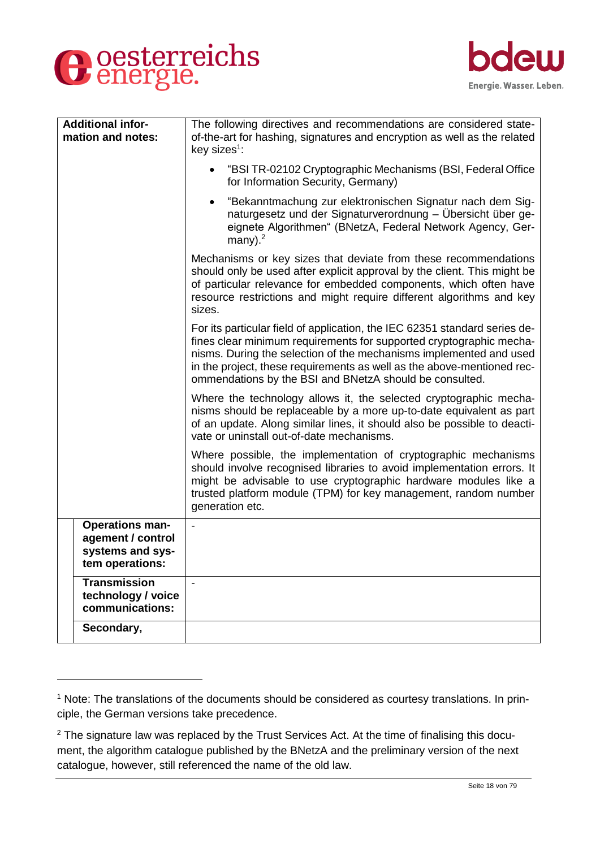

-



| <b>Additional infor-</b><br>mation and notes:                                      | The following directives and recommendations are considered state-<br>of-the-art for hashing, signatures and encryption as well as the related<br>key sizes <sup>1</sup> :                                                                                                                                                                                   |
|------------------------------------------------------------------------------------|--------------------------------------------------------------------------------------------------------------------------------------------------------------------------------------------------------------------------------------------------------------------------------------------------------------------------------------------------------------|
|                                                                                    | "BSI TR-02102 Cryptographic Mechanisms (BSI, Federal Office<br>for Information Security, Germany)                                                                                                                                                                                                                                                            |
|                                                                                    | "Bekanntmachung zur elektronischen Signatur nach dem Sig-<br>naturgesetz und der Signaturverordnung - Übersicht über ge-<br>eignete Algorithmen" (BNetzA, Federal Network Agency, Ger-<br>many). $2$                                                                                                                                                         |
|                                                                                    | Mechanisms or key sizes that deviate from these recommendations<br>should only be used after explicit approval by the client. This might be<br>of particular relevance for embedded components, which often have<br>resource restrictions and might require different algorithms and key<br>sizes.                                                           |
|                                                                                    | For its particular field of application, the IEC 62351 standard series de-<br>fines clear minimum requirements for supported cryptographic mecha-<br>nisms. During the selection of the mechanisms implemented and used<br>in the project, these requirements as well as the above-mentioned rec-<br>ommendations by the BSI and BNetzA should be consulted. |
|                                                                                    | Where the technology allows it, the selected cryptographic mecha-<br>nisms should be replaceable by a more up-to-date equivalent as part<br>of an update. Along similar lines, it should also be possible to deacti-<br>vate or uninstall out-of-date mechanisms.                                                                                            |
|                                                                                    | Where possible, the implementation of cryptographic mechanisms<br>should involve recognised libraries to avoid implementation errors. It<br>might be advisable to use cryptographic hardware modules like a<br>trusted platform module (TPM) for key management, random number<br>generation etc.                                                            |
| <b>Operations man-</b><br>agement / control<br>systems and sys-<br>tem operations: |                                                                                                                                                                                                                                                                                                                                                              |
| <b>Transmission</b><br>technology / voice<br>communications:                       | $\overline{a}$                                                                                                                                                                                                                                                                                                                                               |
| Secondary,                                                                         |                                                                                                                                                                                                                                                                                                                                                              |

<sup>&</sup>lt;sup>1</sup> Note: The translations of the documents should be considered as courtesy translations. In principle, the German versions take precedence.

 $2$  The signature law was replaced by the Trust Services Act. At the time of finalising this document, the algorithm catalogue published by the BNetzA and the preliminary version of the next catalogue, however, still referenced the name of the old law.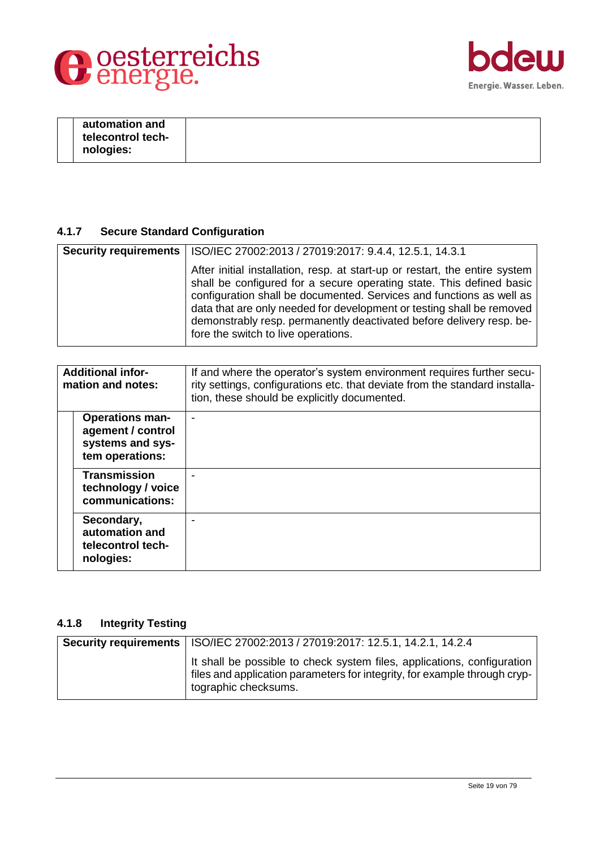



| automation and    |  |
|-------------------|--|
| telecontrol tech- |  |
| nologies:         |  |
|                   |  |

# <span id="page-18-0"></span>**4.1.7 Secure Standard Configuration**

| Security requirements   ISO/IEC 27002:2013 / 27019:2017: 9.4.4, 12.5.1, 14.3.1                                                                                                                                                                                                                                                                                                                                      |
|---------------------------------------------------------------------------------------------------------------------------------------------------------------------------------------------------------------------------------------------------------------------------------------------------------------------------------------------------------------------------------------------------------------------|
| After initial installation, resp. at start-up or restart, the entire system<br>shall be configured for a secure operating state. This defined basic<br>configuration shall be documented. Services and functions as well as<br>data that are only needed for development or testing shall be removed<br>demonstrably resp. permanently deactivated before delivery resp. be-<br>fore the switch to live operations. |

| <b>Additional infor-</b><br>mation and notes: |                                                                                    | If and where the operator's system environment requires further secu-<br>rity settings, configurations etc. that deviate from the standard installa-<br>tion, these should be explicitly documented. |
|-----------------------------------------------|------------------------------------------------------------------------------------|------------------------------------------------------------------------------------------------------------------------------------------------------------------------------------------------------|
|                                               | <b>Operations man-</b><br>agement / control<br>systems and sys-<br>tem operations: | ۰                                                                                                                                                                                                    |
|                                               | <b>Transmission</b><br>technology / voice<br>communications:                       |                                                                                                                                                                                                      |
|                                               | Secondary,<br>automation and<br>telecontrol tech-<br>nologies:                     |                                                                                                                                                                                                      |

# <span id="page-18-1"></span>**4.1.8 Integrity Testing**

| Security requirements   ISO/IEC 27002:2013 / 27019:2017: 12.5.1, 14.2.1, 14.2.4                                                                                              |
|------------------------------------------------------------------------------------------------------------------------------------------------------------------------------|
| It shall be possible to check system files, applications, configuration<br>files and application parameters for integrity, for example through cryp-<br>tographic checksums. |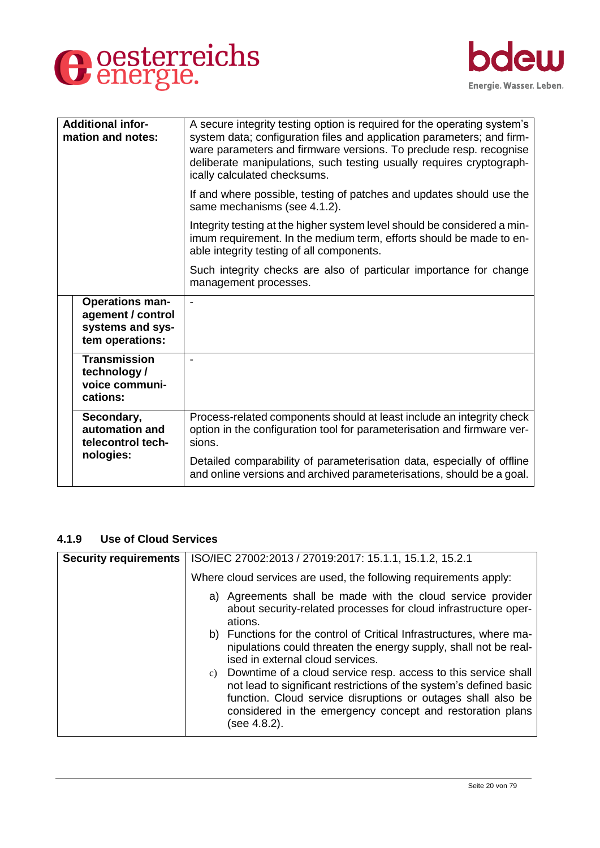



| <b>Additional infor-</b><br>mation and notes: |                                                                                    | A secure integrity testing option is required for the operating system's<br>system data; configuration files and application parameters; and firm-<br>ware parameters and firmware versions. To preclude resp. recognise<br>deliberate manipulations, such testing usually requires cryptograph-<br>ically calculated checksums. |
|-----------------------------------------------|------------------------------------------------------------------------------------|----------------------------------------------------------------------------------------------------------------------------------------------------------------------------------------------------------------------------------------------------------------------------------------------------------------------------------|
|                                               |                                                                                    | If and where possible, testing of patches and updates should use the<br>same mechanisms (see 4.1.2).                                                                                                                                                                                                                             |
|                                               |                                                                                    | Integrity testing at the higher system level should be considered a min-<br>imum requirement. In the medium term, efforts should be made to en-<br>able integrity testing of all components.                                                                                                                                     |
|                                               |                                                                                    | Such integrity checks are also of particular importance for change<br>management processes.                                                                                                                                                                                                                                      |
|                                               | <b>Operations man-</b><br>agement / control<br>systems and sys-<br>tem operations: | $\blacksquare$                                                                                                                                                                                                                                                                                                                   |
|                                               | <b>Transmission</b><br>technology /<br>voice communi-<br>cations:                  |                                                                                                                                                                                                                                                                                                                                  |
|                                               | Secondary,<br>automation and<br>telecontrol tech-                                  | Process-related components should at least include an integrity check<br>option in the configuration tool for parameterisation and firmware ver-<br>sions.                                                                                                                                                                       |
|                                               | nologies:                                                                          | Detailed comparability of parameterisation data, especially of offline<br>and online versions and archived parameterisations, should be a goal.                                                                                                                                                                                  |

# <span id="page-19-0"></span>**4.1.9 Use of Cloud Services**

| <b>Security requirements</b> | ISO/IEC 27002:2013 / 27019:2017: 15.1.1, 15.1.2, 15.2.1                                                                                                                                                                                                                              |
|------------------------------|--------------------------------------------------------------------------------------------------------------------------------------------------------------------------------------------------------------------------------------------------------------------------------------|
|                              | Where cloud services are used, the following requirements apply:                                                                                                                                                                                                                     |
|                              | a) Agreements shall be made with the cloud service provider<br>about security-related processes for cloud infrastructure oper-<br>ations.                                                                                                                                            |
|                              | b) Functions for the control of Critical Infrastructures, where ma-<br>nipulations could threaten the energy supply, shall not be real-<br>ised in external cloud services.                                                                                                          |
|                              | c) Downtime of a cloud service resp. access to this service shall<br>not lead to significant restrictions of the system's defined basic<br>function. Cloud service disruptions or outages shall also be<br>considered in the emergency concept and restoration plans<br>(see 4.8.2). |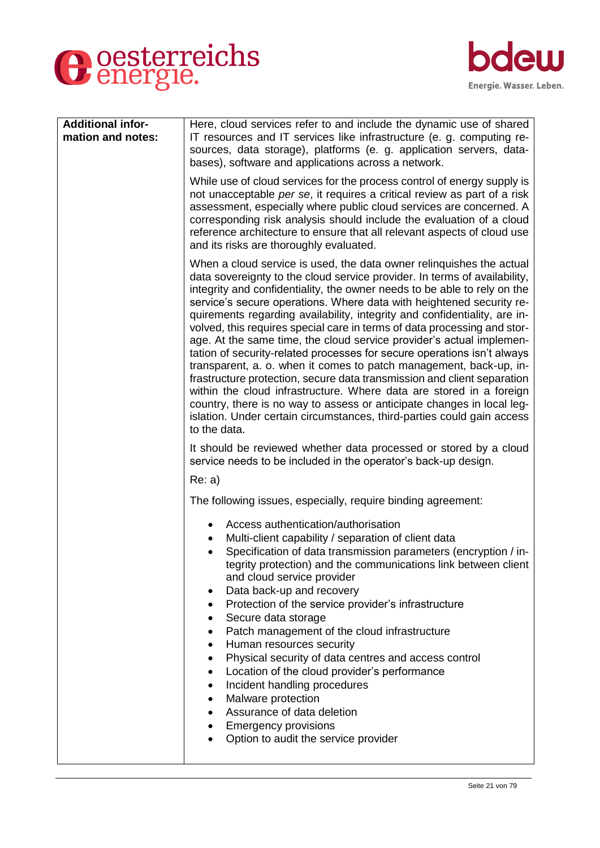# O oesterreichs



| <b>Additional infor-</b> | Here, cloud services refer to and include the dynamic use of shared                                                                                                                                                                                                                                                                                                                                                                                                                                                                                                                                                                                                                                                                                                                                                                                                                                                                                                                                           |
|--------------------------|---------------------------------------------------------------------------------------------------------------------------------------------------------------------------------------------------------------------------------------------------------------------------------------------------------------------------------------------------------------------------------------------------------------------------------------------------------------------------------------------------------------------------------------------------------------------------------------------------------------------------------------------------------------------------------------------------------------------------------------------------------------------------------------------------------------------------------------------------------------------------------------------------------------------------------------------------------------------------------------------------------------|
| mation and notes:        | IT resources and IT services like infrastructure (e. g. computing re-<br>sources, data storage), platforms (e. g. application servers, data-<br>bases), software and applications across a network.                                                                                                                                                                                                                                                                                                                                                                                                                                                                                                                                                                                                                                                                                                                                                                                                           |
|                          | While use of cloud services for the process control of energy supply is<br>not unacceptable per se, it requires a critical review as part of a risk<br>assessment, especially where public cloud services are concerned. A<br>corresponding risk analysis should include the evaluation of a cloud<br>reference architecture to ensure that all relevant aspects of cloud use<br>and its risks are thoroughly evaluated.                                                                                                                                                                                                                                                                                                                                                                                                                                                                                                                                                                                      |
|                          | When a cloud service is used, the data owner relinguishes the actual<br>data sovereignty to the cloud service provider. In terms of availability,<br>integrity and confidentiality, the owner needs to be able to rely on the<br>service's secure operations. Where data with heightened security re-<br>quirements regarding availability, integrity and confidentiality, are in-<br>volved, this requires special care in terms of data processing and stor-<br>age. At the same time, the cloud service provider's actual implemen-<br>tation of security-related processes for secure operations isn't always<br>transparent, a. o. when it comes to patch management, back-up, in-<br>frastructure protection, secure data transmission and client separation<br>within the cloud infrastructure. Where data are stored in a foreign<br>country, there is no way to assess or anticipate changes in local leg-<br>islation. Under certain circumstances, third-parties could gain access<br>to the data. |
|                          | It should be reviewed whether data processed or stored by a cloud<br>service needs to be included in the operator's back-up design.                                                                                                                                                                                                                                                                                                                                                                                                                                                                                                                                                                                                                                                                                                                                                                                                                                                                           |
|                          | Re: a)                                                                                                                                                                                                                                                                                                                                                                                                                                                                                                                                                                                                                                                                                                                                                                                                                                                                                                                                                                                                        |
|                          | The following issues, especially, require binding agreement:                                                                                                                                                                                                                                                                                                                                                                                                                                                                                                                                                                                                                                                                                                                                                                                                                                                                                                                                                  |
|                          | Access authentication/authorisation<br>Multi-client capability / separation of client data<br>Specification of data transmission parameters (encryption / in-<br>tegrity protection) and the communications link between client<br>and cloud service provider<br>Data back-up and recovery<br>Protection of the service provider's infrastructure<br>Secure data storage<br>Patch management of the cloud infrastructure<br>Human resources security<br>Physical security of data centres and access control<br>Location of the cloud provider's performance<br>Incident handling procedures<br>Malware protection<br>Assurance of data deletion<br><b>Emergency provisions</b><br>Option to audit the service provider                                                                                                                                                                                                                                                                                       |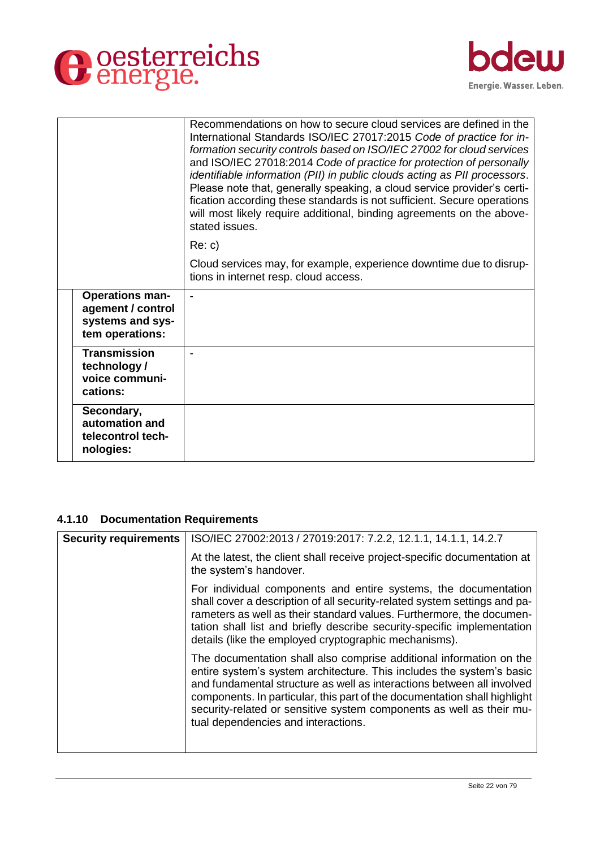



|                                                                                    | Recommendations on how to secure cloud services are defined in the<br>International Standards ISO/IEC 27017:2015 Code of practice for in-<br>formation security controls based on ISO/IEC 27002 for cloud services<br>and ISO/IEC 27018:2014 Code of practice for protection of personally<br>identifiable information (PII) in public clouds acting as PII processors.<br>Please note that, generally speaking, a cloud service provider's certi-<br>fication according these standards is not sufficient. Secure operations<br>will most likely require additional, binding agreements on the above-<br>stated issues. |
|------------------------------------------------------------------------------------|--------------------------------------------------------------------------------------------------------------------------------------------------------------------------------------------------------------------------------------------------------------------------------------------------------------------------------------------------------------------------------------------------------------------------------------------------------------------------------------------------------------------------------------------------------------------------------------------------------------------------|
|                                                                                    | Re: c)                                                                                                                                                                                                                                                                                                                                                                                                                                                                                                                                                                                                                   |
|                                                                                    | Cloud services may, for example, experience downtime due to disrup-<br>tions in internet resp. cloud access.                                                                                                                                                                                                                                                                                                                                                                                                                                                                                                             |
| <b>Operations man-</b><br>agement / control<br>systems and sys-<br>tem operations: | $\blacksquare$                                                                                                                                                                                                                                                                                                                                                                                                                                                                                                                                                                                                           |
| <b>Transmission</b><br>technology /<br>voice communi-<br>cations:                  |                                                                                                                                                                                                                                                                                                                                                                                                                                                                                                                                                                                                                          |
| Secondary,<br>automation and<br>telecontrol tech-<br>nologies:                     |                                                                                                                                                                                                                                                                                                                                                                                                                                                                                                                                                                                                                          |

# <span id="page-21-0"></span>**4.1.10 Documentation Requirements**

| <b>Security requirements</b> | ISO/IEC 27002:2013 / 27019:2017: 7.2.2, 12.1.1, 14.1.1, 14.2.7                                                                                                                                                                                                                                                                                                                                                     |
|------------------------------|--------------------------------------------------------------------------------------------------------------------------------------------------------------------------------------------------------------------------------------------------------------------------------------------------------------------------------------------------------------------------------------------------------------------|
|                              | At the latest, the client shall receive project-specific documentation at<br>the system's handover.                                                                                                                                                                                                                                                                                                                |
|                              | For individual components and entire systems, the documentation<br>shall cover a description of all security-related system settings and pa-<br>rameters as well as their standard values. Furthermore, the documen-<br>tation shall list and briefly describe security-specific implementation<br>details (like the employed cryptographic mechanisms).                                                           |
|                              | The documentation shall also comprise additional information on the<br>entire system's system architecture. This includes the system's basic<br>and fundamental structure as well as interactions between all involved<br>components. In particular, this part of the documentation shall highlight<br>security-related or sensitive system components as well as their mu-<br>tual dependencies and interactions. |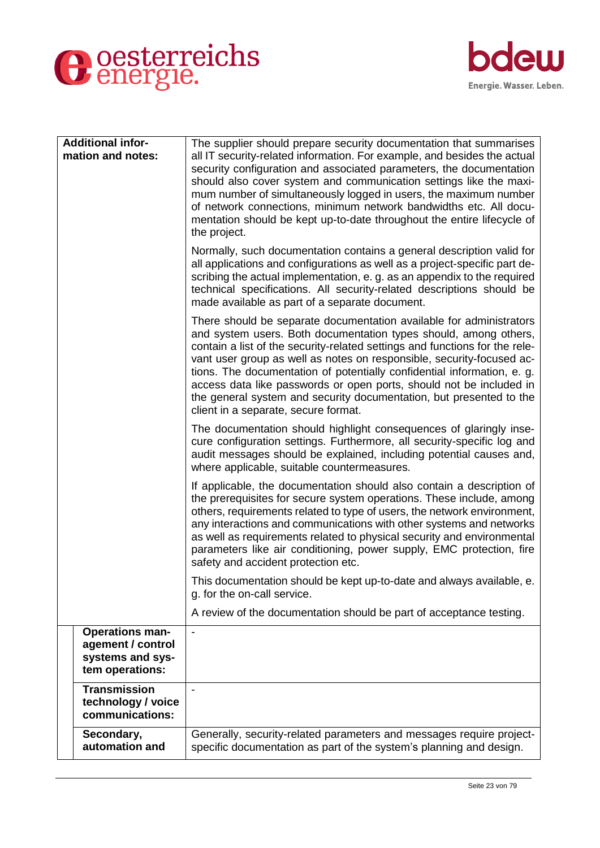



| <b>Additional infor-</b><br>mation and notes:                                      | The supplier should prepare security documentation that summarises<br>all IT security-related information. For example, and besides the actual<br>security configuration and associated parameters, the documentation<br>should also cover system and communication settings like the maxi-<br>mum number of simultaneously logged in users, the maximum number<br>of network connections, minimum network bandwidths etc. All docu-<br>mentation should be kept up-to-date throughout the entire lifecycle of<br>the project.<br>Normally, such documentation contains a general description valid for<br>all applications and configurations as well as a project-specific part de-<br>scribing the actual implementation, e. g. as an appendix to the required<br>technical specifications. All security-related descriptions should be |
|------------------------------------------------------------------------------------|--------------------------------------------------------------------------------------------------------------------------------------------------------------------------------------------------------------------------------------------------------------------------------------------------------------------------------------------------------------------------------------------------------------------------------------------------------------------------------------------------------------------------------------------------------------------------------------------------------------------------------------------------------------------------------------------------------------------------------------------------------------------------------------------------------------------------------------------|
|                                                                                    | made available as part of a separate document.<br>There should be separate documentation available for administrators<br>and system users. Both documentation types should, among others,<br>contain a list of the security-related settings and functions for the rele-<br>vant user group as well as notes on responsible, security-focused ac-<br>tions. The documentation of potentially confidential information, e. g.<br>access data like passwords or open ports, should not be included in<br>the general system and security documentation, but presented to the<br>client in a separate, secure format.                                                                                                                                                                                                                         |
|                                                                                    | The documentation should highlight consequences of glaringly inse-<br>cure configuration settings. Furthermore, all security-specific log and<br>audit messages should be explained, including potential causes and,<br>where applicable, suitable countermeasures.                                                                                                                                                                                                                                                                                                                                                                                                                                                                                                                                                                        |
|                                                                                    | If applicable, the documentation should also contain a description of<br>the prerequisites for secure system operations. These include, among<br>others, requirements related to type of users, the network environment,<br>any interactions and communications with other systems and networks<br>as well as requirements related to physical security and environmental<br>parameters like air conditioning, power supply, EMC protection, fire<br>safety and accident protection etc.                                                                                                                                                                                                                                                                                                                                                   |
|                                                                                    | This documentation should be kept up-to-date and always available, e.<br>g. for the on-call service.                                                                                                                                                                                                                                                                                                                                                                                                                                                                                                                                                                                                                                                                                                                                       |
|                                                                                    | A review of the documentation should be part of acceptance testing.                                                                                                                                                                                                                                                                                                                                                                                                                                                                                                                                                                                                                                                                                                                                                                        |
| <b>Operations man-</b><br>agement / control<br>systems and sys-<br>tem operations: |                                                                                                                                                                                                                                                                                                                                                                                                                                                                                                                                                                                                                                                                                                                                                                                                                                            |
| <b>Transmission</b><br>technology / voice<br>communications:                       |                                                                                                                                                                                                                                                                                                                                                                                                                                                                                                                                                                                                                                                                                                                                                                                                                                            |
| Secondary,<br>automation and                                                       | Generally, security-related parameters and messages require project-<br>specific documentation as part of the system's planning and design.                                                                                                                                                                                                                                                                                                                                                                                                                                                                                                                                                                                                                                                                                                |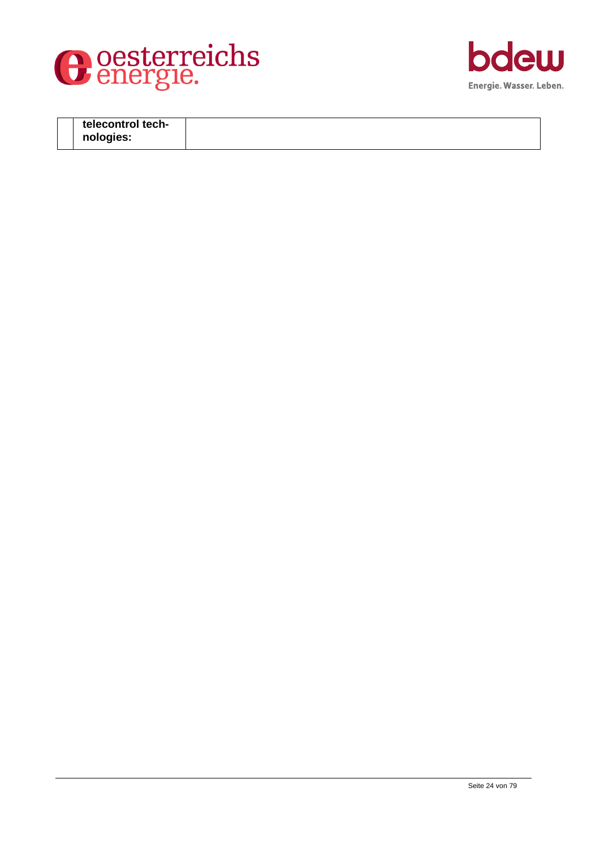



| telecontrol tech- |  |
|-------------------|--|
| nologies:         |  |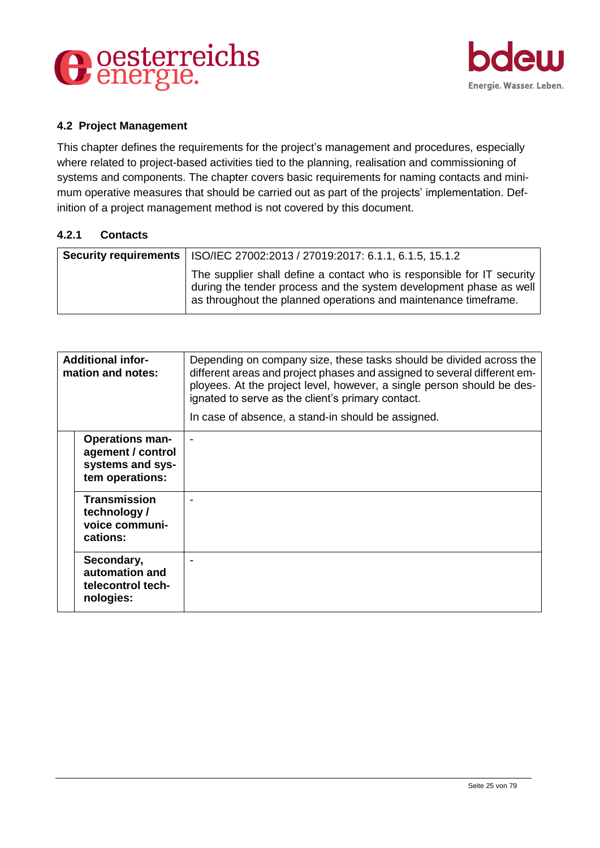



## <span id="page-24-0"></span>**4.2 Project Management**

This chapter defines the requirements for the project's management and procedures, especially where related to project-based activities tied to the planning, realisation and commissioning of systems and components. The chapter covers basic requirements for naming contacts and minimum operative measures that should be carried out as part of the projects' implementation. Definition of a project management method is not covered by this document.

#### <span id="page-24-1"></span>**4.2.1 Contacts**

| <b>Security requirements   ISO/IEC 27002:2013 / 27019:2017: 6.1.1, 6.1.5, 15.1.2</b>                                                                                                                              |
|-------------------------------------------------------------------------------------------------------------------------------------------------------------------------------------------------------------------|
| The supplier shall define a contact who is responsible for IT security  <br>during the tender process and the system development phase as well<br>as throughout the planned operations and maintenance timeframe. |

| <b>Additional infor-</b><br>mation and notes: |                                                                                    | Depending on company size, these tasks should be divided across the<br>different areas and project phases and assigned to several different em-<br>ployees. At the project level, however, a single person should be des-<br>ignated to serve as the client's primary contact.<br>In case of absence, a stand-in should be assigned. |
|-----------------------------------------------|------------------------------------------------------------------------------------|--------------------------------------------------------------------------------------------------------------------------------------------------------------------------------------------------------------------------------------------------------------------------------------------------------------------------------------|
|                                               | <b>Operations man-</b><br>agement / control<br>systems and sys-<br>tem operations: |                                                                                                                                                                                                                                                                                                                                      |
|                                               | <b>Transmission</b><br>technology/<br>voice communi-<br>cations:                   |                                                                                                                                                                                                                                                                                                                                      |
|                                               | Secondary,<br>automation and<br>telecontrol tech-<br>nologies:                     |                                                                                                                                                                                                                                                                                                                                      |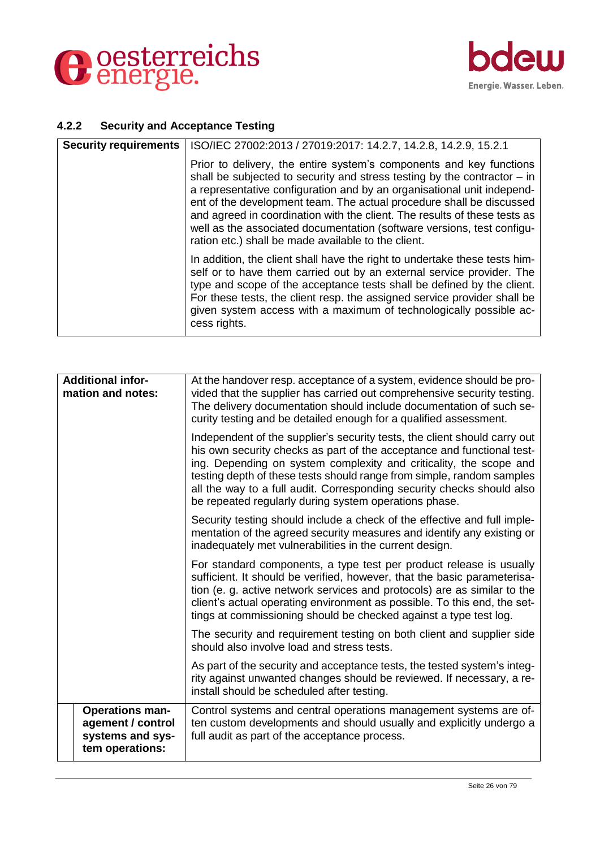



# <span id="page-25-0"></span>**4.2.2 Security and Acceptance Testing**

| <b>Security requirements</b> | ISO/IEC 27002:2013 / 27019:2017: 14.2.7, 14.2.8, 14.2.9, 15.2.1                                                                                                                                                                                                                                                                                                                                                                                                                                                   |
|------------------------------|-------------------------------------------------------------------------------------------------------------------------------------------------------------------------------------------------------------------------------------------------------------------------------------------------------------------------------------------------------------------------------------------------------------------------------------------------------------------------------------------------------------------|
|                              | Prior to delivery, the entire system's components and key functions<br>shall be subjected to security and stress testing by the contractor $-$ in<br>a representative configuration and by an organisational unit independ-<br>ent of the development team. The actual procedure shall be discussed<br>and agreed in coordination with the client. The results of these tests as<br>well as the associated documentation (software versions, test configu-<br>ration etc.) shall be made available to the client. |
|                              | In addition, the client shall have the right to undertake these tests him-<br>self or to have them carried out by an external service provider. The<br>type and scope of the acceptance tests shall be defined by the client.<br>For these tests, the client resp. the assigned service provider shall be<br>given system access with a maximum of technologically possible ac-<br>cess rights.                                                                                                                   |

| <b>Additional infor-</b><br>mation and notes:                                      | At the handover resp. acceptance of a system, evidence should be pro-<br>vided that the supplier has carried out comprehensive security testing.<br>The delivery documentation should include documentation of such se-<br>curity testing and be detailed enough for a qualified assessment.                                                                                                                                          |
|------------------------------------------------------------------------------------|---------------------------------------------------------------------------------------------------------------------------------------------------------------------------------------------------------------------------------------------------------------------------------------------------------------------------------------------------------------------------------------------------------------------------------------|
|                                                                                    | Independent of the supplier's security tests, the client should carry out<br>his own security checks as part of the acceptance and functional test-<br>ing. Depending on system complexity and criticality, the scope and<br>testing depth of these tests should range from simple, random samples<br>all the way to a full audit. Corresponding security checks should also<br>be repeated regularly during system operations phase. |
|                                                                                    | Security testing should include a check of the effective and full imple-<br>mentation of the agreed security measures and identify any existing or<br>inadequately met vulnerabilities in the current design.                                                                                                                                                                                                                         |
|                                                                                    | For standard components, a type test per product release is usually<br>sufficient. It should be verified, however, that the basic parameterisa-<br>tion (e. g. active network services and protocols) are as similar to the<br>client's actual operating environment as possible. To this end, the set-<br>tings at commissioning should be checked against a type test log.                                                          |
|                                                                                    | The security and requirement testing on both client and supplier side<br>should also involve load and stress tests.                                                                                                                                                                                                                                                                                                                   |
|                                                                                    | As part of the security and acceptance tests, the tested system's integ-<br>rity against unwanted changes should be reviewed. If necessary, a re-<br>install should be scheduled after testing.                                                                                                                                                                                                                                       |
| <b>Operations man-</b><br>agement / control<br>systems and sys-<br>tem operations: | Control systems and central operations management systems are of-<br>ten custom developments and should usually and explicitly undergo a<br>full audit as part of the acceptance process.                                                                                                                                                                                                                                             |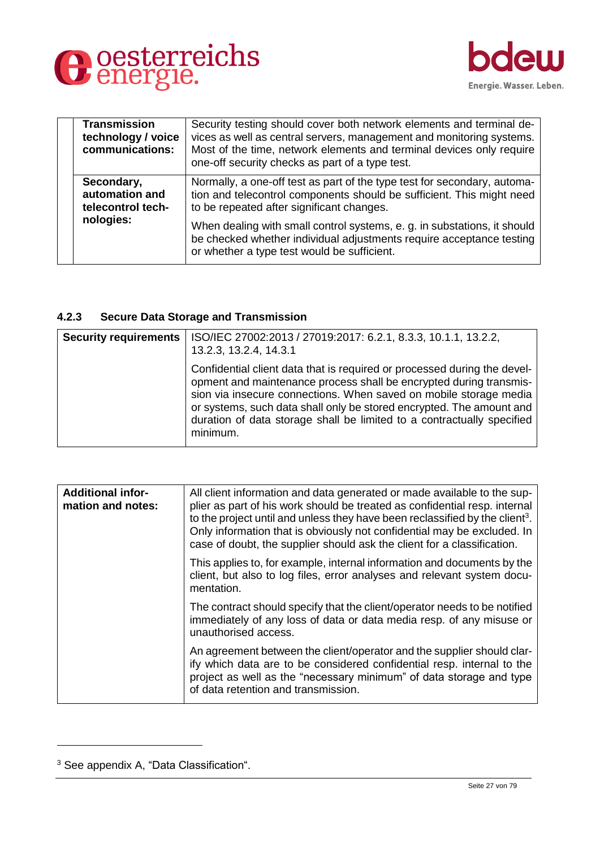



|  | <b>Transmission</b><br>technology / voice<br>communications: | Security testing should cover both network elements and terminal de-<br>vices as well as central servers, management and monitoring systems.<br>Most of the time, network elements and terminal devices only require<br>one-off security checks as part of a type test. |
|--|--------------------------------------------------------------|-------------------------------------------------------------------------------------------------------------------------------------------------------------------------------------------------------------------------------------------------------------------------|
|  | Secondary,<br>automation and<br>telecontrol tech-            | Normally, a one-off test as part of the type test for secondary, automa-<br>tion and telecontrol components should be sufficient. This might need<br>to be repeated after significant changes.                                                                          |
|  | nologies:                                                    | When dealing with small control systems, e. g. in substations, it should<br>be checked whether individual adjustments require acceptance testing<br>or whether a type test would be sufficient.                                                                         |

# <span id="page-26-0"></span>**4.2.3 Secure Data Storage and Transmission**

| <b>Security requirements</b> | ISO/IEC 27002:2013 / 27019:2017: 6.2.1, 8.3.3, 10.1.1, 13.2.2,<br>13.2.3, 13.2.4, 14.3.1                                                                                                                                                                                                                                                                                          |
|------------------------------|-----------------------------------------------------------------------------------------------------------------------------------------------------------------------------------------------------------------------------------------------------------------------------------------------------------------------------------------------------------------------------------|
|                              | Confidential client data that is required or processed during the devel-<br>opment and maintenance process shall be encrypted during transmis-<br>sion via insecure connections. When saved on mobile storage media<br>or systems, such data shall only be stored encrypted. The amount and<br>duration of data storage shall be limited to a contractually specified<br>minimum. |

| <b>Additional infor-</b><br>mation and notes: | All client information and data generated or made available to the sup-<br>plier as part of his work should be treated as confidential resp. internal<br>to the project until and unless they have been reclassified by the client <sup>3</sup> .<br>Only information that is obviously not confidential may be excluded. In<br>case of doubt, the supplier should ask the client for a classification. |
|-----------------------------------------------|---------------------------------------------------------------------------------------------------------------------------------------------------------------------------------------------------------------------------------------------------------------------------------------------------------------------------------------------------------------------------------------------------------|
|                                               | This applies to, for example, internal information and documents by the<br>client, but also to log files, error analyses and relevant system docu-<br>mentation.                                                                                                                                                                                                                                        |
|                                               | The contract should specify that the client/operator needs to be notified<br>immediately of any loss of data or data media resp. of any misuse or<br>unauthorised access.                                                                                                                                                                                                                               |
|                                               | An agreement between the client/operator and the supplier should clar-<br>ify which data are to be considered confidential resp. internal to the<br>project as well as the "necessary minimum" of data storage and type<br>of data retention and transmission.                                                                                                                                          |

-

<sup>3</sup> See appendix A, "Data Classification".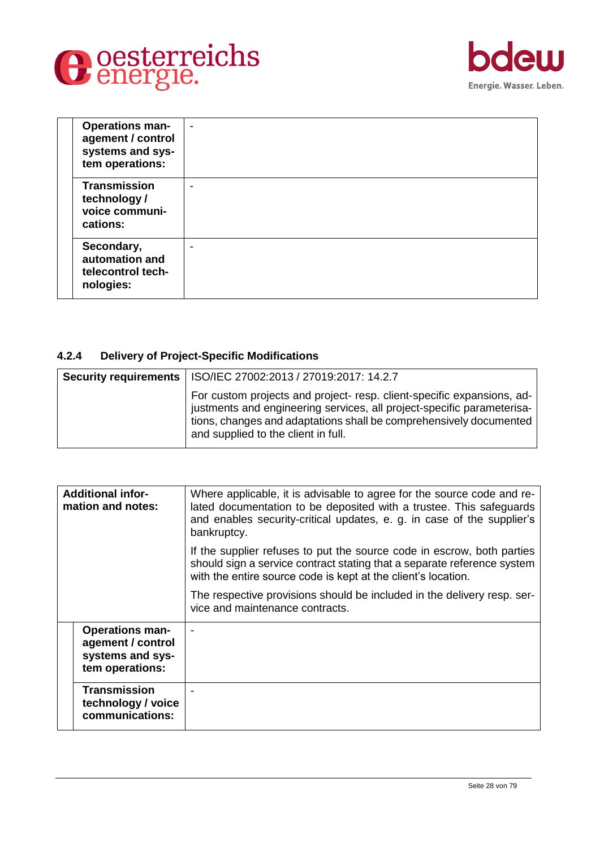



|  | <b>Operations man-</b><br>agement / control<br>systems and sys-<br>tem operations: | $\blacksquare$           |
|--|------------------------------------------------------------------------------------|--------------------------|
|  | <b>Transmission</b><br>technology /<br>voice communi-<br>cations:                  | $\overline{\phantom{0}}$ |
|  | Secondary,<br>automation and<br>telecontrol tech-<br>nologies:                     | $\overline{\phantom{0}}$ |

# <span id="page-27-0"></span>**4.2.4 Delivery of Project-Specific Modifications**

| <b>Security requirements</b> | ISO/IEC 27002:2013 / 27019:2017: 14.2.7                                                                                                                                                                                                                      |
|------------------------------|--------------------------------------------------------------------------------------------------------------------------------------------------------------------------------------------------------------------------------------------------------------|
|                              | For custom projects and project-resp. client-specific expansions, ad-<br>justments and engineering services, all project-specific parameterisa-<br>tions, changes and adaptations shall be comprehensively documented<br>and supplied to the client in full. |

| <b>Additional infor-</b><br>mation and notes: |                                                                                    | Where applicable, it is advisable to agree for the source code and re-<br>lated documentation to be deposited with a trustee. This safeguards<br>and enables security-critical updates, e. g. in case of the supplier's<br>bankruptcy. |
|-----------------------------------------------|------------------------------------------------------------------------------------|----------------------------------------------------------------------------------------------------------------------------------------------------------------------------------------------------------------------------------------|
|                                               |                                                                                    | If the supplier refuses to put the source code in escrow, both parties<br>should sign a service contract stating that a separate reference system<br>with the entire source code is kept at the client's location.                     |
|                                               |                                                                                    | The respective provisions should be included in the delivery resp. ser-<br>vice and maintenance contracts.                                                                                                                             |
|                                               | <b>Operations man-</b><br>agement / control<br>systems and sys-<br>tem operations: |                                                                                                                                                                                                                                        |
|                                               | <b>Transmission</b><br>technology / voice<br>communications:                       |                                                                                                                                                                                                                                        |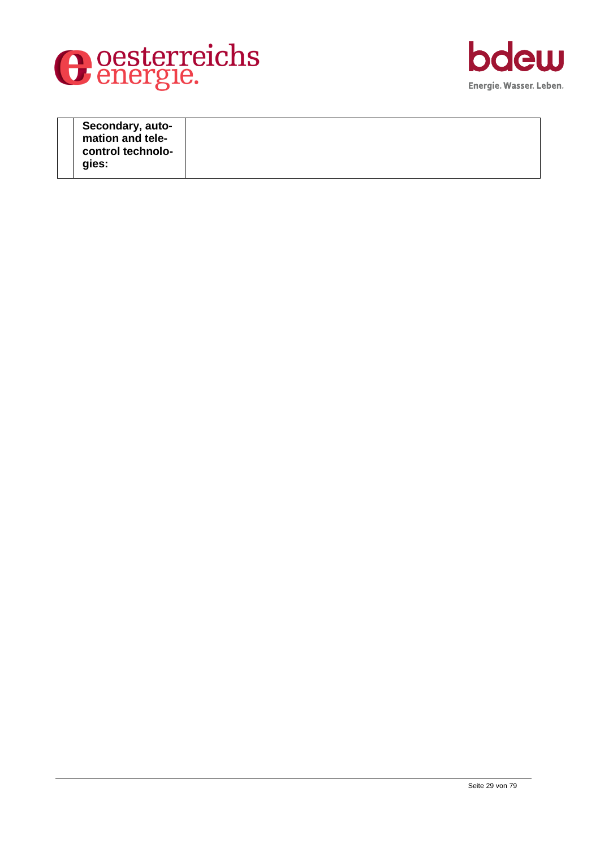



| Secondary, auto-<br>mation and tele-<br>control technolo- |  |
|-----------------------------------------------------------|--|
| gies:                                                     |  |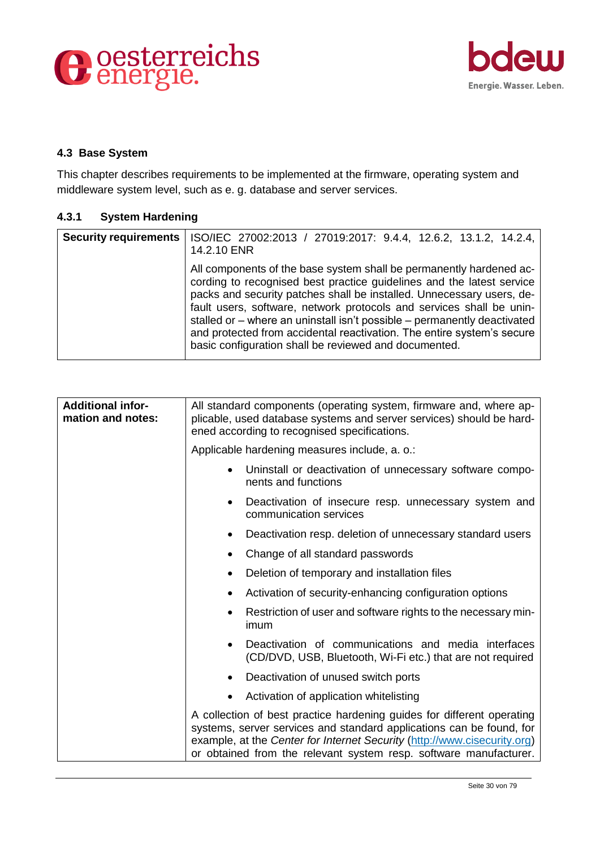



# <span id="page-29-0"></span>**4.3 Base System**

This chapter describes requirements to be implemented at the firmware, operating system and middleware system level, such as e. g. database and server services.

# <span id="page-29-1"></span>**4.3.1 System Hardening**

| <b>Security requirements</b> | ISO/IEC 27002:2013 / 27019:2017: 9.4.4, 12.6.2, 13.1.2, 14.2.4,<br>14.2.10 ENR                                                                                                                                                                                                                                                                                                                                                                                                                               |
|------------------------------|--------------------------------------------------------------------------------------------------------------------------------------------------------------------------------------------------------------------------------------------------------------------------------------------------------------------------------------------------------------------------------------------------------------------------------------------------------------------------------------------------------------|
|                              | All components of the base system shall be permanently hardened ac-<br>cording to recognised best practice guidelines and the latest service<br>packs and security patches shall be installed. Unnecessary users, de-<br>fault users, software, network protocols and services shall be unin-<br>stalled or - where an uninstall isn't possible - permanently deactivated<br>and protected from accidental reactivation. The entire system's secure<br>basic configuration shall be reviewed and documented. |

| <b>Additional infor-</b><br>mation and notes: | All standard components (operating system, firmware and, where ap-<br>plicable, used database systems and server services) should be hard-<br>ened according to recognised specifications.                                                                                                      |
|-----------------------------------------------|-------------------------------------------------------------------------------------------------------------------------------------------------------------------------------------------------------------------------------------------------------------------------------------------------|
|                                               | Applicable hardening measures include, a. o.:                                                                                                                                                                                                                                                   |
|                                               | Uninstall or deactivation of unnecessary software compo-<br>$\bullet$<br>nents and functions                                                                                                                                                                                                    |
|                                               | Deactivation of insecure resp. unnecessary system and<br>communication services                                                                                                                                                                                                                 |
|                                               | Deactivation resp. deletion of unnecessary standard users                                                                                                                                                                                                                                       |
|                                               | Change of all standard passwords                                                                                                                                                                                                                                                                |
|                                               | Deletion of temporary and installation files                                                                                                                                                                                                                                                    |
|                                               | Activation of security-enhancing configuration options                                                                                                                                                                                                                                          |
|                                               | Restriction of user and software rights to the necessary min-<br>imum                                                                                                                                                                                                                           |
|                                               | Deactivation of communications and media interfaces<br>(CD/DVD, USB, Bluetooth, Wi-Fi etc.) that are not required                                                                                                                                                                               |
|                                               | Deactivation of unused switch ports                                                                                                                                                                                                                                                             |
|                                               | Activation of application whitelisting                                                                                                                                                                                                                                                          |
|                                               | A collection of best practice hardening guides for different operating<br>systems, server services and standard applications can be found, for<br>example, at the Center for Internet Security (http://www.cisecurity.org)<br>or obtained from the relevant system resp. software manufacturer. |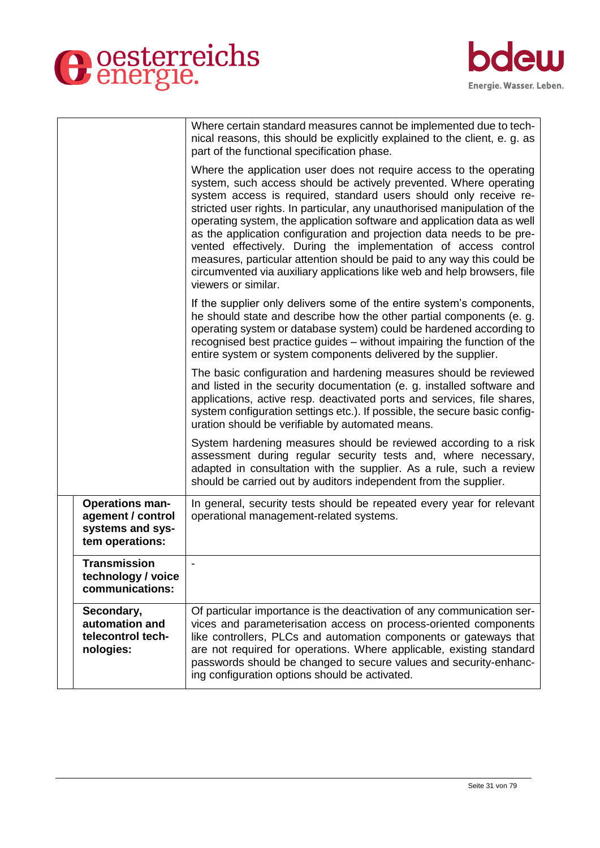

|                                                                                    | Where certain standard measures cannot be implemented due to tech-<br>nical reasons, this should be explicitly explained to the client, e. g. as<br>part of the functional specification phase.                                                                                                                                                                                                                                                                                                                                                                                                                                                                                                |
|------------------------------------------------------------------------------------|------------------------------------------------------------------------------------------------------------------------------------------------------------------------------------------------------------------------------------------------------------------------------------------------------------------------------------------------------------------------------------------------------------------------------------------------------------------------------------------------------------------------------------------------------------------------------------------------------------------------------------------------------------------------------------------------|
|                                                                                    | Where the application user does not require access to the operating<br>system, such access should be actively prevented. Where operating<br>system access is required, standard users should only receive re-<br>stricted user rights. In particular, any unauthorised manipulation of the<br>operating system, the application software and application data as well<br>as the application configuration and projection data needs to be pre-<br>vented effectively. During the implementation of access control<br>measures, particular attention should be paid to any way this could be<br>circumvented via auxiliary applications like web and help browsers, file<br>viewers or similar. |
|                                                                                    | If the supplier only delivers some of the entire system's components,<br>he should state and describe how the other partial components (e. g.<br>operating system or database system) could be hardened according to<br>recognised best practice guides – without impairing the function of the<br>entire system or system components delivered by the supplier.                                                                                                                                                                                                                                                                                                                               |
|                                                                                    | The basic configuration and hardening measures should be reviewed<br>and listed in the security documentation (e. g. installed software and<br>applications, active resp. deactivated ports and services, file shares,<br>system configuration settings etc.). If possible, the secure basic config-<br>uration should be verifiable by automated means.                                                                                                                                                                                                                                                                                                                                       |
|                                                                                    | System hardening measures should be reviewed according to a risk<br>assessment during regular security tests and, where necessary,<br>adapted in consultation with the supplier. As a rule, such a review<br>should be carried out by auditors independent from the supplier.                                                                                                                                                                                                                                                                                                                                                                                                                  |
| <b>Operations man-</b><br>agement / control<br>systems and sys-<br>tem operations: | In general, security tests should be repeated every year for relevant<br>operational management-related systems.                                                                                                                                                                                                                                                                                                                                                                                                                                                                                                                                                                               |
| <b>Transmission</b><br>technology / voice<br>communications:                       |                                                                                                                                                                                                                                                                                                                                                                                                                                                                                                                                                                                                                                                                                                |
| Secondary,<br>automation and<br>telecontrol tech-<br>nologies:                     | Of particular importance is the deactivation of any communication ser-<br>vices and parameterisation access on process-oriented components<br>like controllers, PLCs and automation components or gateways that<br>are not required for operations. Where applicable, existing standard<br>passwords should be changed to secure values and security-enhanc-<br>ing configuration options should be activated.                                                                                                                                                                                                                                                                                 |

bdew

Energie. Wasser. Leben.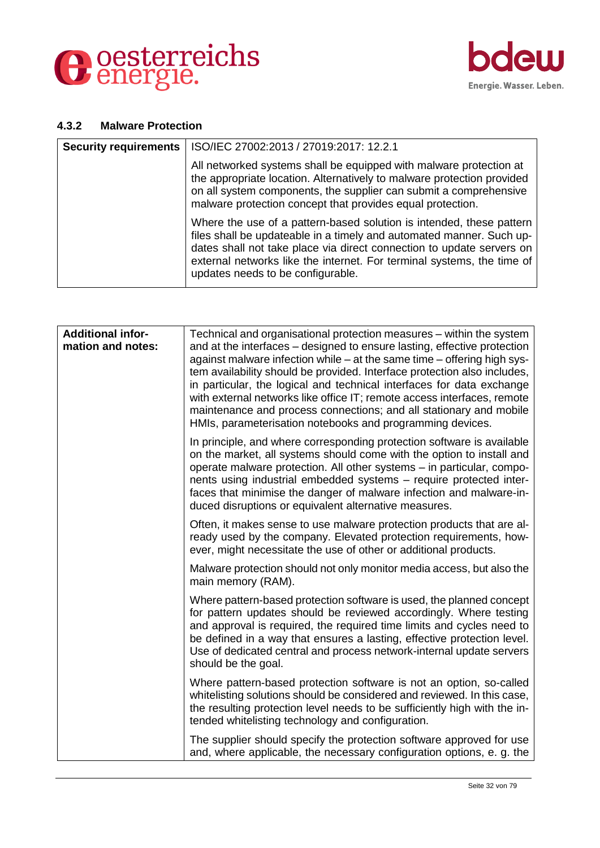



#### <span id="page-31-0"></span>**4.3.2 Malware Protection**

| <b>Security requirements</b> | ISO/IEC 27002:2013 / 27019:2017: 12.2.1                                                                                                                                                                                                                                                                                              |
|------------------------------|--------------------------------------------------------------------------------------------------------------------------------------------------------------------------------------------------------------------------------------------------------------------------------------------------------------------------------------|
|                              | All networked systems shall be equipped with malware protection at<br>the appropriate location. Alternatively to malware protection provided<br>on all system components, the supplier can submit a comprehensive<br>malware protection concept that provides equal protection.                                                      |
|                              | Where the use of a pattern-based solution is intended, these pattern<br>files shall be updateable in a timely and automated manner. Such up-<br>dates shall not take place via direct connection to update servers on<br>external networks like the internet. For terminal systems, the time of<br>updates needs to be configurable. |

| <b>Additional infor-</b><br>mation and notes: | Technical and organisational protection measures - within the system<br>and at the interfaces – designed to ensure lasting, effective protection<br>against malware infection while - at the same time - offering high sys-<br>tem availability should be provided. Interface protection also includes,<br>in particular, the logical and technical interfaces for data exchange<br>with external networks like office IT; remote access interfaces, remote<br>maintenance and process connections; and all stationary and mobile<br>HMIs, parameterisation notebooks and programming devices. |
|-----------------------------------------------|------------------------------------------------------------------------------------------------------------------------------------------------------------------------------------------------------------------------------------------------------------------------------------------------------------------------------------------------------------------------------------------------------------------------------------------------------------------------------------------------------------------------------------------------------------------------------------------------|
|                                               | In principle, and where corresponding protection software is available<br>on the market, all systems should come with the option to install and<br>operate malware protection. All other systems - in particular, compo-<br>nents using industrial embedded systems - require protected inter-<br>faces that minimise the danger of malware infection and malware-in-<br>duced disruptions or equivalent alternative measures.                                                                                                                                                                 |
|                                               | Often, it makes sense to use malware protection products that are al-<br>ready used by the company. Elevated protection requirements, how-<br>ever, might necessitate the use of other or additional products.                                                                                                                                                                                                                                                                                                                                                                                 |
|                                               | Malware protection should not only monitor media access, but also the<br>main memory (RAM).                                                                                                                                                                                                                                                                                                                                                                                                                                                                                                    |
|                                               | Where pattern-based protection software is used, the planned concept<br>for pattern updates should be reviewed accordingly. Where testing<br>and approval is required, the required time limits and cycles need to<br>be defined in a way that ensures a lasting, effective protection level.<br>Use of dedicated central and process network-internal update servers<br>should be the goal.                                                                                                                                                                                                   |
|                                               | Where pattern-based protection software is not an option, so-called<br>whitelisting solutions should be considered and reviewed. In this case,<br>the resulting protection level needs to be sufficiently high with the in-<br>tended whitelisting technology and configuration.                                                                                                                                                                                                                                                                                                               |
|                                               | The supplier should specify the protection software approved for use<br>and, where applicable, the necessary configuration options, e. g. the                                                                                                                                                                                                                                                                                                                                                                                                                                                  |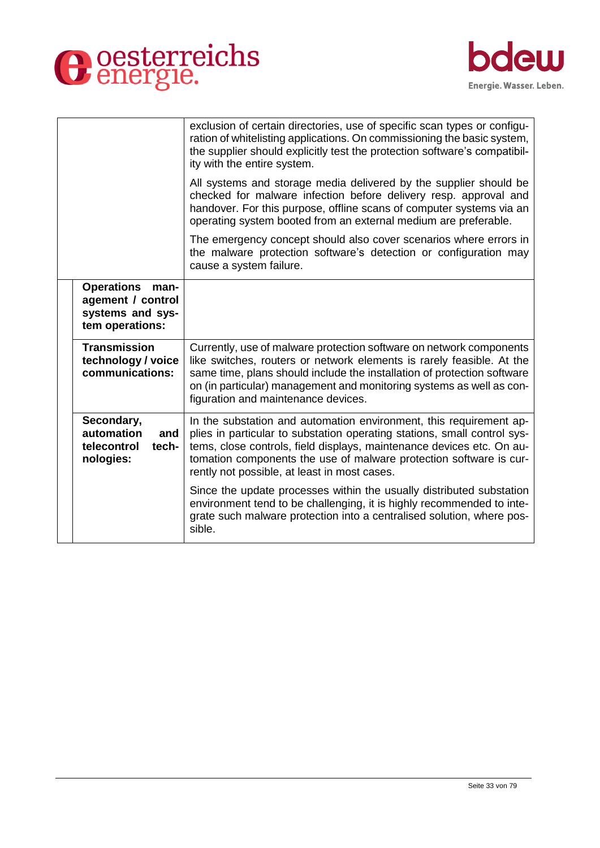



|                                                                                       | exclusion of certain directories, use of specific scan types or configu-<br>ration of whitelisting applications. On commissioning the basic system,<br>the supplier should explicitly test the protection software's compatibil-<br>ity with the entire system.                                                                               |
|---------------------------------------------------------------------------------------|-----------------------------------------------------------------------------------------------------------------------------------------------------------------------------------------------------------------------------------------------------------------------------------------------------------------------------------------------|
|                                                                                       | All systems and storage media delivered by the supplier should be<br>checked for malware infection before delivery resp. approval and<br>handover. For this purpose, offline scans of computer systems via an<br>operating system booted from an external medium are preferable.                                                              |
|                                                                                       | The emergency concept should also cover scenarios where errors in<br>the malware protection software's detection or configuration may<br>cause a system failure.                                                                                                                                                                              |
| <b>Operations</b><br>man-<br>agement / control<br>systems and sys-<br>tem operations: |                                                                                                                                                                                                                                                                                                                                               |
| <b>Transmission</b><br>technology / voice<br>communications:                          | Currently, use of malware protection software on network components<br>like switches, routers or network elements is rarely feasible. At the<br>same time, plans should include the installation of protection software<br>on (in particular) management and monitoring systems as well as con-<br>figuration and maintenance devices.        |
| Secondary,<br>automation<br>and<br>telecontrol<br>tech-<br>nologies:                  | In the substation and automation environment, this requirement ap-<br>plies in particular to substation operating stations, small control sys-<br>tems, close controls, field displays, maintenance devices etc. On au-<br>tomation components the use of malware protection software is cur-<br>rently not possible, at least in most cases. |
|                                                                                       | Since the update processes within the usually distributed substation<br>environment tend to be challenging, it is highly recommended to inte-<br>grate such malware protection into a centralised solution, where pos-<br>sible.                                                                                                              |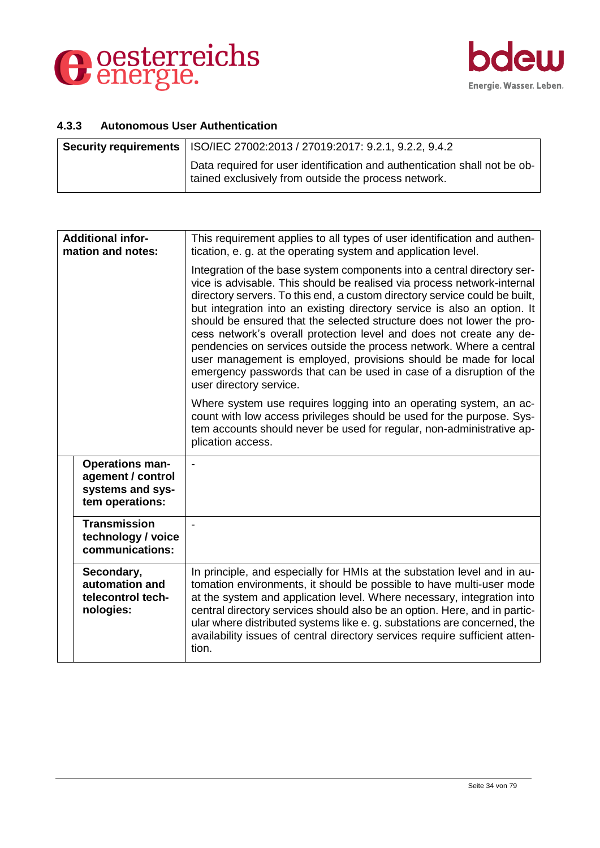



#### <span id="page-33-0"></span>**4.3.3 Autonomous User Authentication**

| <b>Security requirements   ISO/IEC 27002:2013 / 27019:2017: 9.2.1, 9.2.2, 9.4.2</b>                                                 |
|-------------------------------------------------------------------------------------------------------------------------------------|
| Data required for user identification and authentication shall not be ob-<br>I tained exclusively from outside the process network. |

| <b>Additional infor-</b><br>mation and notes:                                      | This requirement applies to all types of user identification and authen-<br>tication, e. g. at the operating system and application level.                                                                                                                                                                                                                                                                                                                                                                                                                                                                                                                                                                |
|------------------------------------------------------------------------------------|-----------------------------------------------------------------------------------------------------------------------------------------------------------------------------------------------------------------------------------------------------------------------------------------------------------------------------------------------------------------------------------------------------------------------------------------------------------------------------------------------------------------------------------------------------------------------------------------------------------------------------------------------------------------------------------------------------------|
|                                                                                    | Integration of the base system components into a central directory ser-<br>vice is advisable. This should be realised via process network-internal<br>directory servers. To this end, a custom directory service could be built,<br>but integration into an existing directory service is also an option. It<br>should be ensured that the selected structure does not lower the pro-<br>cess network's overall protection level and does not create any de-<br>pendencies on services outside the process network. Where a central<br>user management is employed, provisions should be made for local<br>emergency passwords that can be used in case of a disruption of the<br>user directory service. |
|                                                                                    | Where system use requires logging into an operating system, an ac-<br>count with low access privileges should be used for the purpose. Sys-<br>tem accounts should never be used for regular, non-administrative ap-<br>plication access.                                                                                                                                                                                                                                                                                                                                                                                                                                                                 |
| <b>Operations man-</b><br>agement / control<br>systems and sys-<br>tem operations: | $\blacksquare$                                                                                                                                                                                                                                                                                                                                                                                                                                                                                                                                                                                                                                                                                            |
| <b>Transmission</b><br>technology / voice<br>communications:                       |                                                                                                                                                                                                                                                                                                                                                                                                                                                                                                                                                                                                                                                                                                           |
| Secondary,<br>automation and<br>telecontrol tech-<br>nologies:                     | In principle, and especially for HMIs at the substation level and in au-<br>tomation environments, it should be possible to have multi-user mode<br>at the system and application level. Where necessary, integration into<br>central directory services should also be an option. Here, and in partic-<br>ular where distributed systems like e. g. substations are concerned, the<br>availability issues of central directory services require sufficient atten-<br>tion.                                                                                                                                                                                                                               |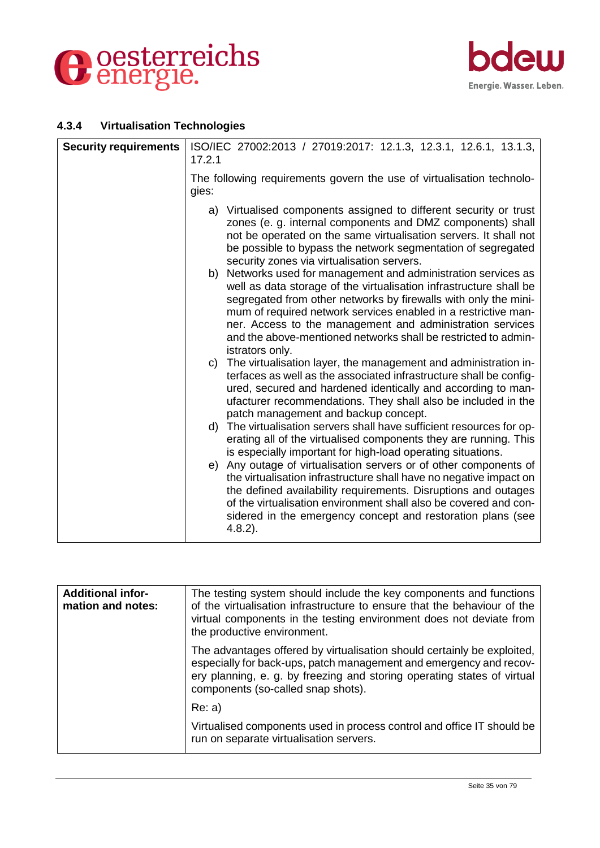



# <span id="page-34-0"></span>**4.3.4 Virtualisation Technologies**

| <b>Security requirements</b> | ISO/IEC 27002:2013 / 27019:2017: 12.1.3, 12.3.1, 12.6.1, 13.1.3,<br>17.2.1                                                                                                                                                                                                                                                                                                                                                     |
|------------------------------|--------------------------------------------------------------------------------------------------------------------------------------------------------------------------------------------------------------------------------------------------------------------------------------------------------------------------------------------------------------------------------------------------------------------------------|
|                              | The following requirements govern the use of virtualisation technolo-<br>gies:                                                                                                                                                                                                                                                                                                                                                 |
|                              | a) Virtualised components assigned to different security or trust<br>zones (e. g. internal components and DMZ components) shall<br>not be operated on the same virtualisation servers. It shall not<br>be possible to bypass the network segmentation of segregated<br>security zones via virtualisation servers.                                                                                                              |
|                              | Networks used for management and administration services as<br>b)<br>well as data storage of the virtualisation infrastructure shall be<br>segregated from other networks by firewalls with only the mini-<br>mum of required network services enabled in a restrictive man-<br>ner. Access to the management and administration services<br>and the above-mentioned networks shall be restricted to admin-<br>istrators only. |
|                              | c) The virtualisation layer, the management and administration in-<br>terfaces as well as the associated infrastructure shall be config-<br>ured, secured and hardened identically and according to man-<br>ufacturer recommendations. They shall also be included in the<br>patch management and backup concept.                                                                                                              |
|                              | d) The virtualisation servers shall have sufficient resources for op-<br>erating all of the virtualised components they are running. This<br>is especially important for high-load operating situations.                                                                                                                                                                                                                       |
|                              | e) Any outage of virtualisation servers or of other components of<br>the virtualisation infrastructure shall have no negative impact on<br>the defined availability requirements. Disruptions and outages<br>of the virtualisation environment shall also be covered and con-<br>sidered in the emergency concept and restoration plans (see<br>$4.8.2$ ).                                                                     |

| <b>Additional infor-</b><br>mation and notes: | The testing system should include the key components and functions<br>of the virtualisation infrastructure to ensure that the behaviour of the<br>virtual components in the testing environment does not deviate from<br>the productive environment.           |
|-----------------------------------------------|----------------------------------------------------------------------------------------------------------------------------------------------------------------------------------------------------------------------------------------------------------------|
|                                               | The advantages offered by virtualisation should certainly be exploited,<br>especially for back-ups, patch management and emergency and recov-<br>ery planning, e. g. by freezing and storing operating states of virtual<br>components (so-called snap shots). |
|                                               | Re: a)                                                                                                                                                                                                                                                         |
|                                               | Virtualised components used in process control and office IT should be<br>run on separate virtualisation servers.                                                                                                                                              |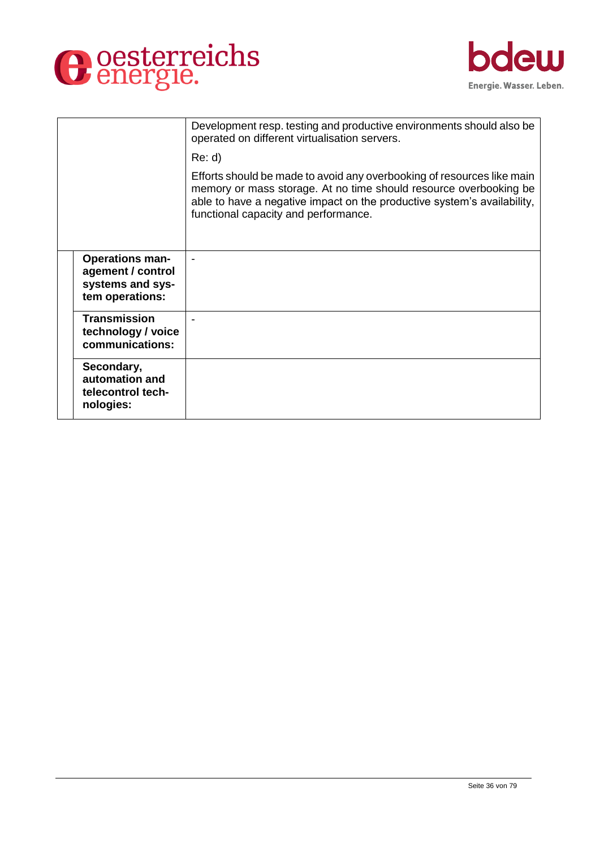



|                                                                                    | Development resp. testing and productive environments should also be<br>operated on different virtualisation servers.                                                                                                                                          |
|------------------------------------------------------------------------------------|----------------------------------------------------------------------------------------------------------------------------------------------------------------------------------------------------------------------------------------------------------------|
|                                                                                    | Re: d                                                                                                                                                                                                                                                          |
|                                                                                    | Efforts should be made to avoid any overbooking of resources like main<br>memory or mass storage. At no time should resource overbooking be<br>able to have a negative impact on the productive system's availability,<br>functional capacity and performance. |
| <b>Operations man-</b><br>agement / control<br>systems and sys-<br>tem operations: |                                                                                                                                                                                                                                                                |
| <b>Transmission</b><br>technology / voice<br>communications:                       |                                                                                                                                                                                                                                                                |
| Secondary,<br>automation and<br>telecontrol tech-<br>nologies:                     |                                                                                                                                                                                                                                                                |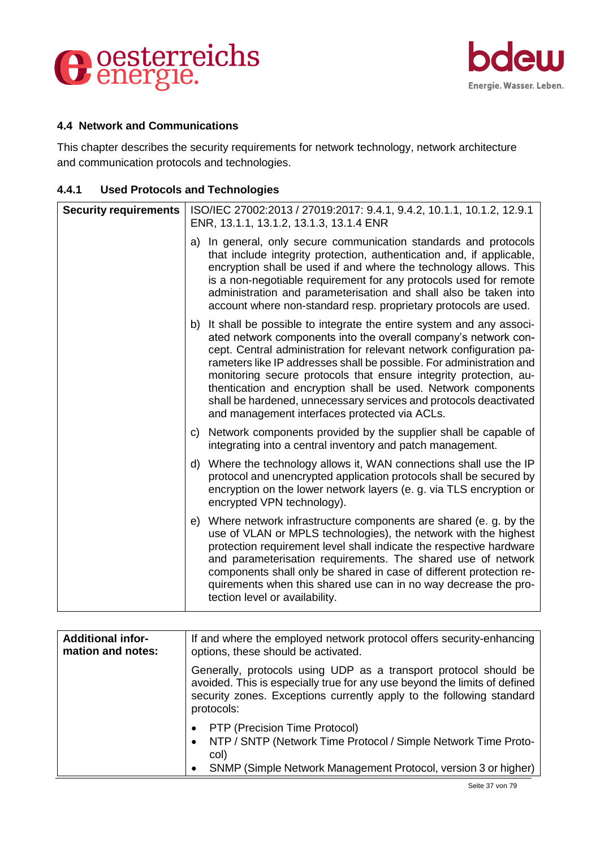



#### **4.4 Network and Communications**

This chapter describes the security requirements for network technology, network architecture and communication protocols and technologies.

#### **4.4.1 Used Protocols and Technologies**

| <b>Security requirements</b> | ISO/IEC 27002:2013 / 27019:2017: 9.4.1, 9.4.2, 10.1.1, 10.1.2, 12.9.1<br>ENR, 13.1.1, 13.1.2, 13.1.3, 13.1.4 ENR                                                                                                                                                                                                                                                                                                                                                                                                                                     |
|------------------------------|------------------------------------------------------------------------------------------------------------------------------------------------------------------------------------------------------------------------------------------------------------------------------------------------------------------------------------------------------------------------------------------------------------------------------------------------------------------------------------------------------------------------------------------------------|
|                              | a) In general, only secure communication standards and protocols<br>that include integrity protection, authentication and, if applicable,<br>encryption shall be used if and where the technology allows. This<br>is a non-negotiable requirement for any protocols used for remote<br>administration and parameterisation and shall also be taken into<br>account where non-standard resp. proprietary protocols are used.                                                                                                                          |
|                              | b) It shall be possible to integrate the entire system and any associ-<br>ated network components into the overall company's network con-<br>cept. Central administration for relevant network configuration pa-<br>rameters like IP addresses shall be possible. For administration and<br>monitoring secure protocols that ensure integrity protection, au-<br>thentication and encryption shall be used. Network components<br>shall be hardened, unnecessary services and protocols deactivated<br>and management interfaces protected via ACLs. |
|                              | c) Network components provided by the supplier shall be capable of<br>integrating into a central inventory and patch management.                                                                                                                                                                                                                                                                                                                                                                                                                     |
|                              | d) Where the technology allows it, WAN connections shall use the IP<br>protocol and unencrypted application protocols shall be secured by<br>encryption on the lower network layers (e. g. via TLS encryption or<br>encrypted VPN technology).                                                                                                                                                                                                                                                                                                       |
|                              | e) Where network infrastructure components are shared (e. g. by the<br>use of VLAN or MPLS technologies), the network with the highest<br>protection requirement level shall indicate the respective hardware<br>and parameterisation requirements. The shared use of network<br>components shall only be shared in case of different protection re-<br>quirements when this shared use can in no way decrease the pro-<br>tection level or availability.                                                                                            |

| <b>Additional infor-</b><br>mation and notes: | If and where the employed network protocol offers security-enhancing<br>options, these should be activated.                                                                                                                         |
|-----------------------------------------------|-------------------------------------------------------------------------------------------------------------------------------------------------------------------------------------------------------------------------------------|
|                                               | Generally, protocols using UDP as a transport protocol should be<br>avoided. This is especially true for any use beyond the limits of defined<br>security zones. Exceptions currently apply to the following standard<br>protocols: |
|                                               | PTP (Precision Time Protocol)<br>NTP / SNTP (Network Time Protocol / Simple Network Time Proto-<br>COI)<br>SNMP (Simple Network Management Protocol, version 3 or higher)                                                           |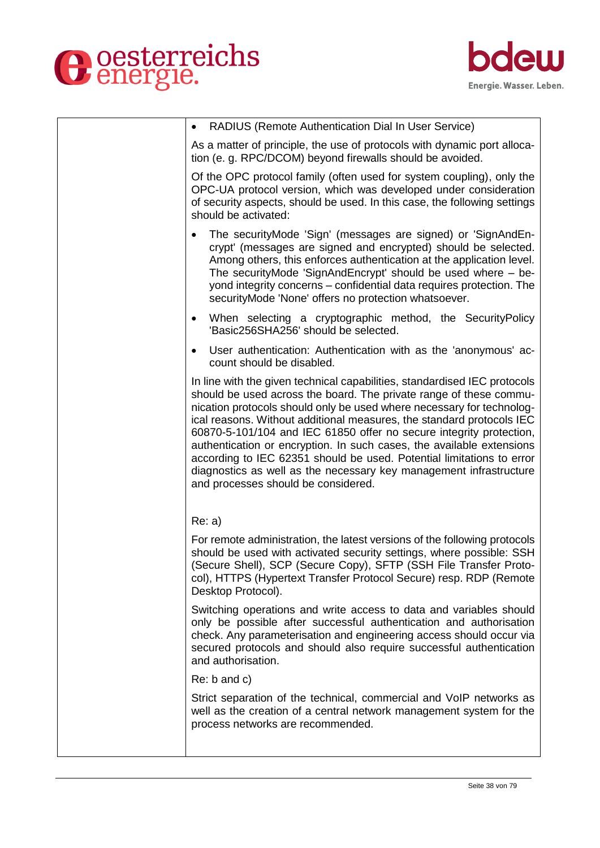



| RADIUS (Remote Authentication Dial In User Service)<br>$\bullet$                                                                                                                                                                                                                                                                                                                                                                                                                                                                                                                                                                        |
|-----------------------------------------------------------------------------------------------------------------------------------------------------------------------------------------------------------------------------------------------------------------------------------------------------------------------------------------------------------------------------------------------------------------------------------------------------------------------------------------------------------------------------------------------------------------------------------------------------------------------------------------|
| As a matter of principle, the use of protocols with dynamic port alloca-<br>tion (e. g. RPC/DCOM) beyond firewalls should be avoided.                                                                                                                                                                                                                                                                                                                                                                                                                                                                                                   |
| Of the OPC protocol family (often used for system coupling), only the<br>OPC-UA protocol version, which was developed under consideration<br>of security aspects, should be used. In this case, the following settings<br>should be activated:                                                                                                                                                                                                                                                                                                                                                                                          |
| The securityMode 'Sign' (messages are signed) or 'SignAndEn-<br>crypt' (messages are signed and encrypted) should be selected.<br>Among others, this enforces authentication at the application level.<br>The securityMode 'SignAndEncrypt' should be used where - be-<br>yond integrity concerns – confidential data requires protection. The<br>securityMode 'None' offers no protection whatsoever.                                                                                                                                                                                                                                  |
| When selecting a cryptographic method, the SecurityPolicy<br>٠<br>'Basic256SHA256' should be selected.                                                                                                                                                                                                                                                                                                                                                                                                                                                                                                                                  |
| User authentication: Authentication with as the 'anonymous' ac-<br>count should be disabled.                                                                                                                                                                                                                                                                                                                                                                                                                                                                                                                                            |
| In line with the given technical capabilities, standardised IEC protocols<br>should be used across the board. The private range of these commu-<br>nication protocols should only be used where necessary for technolog-<br>ical reasons. Without additional measures, the standard protocols IEC<br>60870-5-101/104 and IEC 61850 offer no secure integrity protection,<br>authentication or encryption. In such cases, the available extensions<br>according to IEC 62351 should be used. Potential limitations to error<br>diagnostics as well as the necessary key management infrastructure<br>and processes should be considered. |
| Re: a)                                                                                                                                                                                                                                                                                                                                                                                                                                                                                                                                                                                                                                  |
| For remote administration, the latest versions of the following protocols<br>should be used with activated security settings, where possible: SSH<br>(Secure Shell), SCP (Secure Copy), SFTP (SSH File Transfer Proto-<br>col), HTTPS (Hypertext Transfer Protocol Secure) resp. RDP (Remote<br>Desktop Protocol).                                                                                                                                                                                                                                                                                                                      |
| Switching operations and write access to data and variables should<br>only be possible after successful authentication and authorisation<br>check. Any parameterisation and engineering access should occur via<br>secured protocols and should also require successful authentication<br>and authorisation.                                                                                                                                                                                                                                                                                                                            |
| $Re: b$ and $c)$                                                                                                                                                                                                                                                                                                                                                                                                                                                                                                                                                                                                                        |
| Strict separation of the technical, commercial and VoIP networks as<br>well as the creation of a central network management system for the<br>process networks are recommended.                                                                                                                                                                                                                                                                                                                                                                                                                                                         |
|                                                                                                                                                                                                                                                                                                                                                                                                                                                                                                                                                                                                                                         |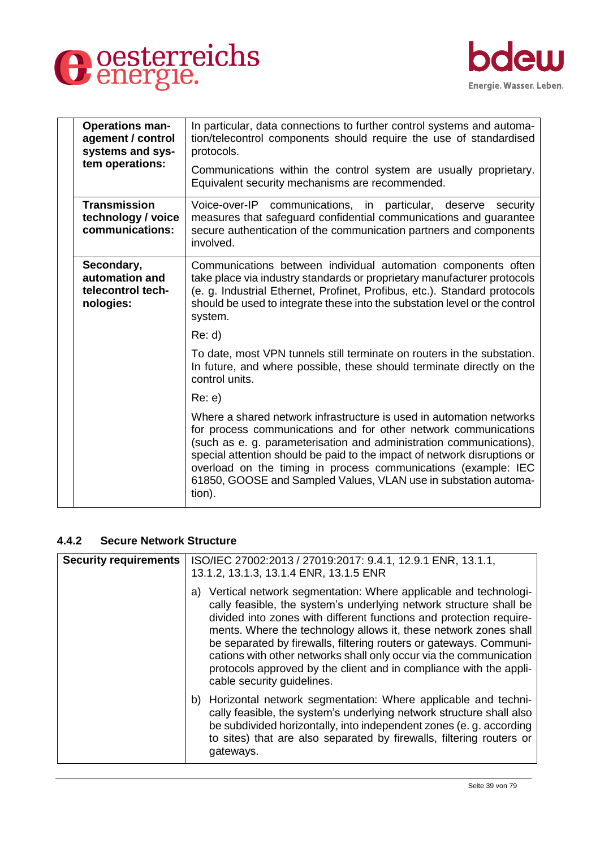



| <b>Operations man-</b><br>agement / control<br>systems and sys-<br>tem operations: | In particular, data connections to further control systems and automa-<br>tion/telecontrol components should require the use of standardised<br>protocols.                                                                                                                                                                                                                                                                                |
|------------------------------------------------------------------------------------|-------------------------------------------------------------------------------------------------------------------------------------------------------------------------------------------------------------------------------------------------------------------------------------------------------------------------------------------------------------------------------------------------------------------------------------------|
|                                                                                    | Communications within the control system are usually proprietary.<br>Equivalent security mechanisms are recommended.                                                                                                                                                                                                                                                                                                                      |
| <b>Transmission</b><br>technology / voice<br>communications:                       | Voice-over-IP communications, in particular, deserve<br>security<br>measures that safeguard confidential communications and guarantee<br>secure authentication of the communication partners and components<br>involved.                                                                                                                                                                                                                  |
| Secondary,<br>automation and<br>telecontrol tech-<br>nologies:                     | Communications between individual automation components often<br>take place via industry standards or proprietary manufacturer protocols<br>(e. g. Industrial Ethernet, Profinet, Profibus, etc.). Standard protocols<br>should be used to integrate these into the substation level or the control<br>system.                                                                                                                            |
|                                                                                    | Re: d                                                                                                                                                                                                                                                                                                                                                                                                                                     |
|                                                                                    | To date, most VPN tunnels still terminate on routers in the substation.<br>In future, and where possible, these should terminate directly on the<br>control units.                                                                                                                                                                                                                                                                        |
|                                                                                    | Re: e)                                                                                                                                                                                                                                                                                                                                                                                                                                    |
|                                                                                    | Where a shared network infrastructure is used in automation networks<br>for process communications and for other network communications<br>(such as e. g. parameterisation and administration communications),<br>special attention should be paid to the impact of network disruptions or<br>overload on the timing in process communications (example: IEC<br>61850, GOOSE and Sampled Values, VLAN use in substation automa-<br>tion). |
|                                                                                    |                                                                                                                                                                                                                                                                                                                                                                                                                                           |

#### **4.4.2 Secure Network Structure**

| <b>Security requirements</b> | ISO/IEC 27002:2013 / 27019:2017: 9.4.1, 12.9.1 ENR, 13.1.1,<br>13.1.2, 13.1.3, 13.1.4 ENR, 13.1.5 ENR                                                                                                                                                                                                                                                                                                                                                                                                                               |
|------------------------------|-------------------------------------------------------------------------------------------------------------------------------------------------------------------------------------------------------------------------------------------------------------------------------------------------------------------------------------------------------------------------------------------------------------------------------------------------------------------------------------------------------------------------------------|
|                              | a) Vertical network segmentation: Where applicable and technologi-<br>cally feasible, the system's underlying network structure shall be<br>divided into zones with different functions and protection require-<br>ments. Where the technology allows it, these network zones shall<br>be separated by firewalls, filtering routers or gateways. Communi-<br>cations with other networks shall only occur via the communication<br>protocols approved by the client and in compliance with the appli-<br>cable security guidelines. |
|                              | b) Horizontal network segmentation: Where applicable and techni-<br>cally feasible, the system's underlying network structure shall also<br>be subdivided horizontally, into independent zones (e. g. according<br>to sites) that are also separated by firewalls, filtering routers or<br>gateways.                                                                                                                                                                                                                                |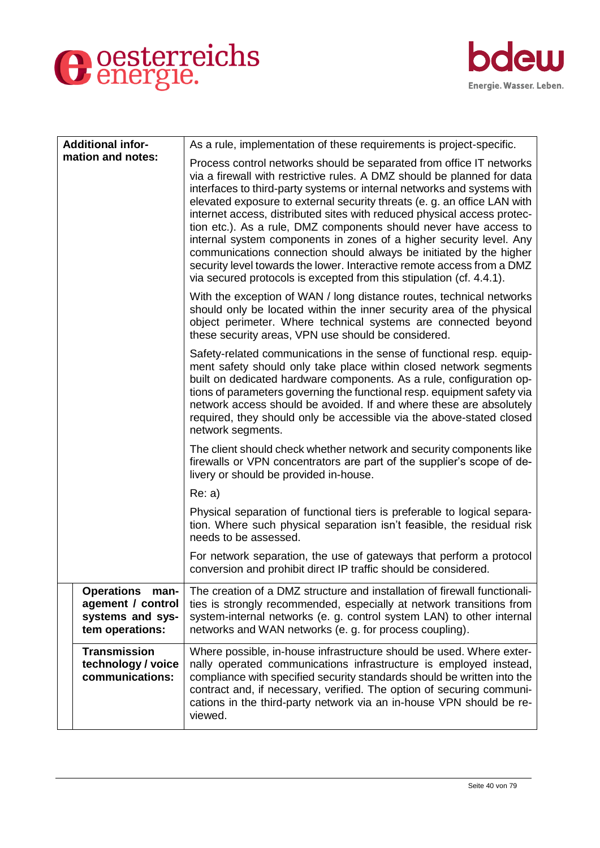



| <b>Additional infor-</b>                                                              | As a rule, implementation of these requirements is project-specific.                                                                                                                                                                                                                                                                                                                                                                                                                                                                                                                                                                                                                                                                                  |
|---------------------------------------------------------------------------------------|-------------------------------------------------------------------------------------------------------------------------------------------------------------------------------------------------------------------------------------------------------------------------------------------------------------------------------------------------------------------------------------------------------------------------------------------------------------------------------------------------------------------------------------------------------------------------------------------------------------------------------------------------------------------------------------------------------------------------------------------------------|
| mation and notes:                                                                     | Process control networks should be separated from office IT networks<br>via a firewall with restrictive rules. A DMZ should be planned for data<br>interfaces to third-party systems or internal networks and systems with<br>elevated exposure to external security threats (e. g. an office LAN with<br>internet access, distributed sites with reduced physical access protec-<br>tion etc.). As a rule, DMZ components should never have access to<br>internal system components in zones of a higher security level. Any<br>communications connection should always be initiated by the higher<br>security level towards the lower. Interactive remote access from a DMZ<br>via secured protocols is excepted from this stipulation (cf. 4.4.1). |
|                                                                                       | With the exception of WAN / long distance routes, technical networks<br>should only be located within the inner security area of the physical<br>object perimeter. Where technical systems are connected beyond<br>these security areas, VPN use should be considered.                                                                                                                                                                                                                                                                                                                                                                                                                                                                                |
|                                                                                       | Safety-related communications in the sense of functional resp. equip-<br>ment safety should only take place within closed network segments<br>built on dedicated hardware components. As a rule, configuration op-<br>tions of parameters governing the functional resp. equipment safety via<br>network access should be avoided. If and where these are absolutely<br>required, they should only be accessible via the above-stated closed<br>network segments.                                                                                                                                                                                                                                                                                     |
|                                                                                       | The client should check whether network and security components like<br>firewalls or VPN concentrators are part of the supplier's scope of de-<br>livery or should be provided in-house.                                                                                                                                                                                                                                                                                                                                                                                                                                                                                                                                                              |
|                                                                                       | Re: a)                                                                                                                                                                                                                                                                                                                                                                                                                                                                                                                                                                                                                                                                                                                                                |
|                                                                                       | Physical separation of functional tiers is preferable to logical separa-<br>tion. Where such physical separation isn't feasible, the residual risk<br>needs to be assessed.                                                                                                                                                                                                                                                                                                                                                                                                                                                                                                                                                                           |
|                                                                                       | For network separation, the use of gateways that perform a protocol<br>conversion and prohibit direct IP traffic should be considered.                                                                                                                                                                                                                                                                                                                                                                                                                                                                                                                                                                                                                |
| <b>Operations</b><br>man-<br>agement / control<br>systems and sys-<br>tem operations: | The creation of a DMZ structure and installation of firewall functionali-<br>ties is strongly recommended, especially at network transitions from<br>system-internal networks (e. g. control system LAN) to other internal<br>networks and WAN networks (e. g. for process coupling).                                                                                                                                                                                                                                                                                                                                                                                                                                                                 |
| <b>Transmission</b><br>technology / voice<br>communications:                          | Where possible, in-house infrastructure should be used. Where exter-<br>nally operated communications infrastructure is employed instead,<br>compliance with specified security standards should be written into the<br>contract and, if necessary, verified. The option of securing communi-<br>cations in the third-party network via an in-house VPN should be re-<br>viewed.                                                                                                                                                                                                                                                                                                                                                                      |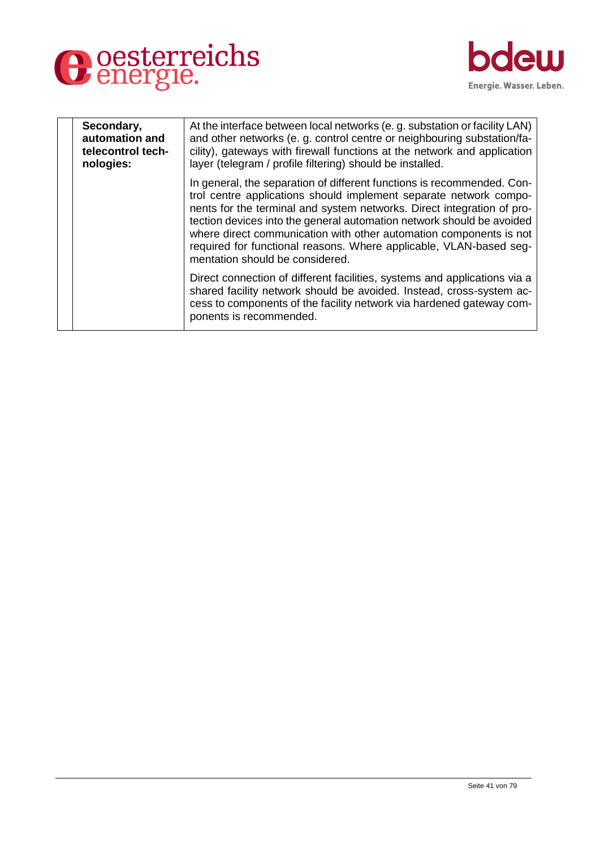



| Secondary,<br>automation and<br>telecontrol tech-<br>nologies: | At the interface between local networks (e.g. substation or facility LAN)<br>and other networks (e. g. control centre or neighbouring substation/fa-<br>cility), gateways with firewall functions at the network and application<br>layer (telegram / profile filtering) should be installed.                                                                                                                                                                                 |
|----------------------------------------------------------------|-------------------------------------------------------------------------------------------------------------------------------------------------------------------------------------------------------------------------------------------------------------------------------------------------------------------------------------------------------------------------------------------------------------------------------------------------------------------------------|
|                                                                | In general, the separation of different functions is recommended. Con-<br>trol centre applications should implement separate network compo-<br>nents for the terminal and system networks. Direct integration of pro-<br>tection devices into the general automation network should be avoided<br>where direct communication with other automation components is not<br>required for functional reasons. Where applicable, VLAN-based seg-<br>mentation should be considered. |
|                                                                | Direct connection of different facilities, systems and applications via a<br>shared facility network should be avoided. Instead, cross-system ac-<br>cess to components of the facility network via hardened gateway com-<br>ponents is recommended.                                                                                                                                                                                                                          |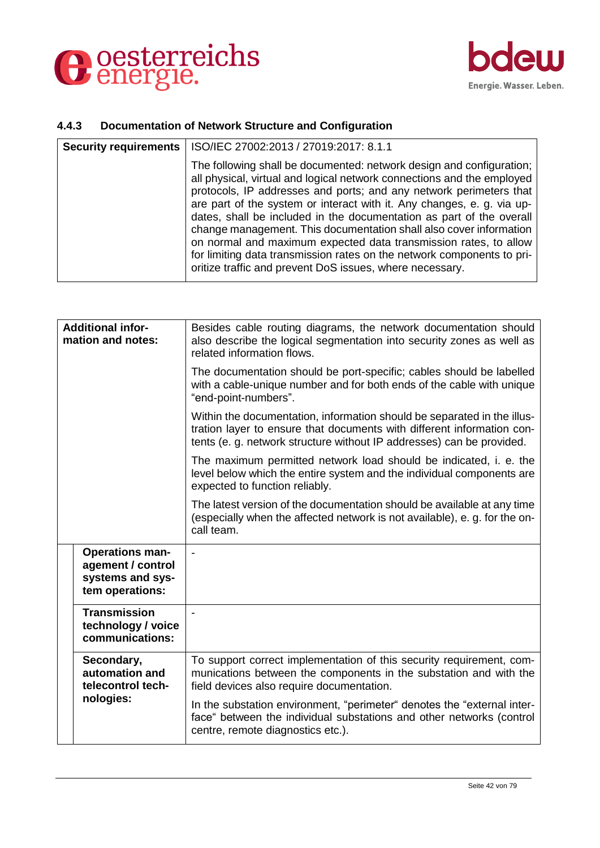



## **4.4.3 Documentation of Network Structure and Configuration**

| <b>Security requirements</b> | ISO/IEC 27002:2013 / 27019:2017: 8.1.1                                                                                                                                                                                                                                                                                                                                                                                                                                                                                                                                                                                                                 |
|------------------------------|--------------------------------------------------------------------------------------------------------------------------------------------------------------------------------------------------------------------------------------------------------------------------------------------------------------------------------------------------------------------------------------------------------------------------------------------------------------------------------------------------------------------------------------------------------------------------------------------------------------------------------------------------------|
|                              | The following shall be documented: network design and configuration;<br>all physical, virtual and logical network connections and the employed<br>protocols, IP addresses and ports; and any network perimeters that<br>are part of the system or interact with it. Any changes, e. g. via up-<br>dates, shall be included in the documentation as part of the overall<br>change management. This documentation shall also cover information<br>on normal and maximum expected data transmission rates, to allow<br>for limiting data transmission rates on the network components to pri-<br>oritize traffic and prevent DoS issues, where necessary. |

| <b>Additional infor-</b><br>mation and notes: |                                                                                    | Besides cable routing diagrams, the network documentation should<br>also describe the logical segmentation into security zones as well as<br>related information flows.                                                    |
|-----------------------------------------------|------------------------------------------------------------------------------------|----------------------------------------------------------------------------------------------------------------------------------------------------------------------------------------------------------------------------|
|                                               |                                                                                    | The documentation should be port-specific; cables should be labelled<br>with a cable-unique number and for both ends of the cable with unique<br>"end-point-numbers".                                                      |
|                                               |                                                                                    | Within the documentation, information should be separated in the illus-<br>tration layer to ensure that documents with different information con-<br>tents (e. g. network structure without IP addresses) can be provided. |
|                                               |                                                                                    | The maximum permitted network load should be indicated, i. e. the<br>level below which the entire system and the individual components are<br>expected to function reliably.                                               |
|                                               |                                                                                    | The latest version of the documentation should be available at any time<br>(especially when the affected network is not available), e. g. for the on-<br>call team.                                                        |
|                                               | <b>Operations man-</b><br>agement / control<br>systems and sys-<br>tem operations: | $\overline{\phantom{0}}$                                                                                                                                                                                                   |
|                                               | <b>Transmission</b><br>technology / voice<br>communications:                       |                                                                                                                                                                                                                            |
|                                               | Secondary,<br>automation and<br>telecontrol tech-                                  | To support correct implementation of this security requirement, com-<br>munications between the components in the substation and with the<br>field devices also require documentation.                                     |
|                                               | nologies:                                                                          | In the substation environment, "perimeter" denotes the "external inter-<br>face" between the individual substations and other networks (control<br>centre, remote diagnostics etc.).                                       |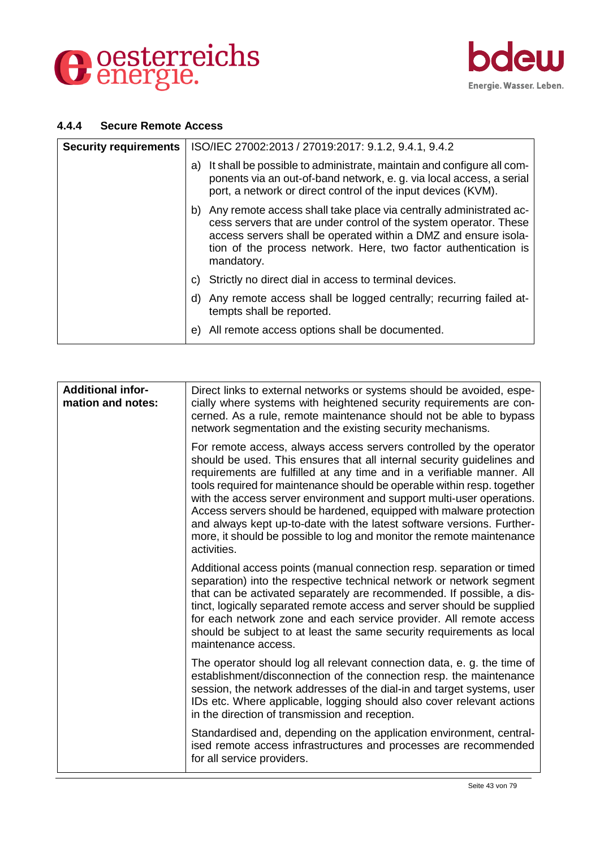



#### **4.4.4 Secure Remote Access**

| <b>Security requirements</b> | ISO/IEC 27002:2013 / 27019:2017: 9.1.2, 9.4.1, 9.4.2                                                                                                                                                                                                                                           |
|------------------------------|------------------------------------------------------------------------------------------------------------------------------------------------------------------------------------------------------------------------------------------------------------------------------------------------|
|                              | It shall be possible to administrate, maintain and configure all com-<br>a)<br>ponents via an out-of-band network, e. g. via local access, a serial<br>port, a network or direct control of the input devices (KVM).                                                                           |
|                              | b) Any remote access shall take place via centrally administrated ac-<br>cess servers that are under control of the system operator. These<br>access servers shall be operated within a DMZ and ensure isola-<br>tion of the process network. Here, two factor authentication is<br>mandatory. |
|                              | c) Strictly no direct dial in access to terminal devices.                                                                                                                                                                                                                                      |
|                              | d) Any remote access shall be logged centrally; recurring failed at-<br>tempts shall be reported.                                                                                                                                                                                              |
|                              | All remote access options shall be documented.<br>e)                                                                                                                                                                                                                                           |

| <b>Additional infor-</b><br>mation and notes: | Direct links to external networks or systems should be avoided, espe-<br>cially where systems with heightened security requirements are con-<br>cerned. As a rule, remote maintenance should not be able to bypass<br>network segmentation and the existing security mechanisms.                                                                                                                                                                                                                                                                                                                                     |
|-----------------------------------------------|----------------------------------------------------------------------------------------------------------------------------------------------------------------------------------------------------------------------------------------------------------------------------------------------------------------------------------------------------------------------------------------------------------------------------------------------------------------------------------------------------------------------------------------------------------------------------------------------------------------------|
|                                               | For remote access, always access servers controlled by the operator<br>should be used. This ensures that all internal security guidelines and<br>requirements are fulfilled at any time and in a verifiable manner. All<br>tools required for maintenance should be operable within resp. together<br>with the access server environment and support multi-user operations.<br>Access servers should be hardened, equipped with malware protection<br>and always kept up-to-date with the latest software versions. Further-<br>more, it should be possible to log and monitor the remote maintenance<br>activities. |
|                                               | Additional access points (manual connection resp. separation or timed<br>separation) into the respective technical network or network segment<br>that can be activated separately are recommended. If possible, a dis-<br>tinct, logically separated remote access and server should be supplied<br>for each network zone and each service provider. All remote access<br>should be subject to at least the same security requirements as local<br>maintenance access.                                                                                                                                               |
|                                               | The operator should log all relevant connection data, e. g. the time of<br>establishment/disconnection of the connection resp. the maintenance<br>session, the network addresses of the dial-in and target systems, user<br>IDs etc. Where applicable, logging should also cover relevant actions<br>in the direction of transmission and reception.                                                                                                                                                                                                                                                                 |
|                                               | Standardised and, depending on the application environment, central-<br>ised remote access infrastructures and processes are recommended<br>for all service providers.                                                                                                                                                                                                                                                                                                                                                                                                                                               |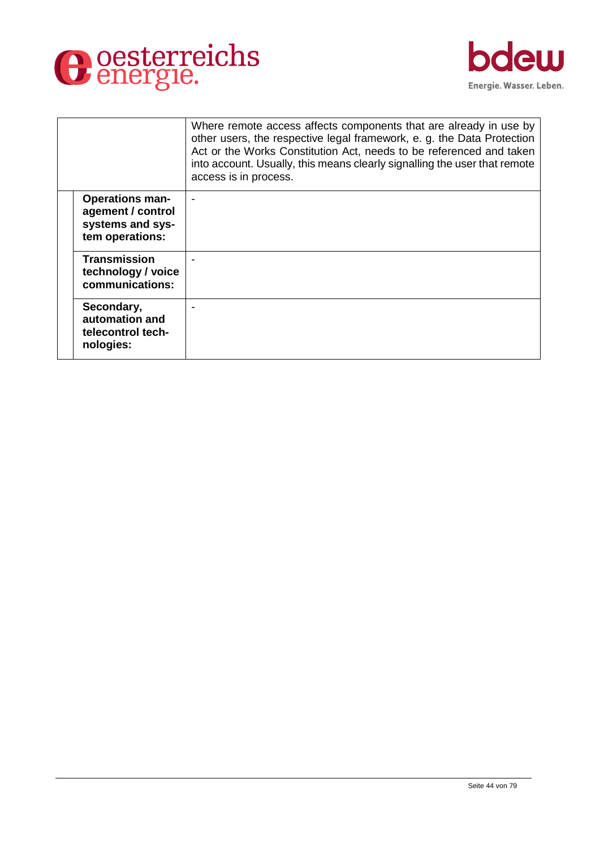



|                                                                                    | Where remote access affects components that are already in use by<br>other users, the respective legal framework, e. g. the Data Protection<br>Act or the Works Constitution Act, needs to be referenced and taken<br>into account. Usually, this means clearly signalling the user that remote<br>access is in process. |
|------------------------------------------------------------------------------------|--------------------------------------------------------------------------------------------------------------------------------------------------------------------------------------------------------------------------------------------------------------------------------------------------------------------------|
| <b>Operations man-</b><br>agement / control<br>systems and sys-<br>tem operations: |                                                                                                                                                                                                                                                                                                                          |
| Transmission<br>technology / voice<br>communications:                              |                                                                                                                                                                                                                                                                                                                          |
| Secondary,<br>automation and<br>telecontrol tech-<br>nologies:                     |                                                                                                                                                                                                                                                                                                                          |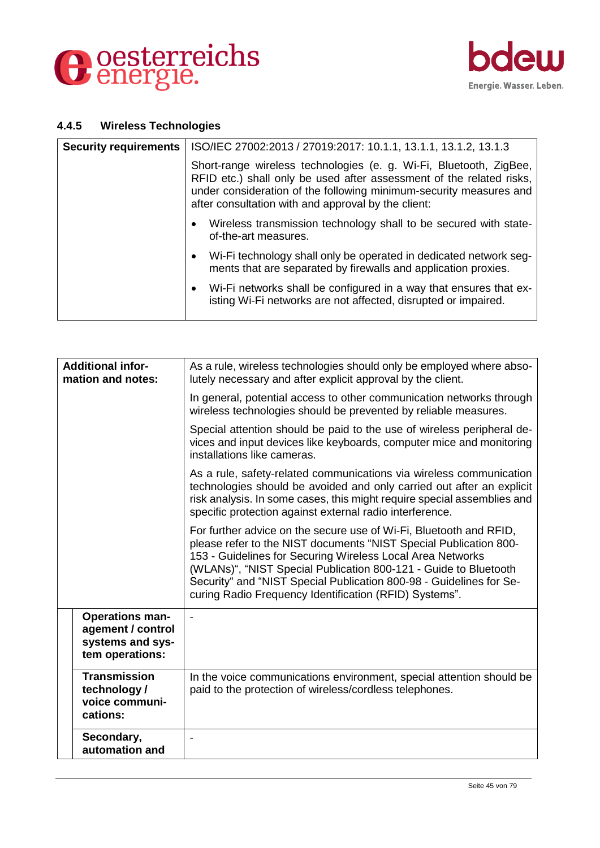



## **4.4.5 Wireless Technologies**

| <b>Security requirements</b> | ISO/IEC 27002:2013 / 27019:2017: 10.1.1, 13.1.1, 13.1.2, 13.1.3                                                                                                                                                                                                         |
|------------------------------|-------------------------------------------------------------------------------------------------------------------------------------------------------------------------------------------------------------------------------------------------------------------------|
|                              | Short-range wireless technologies (e. g. Wi-Fi, Bluetooth, ZigBee,<br>RFID etc.) shall only be used after assessment of the related risks,<br>under consideration of the following minimum-security measures and<br>after consultation with and approval by the client: |
|                              | Wireless transmission technology shall to be secured with state-<br>of-the-art measures.                                                                                                                                                                                |
|                              | Wi-Fi technology shall only be operated in dedicated network seg-<br>ments that are separated by firewalls and application proxies.                                                                                                                                     |
|                              | Wi-Fi networks shall be configured in a way that ensures that ex-<br>$\bullet$<br>isting Wi-Fi networks are not affected, disrupted or impaired.                                                                                                                        |

| <b>Additional infor-</b><br>mation and notes:                                      | As a rule, wireless technologies should only be employed where abso-<br>lutely necessary and after explicit approval by the client.                                                                                                                                                                                                                                                                        |
|------------------------------------------------------------------------------------|------------------------------------------------------------------------------------------------------------------------------------------------------------------------------------------------------------------------------------------------------------------------------------------------------------------------------------------------------------------------------------------------------------|
|                                                                                    | In general, potential access to other communication networks through<br>wireless technologies should be prevented by reliable measures.                                                                                                                                                                                                                                                                    |
|                                                                                    | Special attention should be paid to the use of wireless peripheral de-<br>vices and input devices like keyboards, computer mice and monitoring<br>installations like cameras.                                                                                                                                                                                                                              |
|                                                                                    | As a rule, safety-related communications via wireless communication<br>technologies should be avoided and only carried out after an explicit<br>risk analysis. In some cases, this might require special assemblies and<br>specific protection against external radio interference.                                                                                                                        |
|                                                                                    | For further advice on the secure use of Wi-Fi, Bluetooth and RFID,<br>please refer to the NIST documents "NIST Special Publication 800-<br>153 - Guidelines for Securing Wireless Local Area Networks<br>(WLANs)", "NIST Special Publication 800-121 - Guide to Bluetooth<br>Security" and "NIST Special Publication 800-98 - Guidelines for Se-<br>curing Radio Frequency Identification (RFID) Systems". |
| <b>Operations man-</b><br>agement / control<br>systems and sys-<br>tem operations: | $\blacksquare$                                                                                                                                                                                                                                                                                                                                                                                             |
| <b>Transmission</b><br>technology/<br>voice communi-<br>cations:                   | In the voice communications environment, special attention should be<br>paid to the protection of wireless/cordless telephones.                                                                                                                                                                                                                                                                            |
| Secondary,<br>automation and                                                       |                                                                                                                                                                                                                                                                                                                                                                                                            |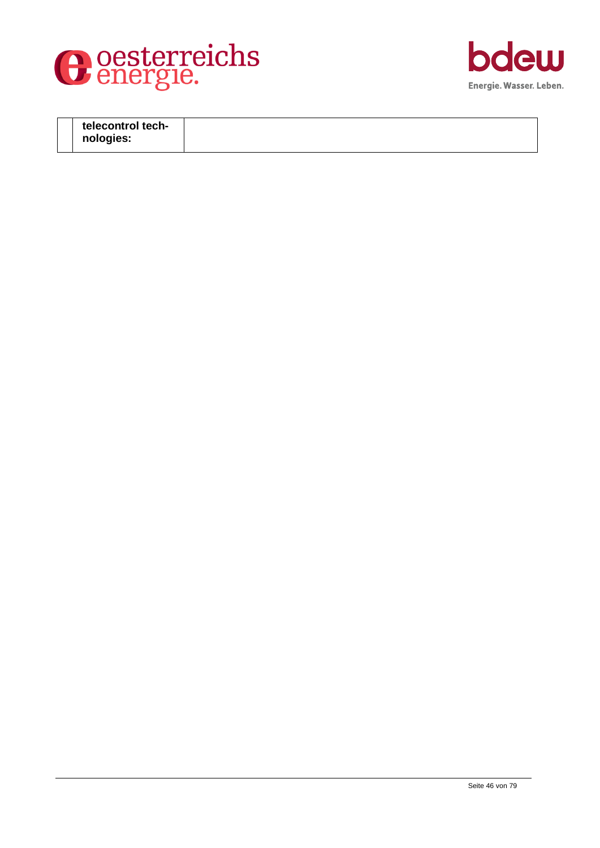



| telecontrol tech- |  |
|-------------------|--|
| nologies:         |  |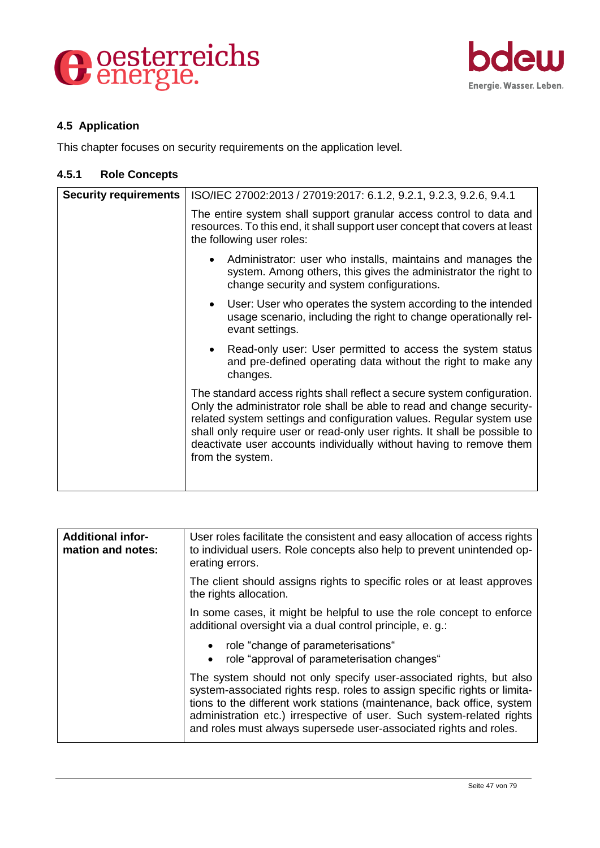



## **4.5 Application**

This chapter focuses on security requirements on the application level.

## **4.5.1 Role Concepts**

| <b>Security requirements</b> | ISO/IEC 27002:2013 / 27019:2017: 6.1.2, 9.2.1, 9.2.3, 9.2.6, 9.4.1                                                                                                                                                                                                                                                                                                                                |
|------------------------------|---------------------------------------------------------------------------------------------------------------------------------------------------------------------------------------------------------------------------------------------------------------------------------------------------------------------------------------------------------------------------------------------------|
|                              | The entire system shall support granular access control to data and<br>resources. To this end, it shall support user concept that covers at least<br>the following user roles:                                                                                                                                                                                                                    |
|                              | Administrator: user who installs, maintains and manages the<br>system. Among others, this gives the administrator the right to<br>change security and system configurations.                                                                                                                                                                                                                      |
|                              | User: User who operates the system according to the intended<br>usage scenario, including the right to change operationally rel-<br>evant settings.                                                                                                                                                                                                                                               |
|                              | Read-only user: User permitted to access the system status<br>$\bullet$<br>and pre-defined operating data without the right to make any<br>changes.                                                                                                                                                                                                                                               |
|                              | The standard access rights shall reflect a secure system configuration.<br>Only the administrator role shall be able to read and change security-<br>related system settings and configuration values. Regular system use<br>shall only require user or read-only user rights. It shall be possible to<br>deactivate user accounts individually without having to remove them<br>from the system. |

| <b>Additional infor-</b><br>mation and notes: | User roles facilitate the consistent and easy allocation of access rights<br>to individual users. Role concepts also help to prevent unintended op-<br>erating errors.                                                                                                                                                                                                   |
|-----------------------------------------------|--------------------------------------------------------------------------------------------------------------------------------------------------------------------------------------------------------------------------------------------------------------------------------------------------------------------------------------------------------------------------|
|                                               | The client should assigns rights to specific roles or at least approves<br>the rights allocation.                                                                                                                                                                                                                                                                        |
|                                               | In some cases, it might be helpful to use the role concept to enforce<br>additional oversight via a dual control principle, e.g.:                                                                                                                                                                                                                                        |
|                                               | • role "change of parameterisations"<br>role "approval of parameterisation changes"<br>$\bullet$                                                                                                                                                                                                                                                                         |
|                                               | The system should not only specify user-associated rights, but also<br>system-associated rights resp. roles to assign specific rights or limita-<br>tions to the different work stations (maintenance, back office, system<br>administration etc.) irrespective of user. Such system-related rights<br>and roles must always supersede user-associated rights and roles. |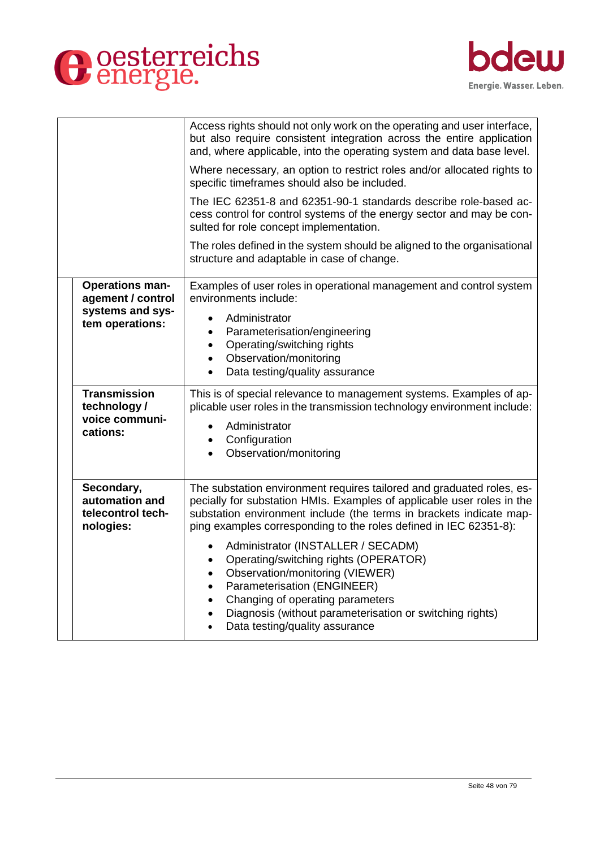



|                                                                  | Access rights should not only work on the operating and user interface,<br>but also require consistent integration across the entire application<br>and, where applicable, into the operating system and data base level.<br>Where necessary, an option to restrict roles and/or allocated rights to<br>specific timeframes should also be included.                       |
|------------------------------------------------------------------|----------------------------------------------------------------------------------------------------------------------------------------------------------------------------------------------------------------------------------------------------------------------------------------------------------------------------------------------------------------------------|
|                                                                  | The IEC 62351-8 and 62351-90-1 standards describe role-based ac-<br>cess control for control systems of the energy sector and may be con-<br>sulted for role concept implementation.                                                                                                                                                                                       |
|                                                                  | The roles defined in the system should be aligned to the organisational<br>structure and adaptable in case of change.                                                                                                                                                                                                                                                      |
| <b>Operations man-</b><br>agement / control<br>systems and sys-  | Examples of user roles in operational management and control system<br>environments include:<br>Administrator                                                                                                                                                                                                                                                              |
| tem operations:                                                  | Parameterisation/engineering<br>$\bullet$<br>Operating/switching rights<br>$\bullet$<br>Observation/monitoring<br>$\bullet$<br>Data testing/quality assurance<br>$\bullet$                                                                                                                                                                                                 |
| <b>Transmission</b><br>technology/<br>voice communi-<br>cations: | This is of special relevance to management systems. Examples of ap-<br>plicable user roles in the transmission technology environment include:<br>Administrator<br>$\bullet$<br>• Configuration<br>Observation/monitoring<br>$\bullet$                                                                                                                                     |
| Secondary,<br>automation and<br>telecontrol tech-<br>nologies:   | The substation environment requires tailored and graduated roles, es-<br>pecially for substation HMIs. Examples of applicable user roles in the<br>substation environment include (the terms in brackets indicate map-<br>ping examples corresponding to the roles defined in IEC 62351-8):                                                                                |
|                                                                  | Administrator (INSTALLER / SECADM)<br>$\bullet$<br>Operating/switching rights (OPERATOR)<br>$\bullet$<br>Observation/monitoring (VIEWER)<br>$\bullet$<br>Parameterisation (ENGINEER)<br>$\bullet$<br>Changing of operating parameters<br>$\bullet$<br>Diagnosis (without parameterisation or switching rights)<br>$\bullet$<br>Data testing/quality assurance<br>$\bullet$ |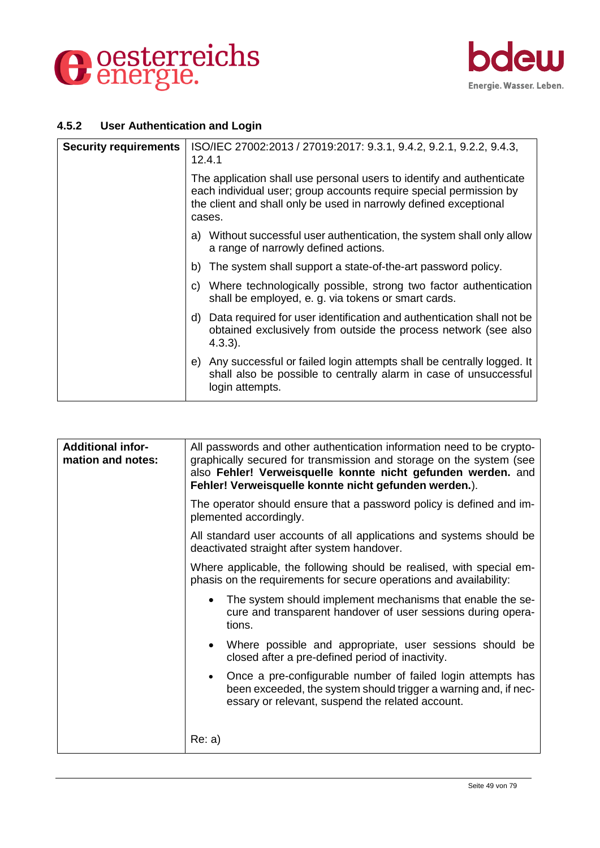



#### **4.5.2 User Authentication and Login**

| <b>Security requirements</b> | ISO/IEC 27002:2013 / 27019:2017: 9.3.1, 9.4.2, 9.2.1, 9.2.2, 9.4.3,<br>12.4.1                                                                                                                                              |
|------------------------------|----------------------------------------------------------------------------------------------------------------------------------------------------------------------------------------------------------------------------|
|                              | The application shall use personal users to identify and authenticate<br>each individual user; group accounts require special permission by<br>the client and shall only be used in narrowly defined exceptional<br>cases. |
|                              | a) Without successful user authentication, the system shall only allow<br>a range of narrowly defined actions.                                                                                                             |
|                              | b) The system shall support a state-of-the-art password policy.                                                                                                                                                            |
|                              | c) Where technologically possible, strong two factor authentication<br>shall be employed, e. g. via tokens or smart cards.                                                                                                 |
|                              | d) Data required for user identification and authentication shall not be<br>obtained exclusively from outside the process network (see also<br>(4.3.3).                                                                    |
|                              | e) Any successful or failed login attempts shall be centrally logged. It<br>shall also be possible to centrally alarm in case of unsuccessful<br>login attempts.                                                           |

| <b>Additional infor-</b><br>mation and notes: | All passwords and other authentication information need to be crypto-<br>graphically secured for transmission and storage on the system (see<br>also Fehler! Verweisquelle konnte nicht gefunden werden. and<br>Fehler! Verweisquelle konnte nicht gefunden werden.). |
|-----------------------------------------------|-----------------------------------------------------------------------------------------------------------------------------------------------------------------------------------------------------------------------------------------------------------------------|
|                                               | The operator should ensure that a password policy is defined and im-<br>plemented accordingly.                                                                                                                                                                        |
|                                               | All standard user accounts of all applications and systems should be<br>deactivated straight after system handover.                                                                                                                                                   |
|                                               | Where applicable, the following should be realised, with special em-<br>phasis on the requirements for secure operations and availability:                                                                                                                            |
|                                               | The system should implement mechanisms that enable the se-<br>cure and transparent handover of user sessions during opera-<br>tions.                                                                                                                                  |
|                                               | Where possible and appropriate, user sessions should be<br>closed after a pre-defined period of inactivity.                                                                                                                                                           |
|                                               | Once a pre-configurable number of failed login attempts has<br>been exceeded, the system should trigger a warning and, if nec-<br>essary or relevant, suspend the related account.                                                                                    |
|                                               | Re: a)                                                                                                                                                                                                                                                                |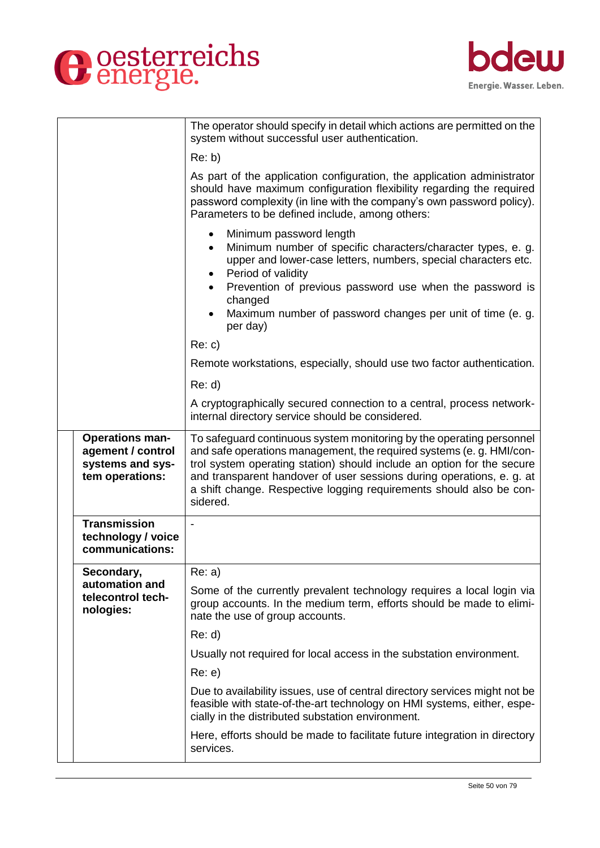



|                                                                                    | The operator should specify in detail which actions are permitted on the<br>system without successful user authentication.                                                                                                                                                                                                                                                         |
|------------------------------------------------------------------------------------|------------------------------------------------------------------------------------------------------------------------------------------------------------------------------------------------------------------------------------------------------------------------------------------------------------------------------------------------------------------------------------|
|                                                                                    | Re: b)                                                                                                                                                                                                                                                                                                                                                                             |
|                                                                                    | As part of the application configuration, the application administrator<br>should have maximum configuration flexibility regarding the required<br>password complexity (in line with the company's own password policy).<br>Parameters to be defined include, among others:                                                                                                        |
|                                                                                    | Minimum password length<br>$\bullet$<br>Minimum number of specific characters/character types, e. g.<br>$\bullet$<br>upper and lower-case letters, numbers, special characters etc.<br>Period of validity<br>$\bullet$<br>Prevention of previous password use when the password is<br>changed<br>Maximum number of password changes per unit of time (e.g.<br>per day)             |
|                                                                                    | Re: c)                                                                                                                                                                                                                                                                                                                                                                             |
|                                                                                    | Remote workstations, especially, should use two factor authentication.                                                                                                                                                                                                                                                                                                             |
|                                                                                    | Re: d                                                                                                                                                                                                                                                                                                                                                                              |
|                                                                                    | A cryptographically secured connection to a central, process network-<br>internal directory service should be considered.                                                                                                                                                                                                                                                          |
| <b>Operations man-</b><br>agement / control<br>systems and sys-<br>tem operations: | To safequard continuous system monitoring by the operating personnel<br>and safe operations management, the required systems (e. g. HMI/con-<br>trol system operating station) should include an option for the secure<br>and transparent handover of user sessions during operations, e. g. at<br>a shift change. Respective logging requirements should also be con-<br>sidered. |
| <b>Transmission</b><br>technology / voice<br>communications:                       |                                                                                                                                                                                                                                                                                                                                                                                    |
| Secondary,                                                                         | Re: a)                                                                                                                                                                                                                                                                                                                                                                             |
| automation and<br>telecontrol tech-<br>nologies:                                   | Some of the currently prevalent technology requires a local login via<br>group accounts. In the medium term, efforts should be made to elimi-<br>nate the use of group accounts.                                                                                                                                                                                                   |
|                                                                                    | Re: d                                                                                                                                                                                                                                                                                                                                                                              |
|                                                                                    | Usually not required for local access in the substation environment.                                                                                                                                                                                                                                                                                                               |
|                                                                                    | Re: e)                                                                                                                                                                                                                                                                                                                                                                             |
|                                                                                    | Due to availability issues, use of central directory services might not be<br>feasible with state-of-the-art technology on HMI systems, either, espe-<br>cially in the distributed substation environment.                                                                                                                                                                         |
|                                                                                    | Here, efforts should be made to facilitate future integration in directory<br>services.                                                                                                                                                                                                                                                                                            |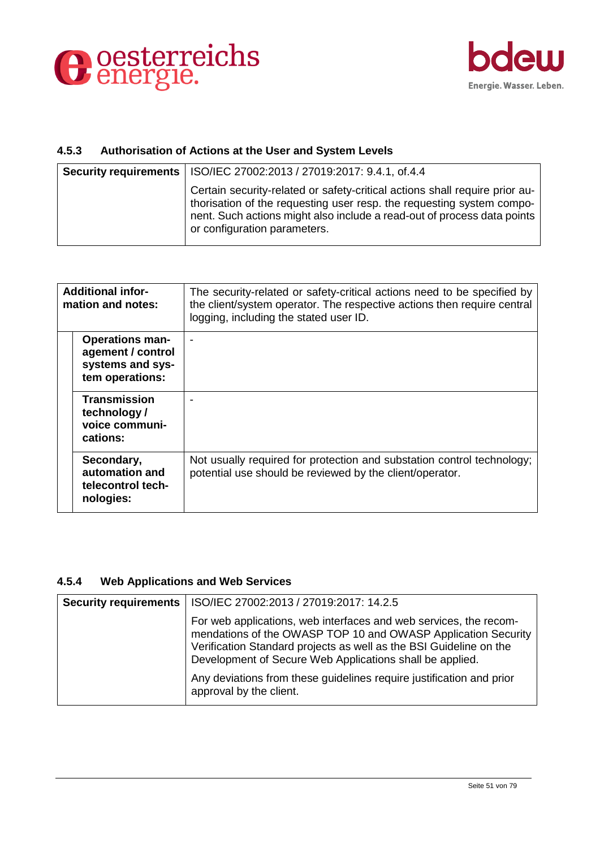



## **4.5.3 Authorisation of Actions at the User and System Levels**

| <b>Security requirements</b>   ISO/IEC 27002:2013 / 27019:2017: 9.4.1, of.4.4                                                                                                                                                                                   |
|-----------------------------------------------------------------------------------------------------------------------------------------------------------------------------------------------------------------------------------------------------------------|
| Certain security-related or safety-critical actions shall require prior au-<br>thorisation of the requesting user resp. the requesting system compo-<br>nent. Such actions might also include a read-out of process data points<br>or configuration parameters. |

| <b>Additional infor-</b><br>mation and notes: |                                                                                    | The security-related or safety-critical actions need to be specified by<br>the client/system operator. The respective actions then require central<br>logging, including the stated user ID. |
|-----------------------------------------------|------------------------------------------------------------------------------------|----------------------------------------------------------------------------------------------------------------------------------------------------------------------------------------------|
|                                               | <b>Operations man-</b><br>agement / control<br>systems and sys-<br>tem operations: |                                                                                                                                                                                              |
|                                               | <b>Transmission</b><br>technology/<br>voice communi-<br>cations:                   |                                                                                                                                                                                              |
|                                               | Secondary,<br>automation and<br>telecontrol tech-<br>nologies:                     | Not usually required for protection and substation control technology;<br>potential use should be reviewed by the client/operator.                                                           |

## **4.5.4 Web Applications and Web Services**

| <b>Security requirements   ISO/IEC 27002:2013 / 27019:2017: 14.2.5</b>                                                                                                                                                                                               |
|----------------------------------------------------------------------------------------------------------------------------------------------------------------------------------------------------------------------------------------------------------------------|
| For web applications, web interfaces and web services, the recom-<br>mendations of the OWASP TOP 10 and OWASP Application Security<br>Verification Standard projects as well as the BSI Guideline on the<br>Development of Secure Web Applications shall be applied. |
| Any deviations from these guidelines require justification and prior<br>approval by the client.                                                                                                                                                                      |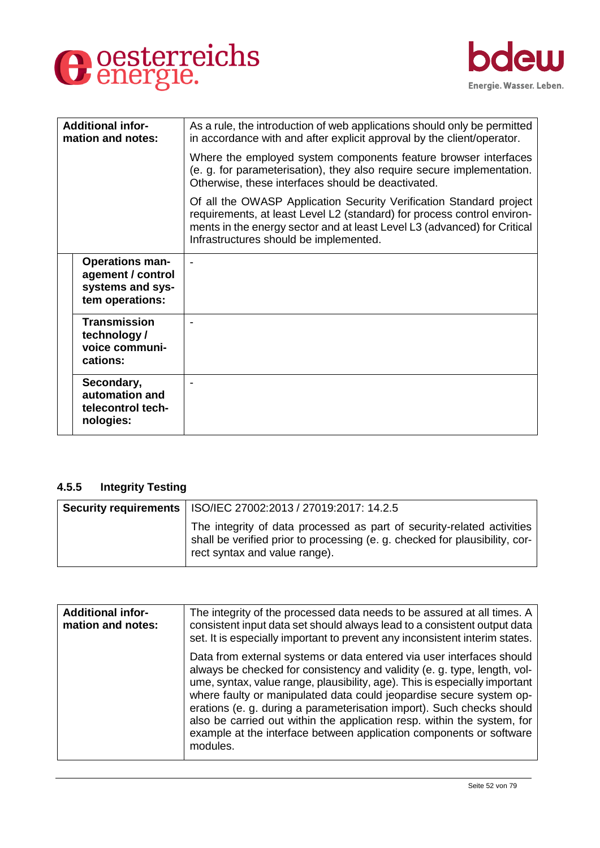



| <b>Additional infor-</b><br>mation and notes:                                      | As a rule, the introduction of web applications should only be permitted<br>in accordance with and after explicit approval by the client/operator.                                                                                                                   |
|------------------------------------------------------------------------------------|----------------------------------------------------------------------------------------------------------------------------------------------------------------------------------------------------------------------------------------------------------------------|
|                                                                                    | Where the employed system components feature browser interfaces<br>(e. g. for parameterisation), they also require secure implementation.<br>Otherwise, these interfaces should be deactivated.                                                                      |
|                                                                                    | Of all the OWASP Application Security Verification Standard project<br>requirements, at least Level L2 (standard) for process control environ-<br>ments in the energy sector and at least Level L3 (advanced) for Critical<br>Infrastructures should be implemented. |
| <b>Operations man-</b><br>agement / control<br>systems and sys-<br>tem operations: |                                                                                                                                                                                                                                                                      |
| <b>Transmission</b><br>technology /<br>voice communi-<br>cations:                  |                                                                                                                                                                                                                                                                      |
| Secondary,<br>automation and<br>telecontrol tech-<br>nologies:                     |                                                                                                                                                                                                                                                                      |

#### **4.5.5 Integrity Testing**

| Security requirements   ISO/IEC 27002:2013 / 27019:2017: 14.2.5                                                                                                                       |
|---------------------------------------------------------------------------------------------------------------------------------------------------------------------------------------|
| The integrity of data processed as part of security-related activities<br>shall be verified prior to processing (e.g. checked for plausibility, cor-<br>rect syntax and value range). |

| <b>Additional infor-</b><br>mation and notes: | The integrity of the processed data needs to be assured at all times. A<br>consistent input data set should always lead to a consistent output data<br>set. It is especially important to prevent any inconsistent interim states.                                                                                                                                                                                                                                                                                                            |
|-----------------------------------------------|-----------------------------------------------------------------------------------------------------------------------------------------------------------------------------------------------------------------------------------------------------------------------------------------------------------------------------------------------------------------------------------------------------------------------------------------------------------------------------------------------------------------------------------------------|
|                                               | Data from external systems or data entered via user interfaces should<br>always be checked for consistency and validity (e. g. type, length, vol-<br>ume, syntax, value range, plausibility, age). This is especially important<br>where faulty or manipulated data could jeopardise secure system op-<br>erations (e. g. during a parameterisation import). Such checks should<br>also be carried out within the application resp. within the system, for<br>example at the interface between application components or software<br>modules. |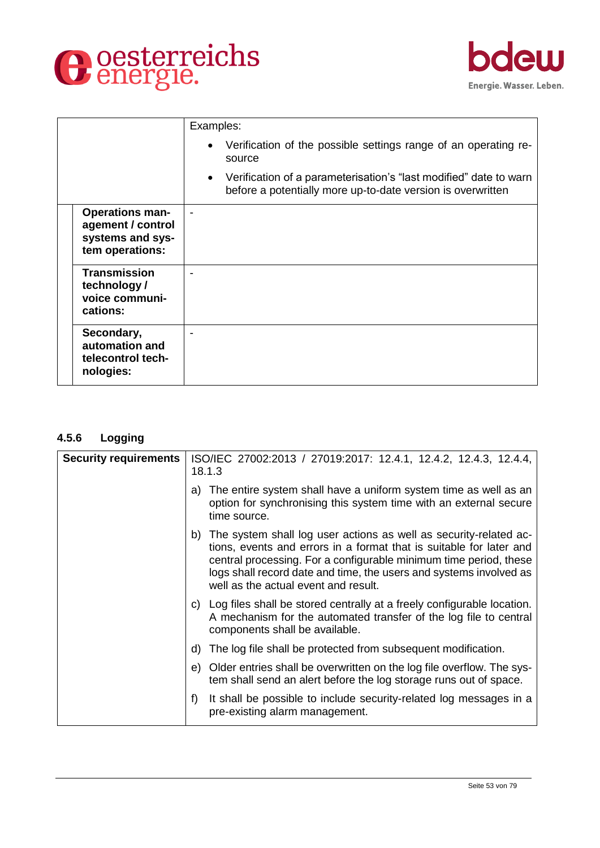



|                                                                                    | Examples:                                                                                                                        |
|------------------------------------------------------------------------------------|----------------------------------------------------------------------------------------------------------------------------------|
|                                                                                    | Verification of the possible settings range of an operating re-<br>source                                                        |
|                                                                                    | Verification of a parameterisation's "last modified" date to warn<br>before a potentially more up-to-date version is overwritten |
| <b>Operations man-</b><br>agement / control<br>systems and sys-<br>tem operations: |                                                                                                                                  |
| <b>Transmission</b><br>technology /<br>voice communi-<br>cations:                  |                                                                                                                                  |
| Secondary,<br>automation and<br>telecontrol tech-<br>nologies:                     |                                                                                                                                  |

## **4.5.6 Logging**

| <b>Security requirements</b> | ISO/IEC 27002:2013 / 27019:2017: 12.4.1, 12.4.2, 12.4.3, 12.4.4,<br>18.1.3                                                                                                                                                                                                                                                     |
|------------------------------|--------------------------------------------------------------------------------------------------------------------------------------------------------------------------------------------------------------------------------------------------------------------------------------------------------------------------------|
|                              | a) The entire system shall have a uniform system time as well as an<br>option for synchronising this system time with an external secure<br>time source.                                                                                                                                                                       |
|                              | b) The system shall log user actions as well as security-related ac-<br>tions, events and errors in a format that is suitable for later and<br>central processing. For a configurable minimum time period, these<br>logs shall record date and time, the users and systems involved as<br>well as the actual event and result. |
|                              | c) Log files shall be stored centrally at a freely configurable location.<br>A mechanism for the automated transfer of the log file to central<br>components shall be available.                                                                                                                                               |
|                              | d) The log file shall be protected from subsequent modification.                                                                                                                                                                                                                                                               |
|                              | e) Older entries shall be overwritten on the log file overflow. The sys-<br>tem shall send an alert before the log storage runs out of space.                                                                                                                                                                                  |
|                              | It shall be possible to include security-related log messages in a<br>f)<br>pre-existing alarm management.                                                                                                                                                                                                                     |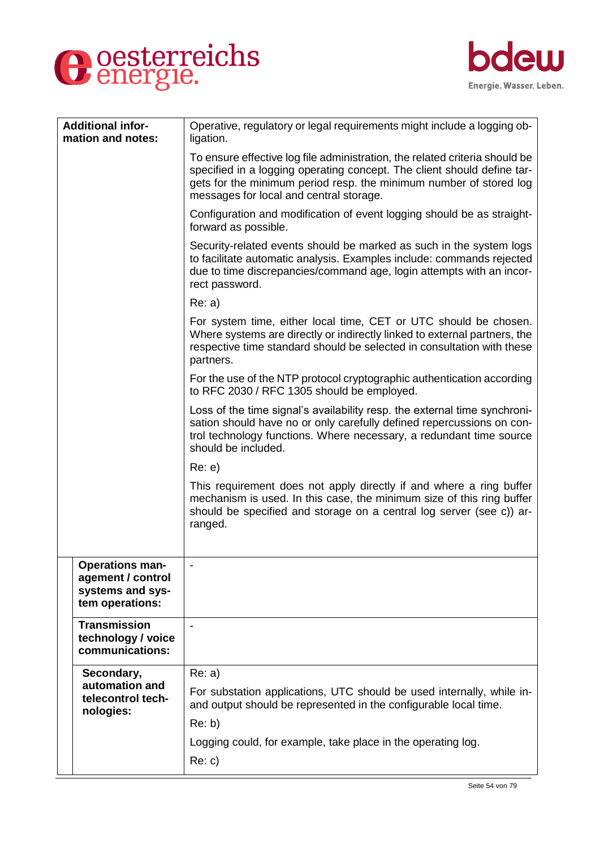



| <b>Additional infor-</b><br>mation and notes:                | Operative, regulatory or legal requirements might include a logging ob-<br>ligation.                                                                                                                                                                                    |
|--------------------------------------------------------------|-------------------------------------------------------------------------------------------------------------------------------------------------------------------------------------------------------------------------------------------------------------------------|
|                                                              | To ensure effective log file administration, the related criteria should be<br>specified in a logging operating concept. The client should define tar-<br>gets for the minimum period resp. the minimum number of stored log<br>messages for local and central storage. |
|                                                              | Configuration and modification of event logging should be as straight-<br>forward as possible.                                                                                                                                                                          |
|                                                              | Security-related events should be marked as such in the system logs<br>to facilitate automatic analysis. Examples include: commands rejected<br>due to time discrepancies/command age, login attempts with an incor-<br>rect password.                                  |
|                                                              | Re: a)                                                                                                                                                                                                                                                                  |
|                                                              | For system time, either local time, CET or UTC should be chosen.<br>Where systems are directly or indirectly linked to external partners, the<br>respective time standard should be selected in consultation with these<br>partners.                                    |
|                                                              | For the use of the NTP protocol cryptographic authentication according<br>to RFC 2030 / RFC 1305 should be employed.                                                                                                                                                    |
|                                                              | Loss of the time signal's availability resp. the external time synchroni-<br>sation should have no or only carefully defined repercussions on con-<br>trol technology functions. Where necessary, a redundant time source<br>should be included.                        |
|                                                              | Re: e)                                                                                                                                                                                                                                                                  |
|                                                              | This requirement does not apply directly if and where a ring buffer<br>mechanism is used. In this case, the minimum size of this ring buffer<br>should be specified and storage on a central log server (see c)) ar-<br>ranged.                                         |
| <b>Operations man-</b>                                       |                                                                                                                                                                                                                                                                         |
| agement / control<br>systems and sys-<br>tem operations:     |                                                                                                                                                                                                                                                                         |
| <b>Transmission</b><br>technology / voice<br>communications: | $\blacksquare$                                                                                                                                                                                                                                                          |
| Secondary,                                                   | Re: a)                                                                                                                                                                                                                                                                  |
| automation and<br>telecontrol tech-<br>nologies:             | For substation applications, UTC should be used internally, while in-<br>and output should be represented in the configurable local time.                                                                                                                               |
|                                                              | Re: b)                                                                                                                                                                                                                                                                  |
|                                                              | Logging could, for example, take place in the operating log.                                                                                                                                                                                                            |
|                                                              | Re: c)                                                                                                                                                                                                                                                                  |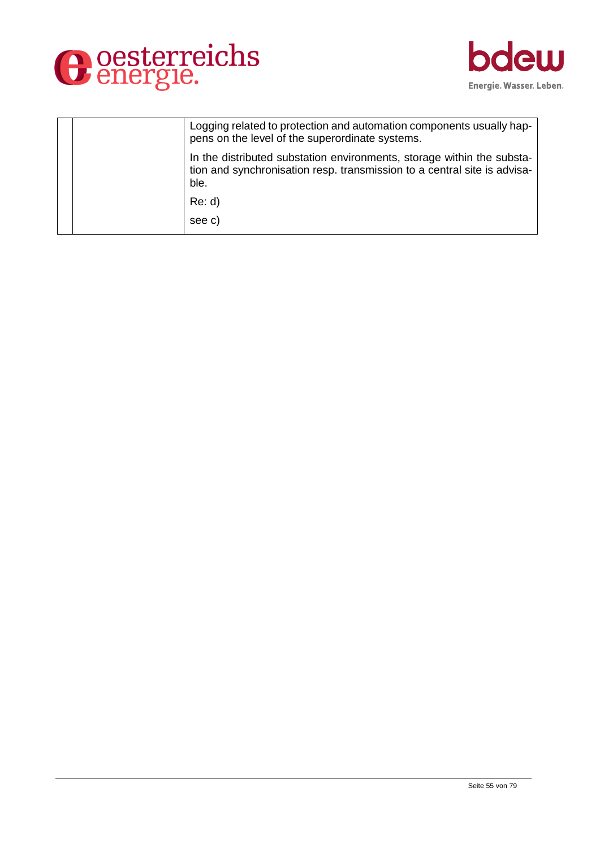



| Logging related to protection and automation components usually hap-<br>pens on the level of the superordinate systems.                                    |
|------------------------------------------------------------------------------------------------------------------------------------------------------------|
| In the distributed substation environments, storage within the substa-<br>tion and synchronisation resp. transmission to a central site is advisa-<br>ble. |
| Re: d                                                                                                                                                      |
| see c)                                                                                                                                                     |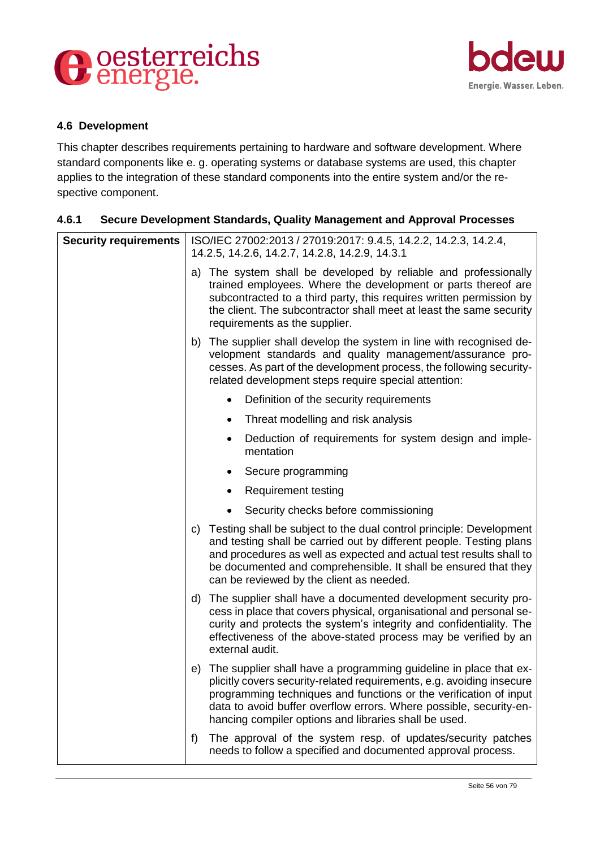



#### **4.6 Development**

This chapter describes requirements pertaining to hardware and software development. Where standard components like e. g. operating systems or database systems are used, this chapter applies to the integration of these standard components into the entire system and/or the respective component.

## **4.6.1 Secure Development Standards, Quality Management and Approval Processes**

| <b>Security requirements</b> | ISO/IEC 27002:2013 / 27019:2017: 9.4.5, 14.2.2, 14.2.3, 14.2.4,<br>14.2.5, 14.2.6, 14.2.7, 14.2.8, 14.2.9, 14.3.1                                                                                                                                                                                                                                 |
|------------------------------|---------------------------------------------------------------------------------------------------------------------------------------------------------------------------------------------------------------------------------------------------------------------------------------------------------------------------------------------------|
|                              | a) The system shall be developed by reliable and professionally<br>trained employees. Where the development or parts thereof are<br>subcontracted to a third party, this requires written permission by<br>the client. The subcontractor shall meet at least the same security<br>requirements as the supplier.                                   |
|                              | b) The supplier shall develop the system in line with recognised de-<br>velopment standards and quality management/assurance pro-<br>cesses. As part of the development process, the following security-<br>related development steps require special attention:                                                                                  |
|                              | Definition of the security requirements                                                                                                                                                                                                                                                                                                           |
|                              | Threat modelling and risk analysis<br>٠                                                                                                                                                                                                                                                                                                           |
|                              | Deduction of requirements for system design and imple-<br>mentation                                                                                                                                                                                                                                                                               |
|                              | Secure programming                                                                                                                                                                                                                                                                                                                                |
|                              | <b>Requirement testing</b>                                                                                                                                                                                                                                                                                                                        |
|                              | Security checks before commissioning                                                                                                                                                                                                                                                                                                              |
|                              | c) Testing shall be subject to the dual control principle: Development<br>and testing shall be carried out by different people. Testing plans<br>and procedures as well as expected and actual test results shall to<br>be documented and comprehensible. It shall be ensured that they<br>can be reviewed by the client as needed.               |
|                              | d) The supplier shall have a documented development security pro-<br>cess in place that covers physical, organisational and personal se-<br>curity and protects the system's integrity and confidentiality. The<br>effectiveness of the above-stated process may be verified by an<br>external audit.                                             |
|                              | e) The supplier shall have a programming guideline in place that ex-<br>plicitly covers security-related requirements, e.g. avoiding insecure<br>programming techniques and functions or the verification of input<br>data to avoid buffer overflow errors. Where possible, security-en-<br>hancing compiler options and libraries shall be used. |
|                              | The approval of the system resp. of updates/security patches<br>f)<br>needs to follow a specified and documented approval process.                                                                                                                                                                                                                |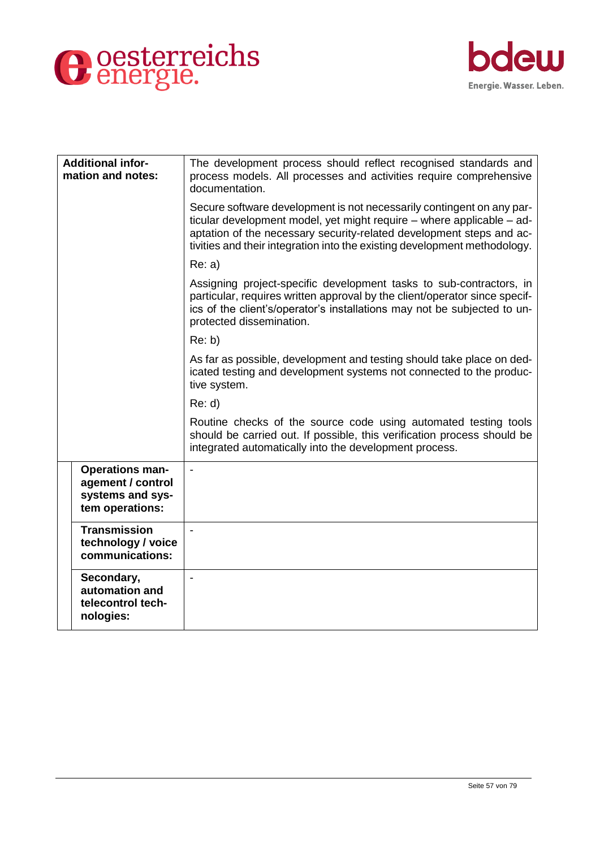



| <b>Additional infor-</b><br>mation and notes:                                      | The development process should reflect recognised standards and<br>process models. All processes and activities require comprehensive<br>documentation.                                                                                                                                             |
|------------------------------------------------------------------------------------|-----------------------------------------------------------------------------------------------------------------------------------------------------------------------------------------------------------------------------------------------------------------------------------------------------|
|                                                                                    | Secure software development is not necessarily contingent on any par-<br>ticular development model, yet might require - where applicable - ad-<br>aptation of the necessary security-related development steps and ac-<br>tivities and their integration into the existing development methodology. |
|                                                                                    | Re: a)                                                                                                                                                                                                                                                                                              |
|                                                                                    | Assigning project-specific development tasks to sub-contractors, in<br>particular, requires written approval by the client/operator since specif-<br>ics of the client's/operator's installations may not be subjected to un-<br>protected dissemination.                                           |
|                                                                                    | Re: b)                                                                                                                                                                                                                                                                                              |
|                                                                                    | As far as possible, development and testing should take place on ded-<br>icated testing and development systems not connected to the produc-<br>tive system.                                                                                                                                        |
|                                                                                    | Re: d                                                                                                                                                                                                                                                                                               |
|                                                                                    | Routine checks of the source code using automated testing tools<br>should be carried out. If possible, this verification process should be<br>integrated automatically into the development process.                                                                                                |
| <b>Operations man-</b><br>agement / control<br>systems and sys-<br>tem operations: |                                                                                                                                                                                                                                                                                                     |
| <b>Transmission</b><br>technology / voice<br>communications:                       |                                                                                                                                                                                                                                                                                                     |
| Secondary,<br>automation and<br>telecontrol tech-<br>nologies:                     |                                                                                                                                                                                                                                                                                                     |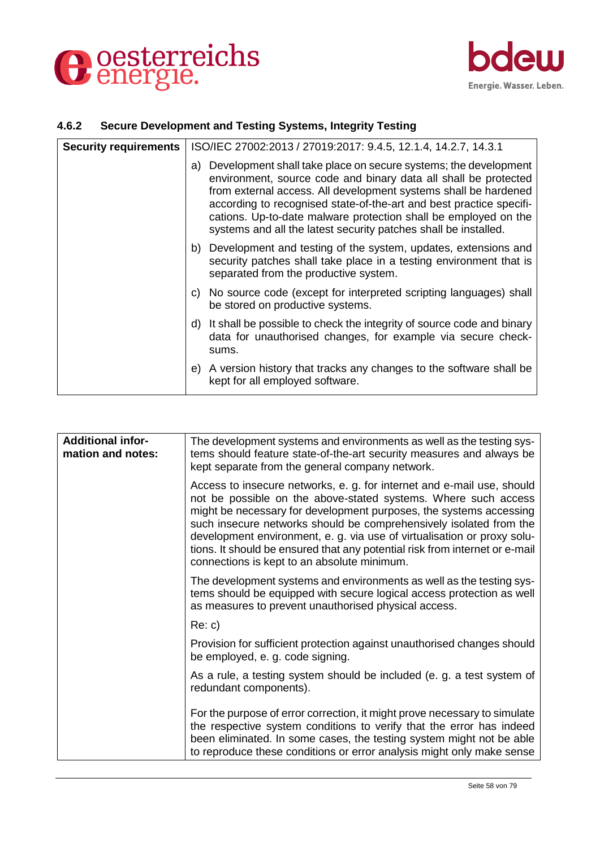



#### **4.6.2 Secure Development and Testing Systems, Integrity Testing**

| <b>Security requirements</b> | ISO/IEC 27002:2013 / 27019:2017: 9.4.5, 12.1.4, 14.2.7, 14.3.1                                                                                                                                                                                                                                                                                                                                                        |
|------------------------------|-----------------------------------------------------------------------------------------------------------------------------------------------------------------------------------------------------------------------------------------------------------------------------------------------------------------------------------------------------------------------------------------------------------------------|
|                              | a) Development shall take place on secure systems; the development<br>environment, source code and binary data all shall be protected<br>from external access. All development systems shall be hardened<br>according to recognised state-of-the-art and best practice specifi-<br>cations. Up-to-date malware protection shall be employed on the<br>systems and all the latest security patches shall be installed. |
|                              | b) Development and testing of the system, updates, extensions and<br>security patches shall take place in a testing environment that is<br>separated from the productive system.                                                                                                                                                                                                                                      |
|                              | c) No source code (except for interpreted scripting languages) shall<br>be stored on productive systems.                                                                                                                                                                                                                                                                                                              |
|                              | d) It shall be possible to check the integrity of source code and binary<br>data for unauthorised changes, for example via secure check-<br>sums.                                                                                                                                                                                                                                                                     |
|                              | e) A version history that tracks any changes to the software shall be<br>kept for all employed software.                                                                                                                                                                                                                                                                                                              |

| <b>Additional infor-</b><br>mation and notes: | The development systems and environments as well as the testing sys-<br>tems should feature state-of-the-art security measures and always be<br>kept separate from the general company network.                                                                                                                                                                                                                                                                                               |
|-----------------------------------------------|-----------------------------------------------------------------------------------------------------------------------------------------------------------------------------------------------------------------------------------------------------------------------------------------------------------------------------------------------------------------------------------------------------------------------------------------------------------------------------------------------|
|                                               | Access to insecure networks, e. g. for internet and e-mail use, should<br>not be possible on the above-stated systems. Where such access<br>might be necessary for development purposes, the systems accessing<br>such insecure networks should be comprehensively isolated from the<br>development environment, e. g. via use of virtualisation or proxy solu-<br>tions. It should be ensured that any potential risk from internet or e-mail<br>connections is kept to an absolute minimum. |
|                                               | The development systems and environments as well as the testing sys-<br>tems should be equipped with secure logical access protection as well<br>as measures to prevent unauthorised physical access.                                                                                                                                                                                                                                                                                         |
|                                               | Re: c)                                                                                                                                                                                                                                                                                                                                                                                                                                                                                        |
|                                               | Provision for sufficient protection against unauthorised changes should<br>be employed, e. g. code signing.                                                                                                                                                                                                                                                                                                                                                                                   |
|                                               | As a rule, a testing system should be included (e. g. a test system of<br>redundant components).                                                                                                                                                                                                                                                                                                                                                                                              |
|                                               | For the purpose of error correction, it might prove necessary to simulate<br>the respective system conditions to verify that the error has indeed<br>been eliminated. In some cases, the testing system might not be able<br>to reproduce these conditions or error analysis might only make sense                                                                                                                                                                                            |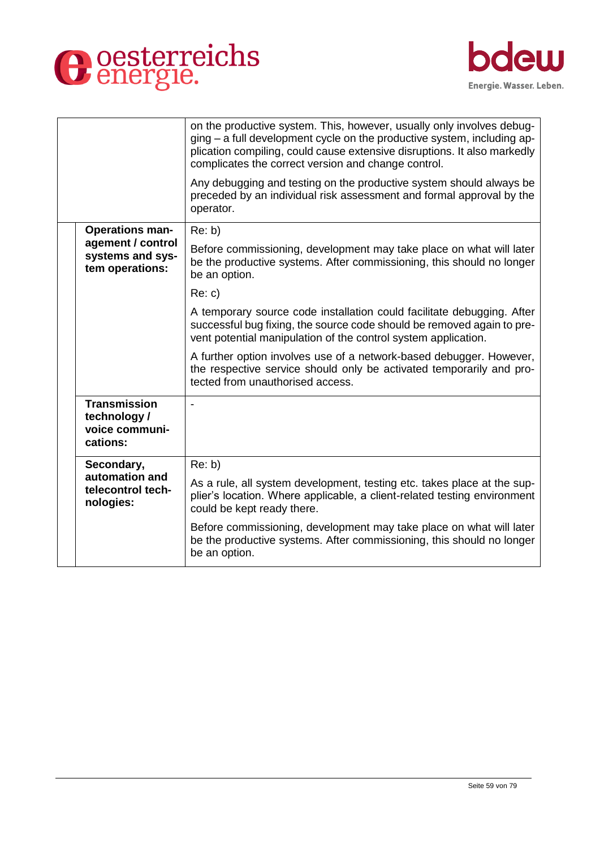



|                                                                  | on the productive system. This, however, usually only involves debug-<br>ging – a full development cycle on the productive system, including ap-<br>plication compiling, could cause extensive disruptions. It also markedly<br>complicates the correct version and change control. |
|------------------------------------------------------------------|-------------------------------------------------------------------------------------------------------------------------------------------------------------------------------------------------------------------------------------------------------------------------------------|
|                                                                  | Any debugging and testing on the productive system should always be<br>preceded by an individual risk assessment and formal approval by the<br>operator.                                                                                                                            |
| <b>Operations man-</b>                                           | Re: b)                                                                                                                                                                                                                                                                              |
| agement / control<br>systems and sys-<br>tem operations:         | Before commissioning, development may take place on what will later<br>be the productive systems. After commissioning, this should no longer<br>be an option.                                                                                                                       |
|                                                                  | Re: c)                                                                                                                                                                                                                                                                              |
|                                                                  | A temporary source code installation could facilitate debugging. After<br>successful bug fixing, the source code should be removed again to pre-<br>vent potential manipulation of the control system application.                                                                  |
|                                                                  | A further option involves use of a network-based debugger. However,<br>the respective service should only be activated temporarily and pro-<br>tected from unauthorised access.                                                                                                     |
| <b>Transmission</b><br>technology/<br>voice communi-<br>cations: |                                                                                                                                                                                                                                                                                     |
| Secondary,                                                       | Re: b)                                                                                                                                                                                                                                                                              |
| automation and<br>telecontrol tech-<br>nologies:                 | As a rule, all system development, testing etc. takes place at the sup-<br>plier's location. Where applicable, a client-related testing environment<br>could be kept ready there.                                                                                                   |
|                                                                  | Before commissioning, development may take place on what will later<br>be the productive systems. After commissioning, this should no longer<br>be an option.                                                                                                                       |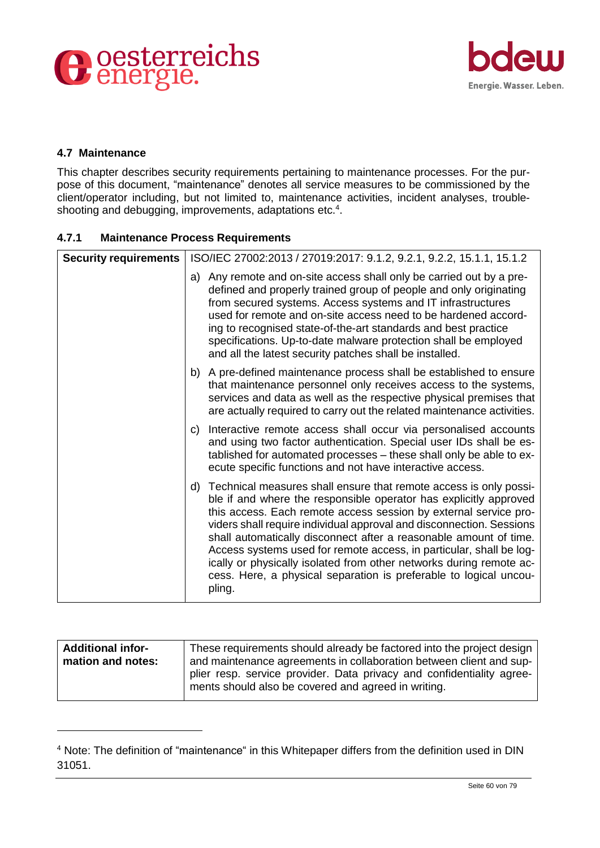



#### **4.7 Maintenance**

-

This chapter describes security requirements pertaining to maintenance processes. For the purpose of this document, "maintenance" denotes all service measures to be commissioned by the client/operator including, but not limited to, maintenance activities, incident analyses, troubleshooting and debugging, improvements, adaptations etc.<sup>4</sup>.

#### **4.7.1 Maintenance Process Requirements**

| <b>Security requirements</b> | ISO/IEC 27002:2013 / 27019:2017: 9.1.2, 9.2.1, 9.2.2, 15.1.1, 15.1.2                                                                                                                                                                                                                                                                                                                                                                                                                                                                                                                    |
|------------------------------|-----------------------------------------------------------------------------------------------------------------------------------------------------------------------------------------------------------------------------------------------------------------------------------------------------------------------------------------------------------------------------------------------------------------------------------------------------------------------------------------------------------------------------------------------------------------------------------------|
|                              | a) Any remote and on-site access shall only be carried out by a pre-<br>defined and properly trained group of people and only originating<br>from secured systems. Access systems and IT infrastructures<br>used for remote and on-site access need to be hardened accord-<br>ing to recognised state-of-the-art standards and best practice<br>specifications. Up-to-date malware protection shall be employed<br>and all the latest security patches shall be installed.                                                                                                              |
|                              | b) A pre-defined maintenance process shall be established to ensure<br>that maintenance personnel only receives access to the systems,<br>services and data as well as the respective physical premises that<br>are actually required to carry out the related maintenance activities.                                                                                                                                                                                                                                                                                                  |
|                              | c) Interactive remote access shall occur via personalised accounts<br>and using two factor authentication. Special user IDs shall be es-<br>tablished for automated processes - these shall only be able to ex-<br>ecute specific functions and not have interactive access.                                                                                                                                                                                                                                                                                                            |
|                              | d) Technical measures shall ensure that remote access is only possi-<br>ble if and where the responsible operator has explicitly approved<br>this access. Each remote access session by external service pro-<br>viders shall require individual approval and disconnection. Sessions<br>shall automatically disconnect after a reasonable amount of time.<br>Access systems used for remote access, in particular, shall be log-<br>ically or physically isolated from other networks during remote ac-<br>cess. Here, a physical separation is preferable to logical uncou-<br>pling. |

| <b>Additional infor-</b> | These requirements should already be factored into the project design                                                        |
|--------------------------|------------------------------------------------------------------------------------------------------------------------------|
| mation and notes:        | and maintenance agreements in collaboration between client and sup-                                                          |
|                          | plier resp. service provider. Data privacy and confidentiality agree-<br>ments should also be covered and agreed in writing. |

<sup>&</sup>lt;sup>4</sup> Note: The definition of "maintenance" in this Whitepaper differs from the definition used in DIN 31051.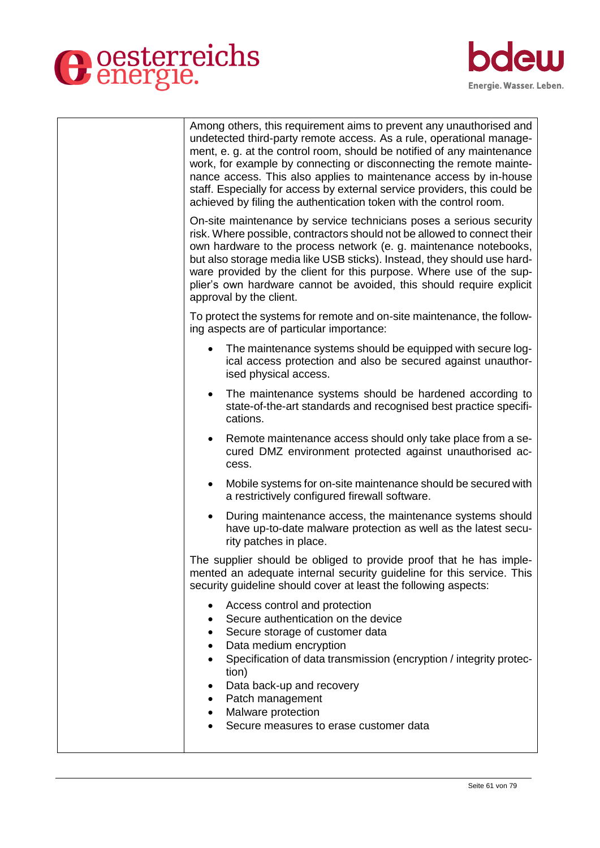



| Among others, this requirement aims to prevent any unauthorised and<br>undetected third-party remote access. As a rule, operational manage-<br>ment, e. g. at the control room, should be notified of any maintenance<br>work, for example by connecting or disconnecting the remote mainte-<br>nance access. This also applies to maintenance access by in-house<br>staff. Especially for access by external service providers, this could be<br>achieved by filing the authentication token with the control room. |
|----------------------------------------------------------------------------------------------------------------------------------------------------------------------------------------------------------------------------------------------------------------------------------------------------------------------------------------------------------------------------------------------------------------------------------------------------------------------------------------------------------------------|
| On-site maintenance by service technicians poses a serious security<br>risk. Where possible, contractors should not be allowed to connect their<br>own hardware to the process network (e. g. maintenance notebooks,<br>but also storage media like USB sticks). Instead, they should use hard-<br>ware provided by the client for this purpose. Where use of the sup-<br>plier's own hardware cannot be avoided, this should require explicit<br>approval by the client.                                            |
| To protect the systems for remote and on-site maintenance, the follow-<br>ing aspects are of particular importance:                                                                                                                                                                                                                                                                                                                                                                                                  |
| The maintenance systems should be equipped with secure log-<br>ical access protection and also be secured against unauthor-<br>ised physical access.                                                                                                                                                                                                                                                                                                                                                                 |
| The maintenance systems should be hardened according to<br>$\bullet$<br>state-of-the-art standards and recognised best practice specifi-<br>cations.                                                                                                                                                                                                                                                                                                                                                                 |
| Remote maintenance access should only take place from a se-<br>$\bullet$<br>cured DMZ environment protected against unauthorised ac-<br>cess.                                                                                                                                                                                                                                                                                                                                                                        |
| Mobile systems for on-site maintenance should be secured with<br>$\bullet$<br>a restrictively configured firewall software.                                                                                                                                                                                                                                                                                                                                                                                          |
| During maintenance access, the maintenance systems should<br>٠<br>have up-to-date malware protection as well as the latest secu-<br>rity patches in place.                                                                                                                                                                                                                                                                                                                                                           |
| The supplier should be obliged to provide proof that he has imple-<br>mented an adequate internal security guideline for this service. This<br>security guideline should cover at least the following aspects:                                                                                                                                                                                                                                                                                                       |
| Access control and protection<br>Secure authentication on the device<br>Secure storage of customer data<br>Data medium encryption<br>$\bullet$<br>Specification of data transmission (encryption / integrity protec-<br>tion)<br>Data back-up and recovery<br>٠<br>Patch management<br>$\bullet$<br>Malware protection<br>Secure measures to erase customer data                                                                                                                                                     |
|                                                                                                                                                                                                                                                                                                                                                                                                                                                                                                                      |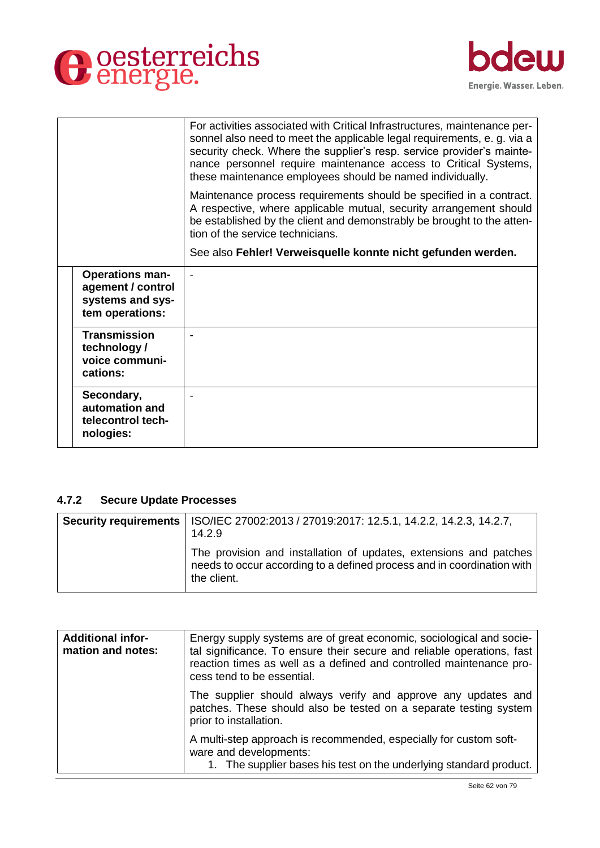



|                                                                                    | For activities associated with Critical Infrastructures, maintenance per-<br>sonnel also need to meet the applicable legal requirements, e. g. via a<br>security check. Where the supplier's resp. service provider's mainte-<br>nance personnel require maintenance access to Critical Systems,<br>these maintenance employees should be named individually. |
|------------------------------------------------------------------------------------|---------------------------------------------------------------------------------------------------------------------------------------------------------------------------------------------------------------------------------------------------------------------------------------------------------------------------------------------------------------|
|                                                                                    | Maintenance process requirements should be specified in a contract.<br>A respective, where applicable mutual, security arrangement should<br>be established by the client and demonstrably be brought to the atten-<br>tion of the service technicians.                                                                                                       |
|                                                                                    | See also Fehler! Verweisquelle konnte nicht gefunden werden.                                                                                                                                                                                                                                                                                                  |
| <b>Operations man-</b><br>agement / control<br>systems and sys-<br>tem operations: |                                                                                                                                                                                                                                                                                                                                                               |
| <b>Transmission</b><br>technology /<br>voice communi-<br>cations:                  |                                                                                                                                                                                                                                                                                                                                                               |
| Secondary,<br>automation and<br>telecontrol tech-<br>nologies:                     |                                                                                                                                                                                                                                                                                                                                                               |

#### **4.7.2 Secure Update Processes**

| Security requirements   ISO/IEC 27002:2013 / 27019:2017: 12.5.1, 14.2.2, 14.2.3, 14.2.7,<br>14.2.9                                                         |
|------------------------------------------------------------------------------------------------------------------------------------------------------------|
| The provision and installation of updates, extensions and patches<br>needs to occur according to a defined process and in coordination with<br>the client. |

| <b>Additional infor-</b><br>mation and notes: | Energy supply systems are of great economic, sociological and socie-<br>tal significance. To ensure their secure and reliable operations, fast<br>reaction times as well as a defined and controlled maintenance pro-<br>cess tend to be essential. |
|-----------------------------------------------|-----------------------------------------------------------------------------------------------------------------------------------------------------------------------------------------------------------------------------------------------------|
|                                               | The supplier should always verify and approve any updates and<br>patches. These should also be tested on a separate testing system<br>prior to installation.                                                                                        |
|                                               | A multi-step approach is recommended, especially for custom soft-<br>ware and developments:<br>1. The supplier bases his test on the underlying standard product.                                                                                   |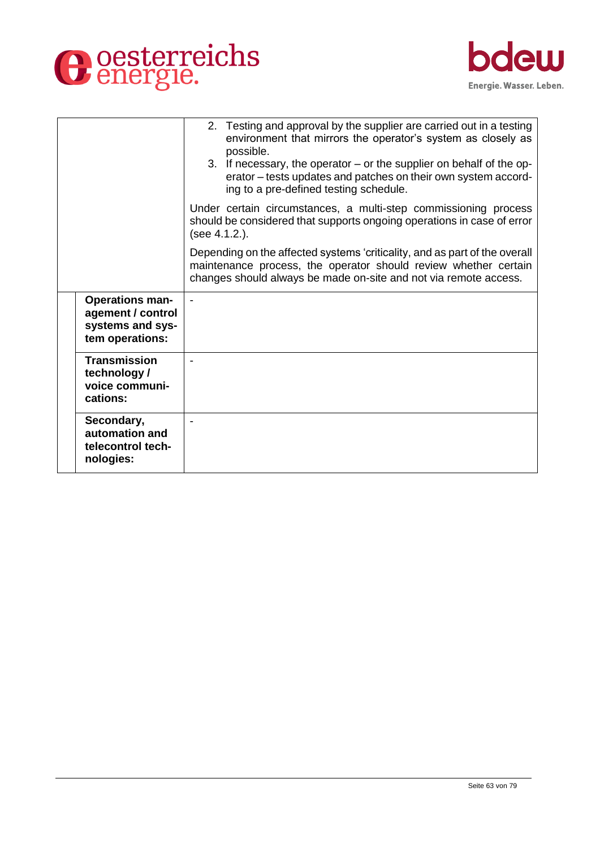



|                                                                                    | 2. Testing and approval by the supplier are carried out in a testing<br>environment that mirrors the operator's system as closely as<br>possible.<br>3. If necessary, the operator – or the supplier on behalf of the op-<br>erator – tests updates and patches on their own system accord-<br>ing to a pre-defined testing schedule. |
|------------------------------------------------------------------------------------|---------------------------------------------------------------------------------------------------------------------------------------------------------------------------------------------------------------------------------------------------------------------------------------------------------------------------------------|
|                                                                                    | Under certain circumstances, a multi-step commissioning process<br>should be considered that supports ongoing operations in case of error<br>(see 4.1.2.).                                                                                                                                                                            |
|                                                                                    | Depending on the affected systems 'criticality, and as part of the overall<br>maintenance process, the operator should review whether certain<br>changes should always be made on-site and not via remote access.                                                                                                                     |
| <b>Operations man-</b><br>agement / control<br>systems and sys-<br>tem operations: | $\blacksquare$                                                                                                                                                                                                                                                                                                                        |
| <b>Transmission</b><br>technology /<br>voice communi-<br>cations:                  |                                                                                                                                                                                                                                                                                                                                       |
| Secondary,<br>automation and<br>telecontrol tech-<br>nologies:                     |                                                                                                                                                                                                                                                                                                                                       |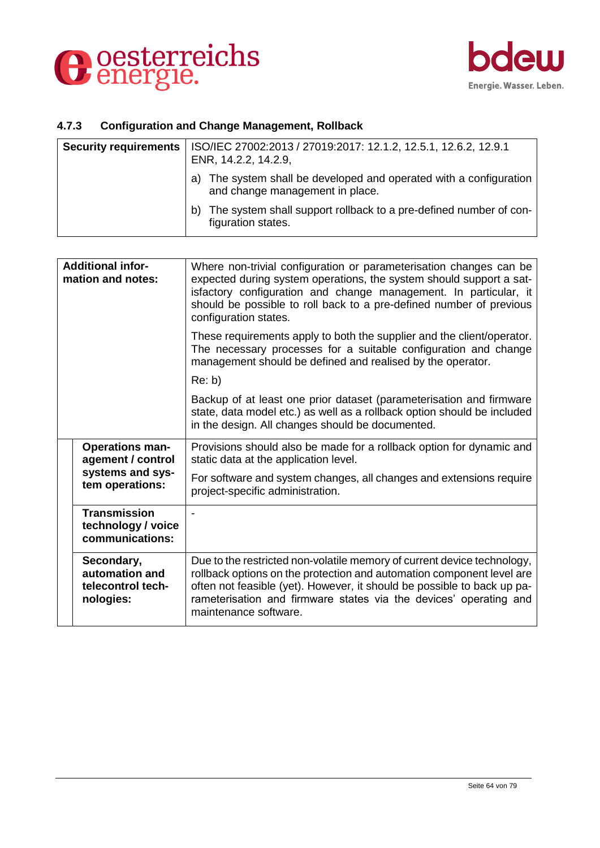



## **4.7.3 Configuration and Change Management, Rollback**

| <b>Security requirements</b> | ISO/IEC 27002:2013 / 27019:2017: 12.1.2, 12.5.1, 12.6.2, 12.9.1<br>ENR, 14.2.2, 14.2.9,                  |
|------------------------------|----------------------------------------------------------------------------------------------------------|
|                              | The system shall be developed and operated with a configuration<br>a)<br>and change management in place. |
|                              | The system shall support rollback to a pre-defined number of con-<br>b)<br>figuration states.            |

| <b>Additional infor-</b><br>mation and notes: |                                                                | Where non-trivial configuration or parameterisation changes can be<br>expected during system operations, the system should support a sat-<br>isfactory configuration and change management. In particular, it<br>should be possible to roll back to a pre-defined number of previous<br>configuration states.             |
|-----------------------------------------------|----------------------------------------------------------------|---------------------------------------------------------------------------------------------------------------------------------------------------------------------------------------------------------------------------------------------------------------------------------------------------------------------------|
|                                               |                                                                | These requirements apply to both the supplier and the client/operator.<br>The necessary processes for a suitable configuration and change<br>management should be defined and realised by the operator.                                                                                                                   |
|                                               |                                                                | Re: b)                                                                                                                                                                                                                                                                                                                    |
|                                               |                                                                | Backup of at least one prior dataset (parameterisation and firmware<br>state, data model etc.) as well as a rollback option should be included<br>in the design. All changes should be documented.                                                                                                                        |
|                                               | <b>Operations man-</b><br>agement / control                    | Provisions should also be made for a rollback option for dynamic and<br>static data at the application level.                                                                                                                                                                                                             |
|                                               | systems and sys-<br>tem operations:                            | For software and system changes, all changes and extensions require<br>project-specific administration.                                                                                                                                                                                                                   |
|                                               | <b>Transmission</b><br>technology / voice<br>communications:   |                                                                                                                                                                                                                                                                                                                           |
|                                               | Secondary,<br>automation and<br>telecontrol tech-<br>nologies: | Due to the restricted non-volatile memory of current device technology,<br>rollback options on the protection and automation component level are<br>often not feasible (yet). However, it should be possible to back up pa-<br>rameterisation and firmware states via the devices' operating and<br>maintenance software. |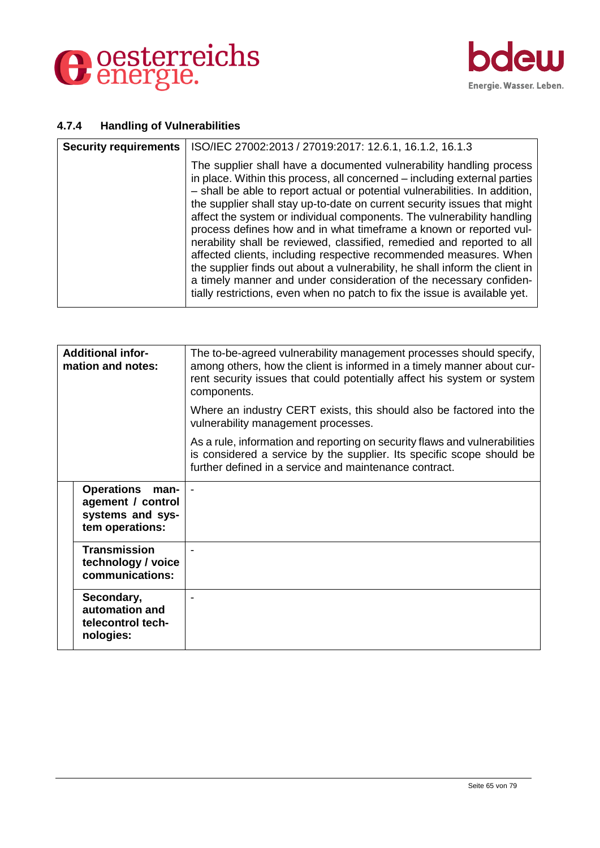



#### **4.7.4 Handling of Vulnerabilities**

| <b>Security requirements</b> | ISO/IEC 27002:2013 / 27019:2017: 12.6.1, 16.1.2, 16.1.3                                                                                                                                                                                                                                                                                                                                                                                                                                                                                                                                                                                                                                                                                                                                                                                       |
|------------------------------|-----------------------------------------------------------------------------------------------------------------------------------------------------------------------------------------------------------------------------------------------------------------------------------------------------------------------------------------------------------------------------------------------------------------------------------------------------------------------------------------------------------------------------------------------------------------------------------------------------------------------------------------------------------------------------------------------------------------------------------------------------------------------------------------------------------------------------------------------|
|                              | The supplier shall have a documented vulnerability handling process<br>in place. Within this process, all concerned – including external parties<br>- shall be able to report actual or potential vulnerabilities. In addition,<br>the supplier shall stay up-to-date on current security issues that might<br>affect the system or individual components. The vulnerability handling<br>process defines how and in what timeframe a known or reported vul-<br>nerability shall be reviewed, classified, remedied and reported to all<br>affected clients, including respective recommended measures. When<br>the supplier finds out about a vulnerability, he shall inform the client in<br>a timely manner and under consideration of the necessary confiden-<br>tially restrictions, even when no patch to fix the issue is available yet. |

| <b>Additional infor-</b><br>mation and notes: |                                                                                       | The to-be-agreed vulnerability management processes should specify,<br>among others, how the client is informed in a timely manner about cur-<br>rent security issues that could potentially affect his system or system<br>components. |
|-----------------------------------------------|---------------------------------------------------------------------------------------|-----------------------------------------------------------------------------------------------------------------------------------------------------------------------------------------------------------------------------------------|
|                                               |                                                                                       | Where an industry CERT exists, this should also be factored into the<br>vulnerability management processes.                                                                                                                             |
|                                               |                                                                                       | As a rule, information and reporting on security flaws and vulnerabilities<br>is considered a service by the supplier. Its specific scope should be<br>further defined in a service and maintenance contract.                           |
|                                               | <b>Operations</b><br>man-<br>agement / control<br>systems and sys-<br>tem operations: |                                                                                                                                                                                                                                         |
|                                               | <b>Transmission</b><br>technology / voice<br>communications:                          |                                                                                                                                                                                                                                         |
|                                               | Secondary,<br>automation and<br>telecontrol tech-<br>nologies:                        |                                                                                                                                                                                                                                         |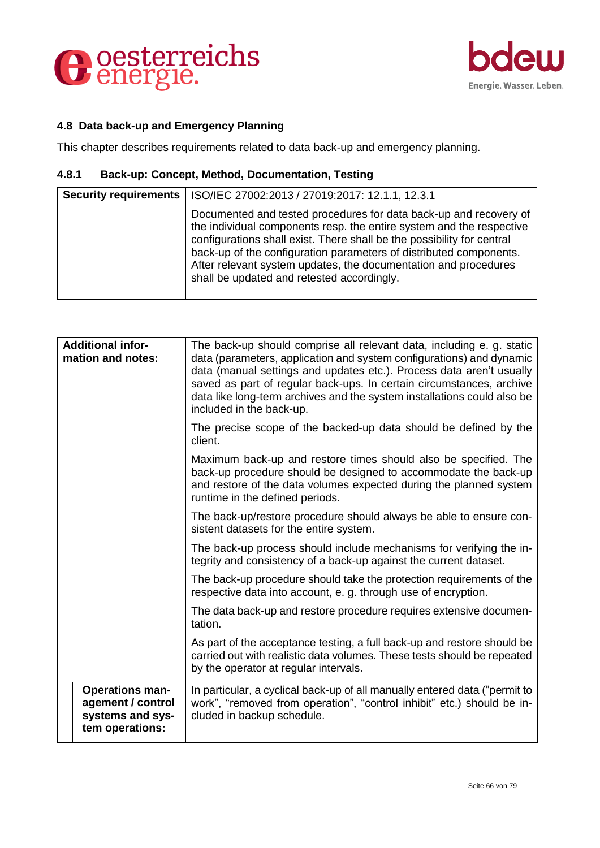



## **4.8 Data back-up and Emergency Planning**

This chapter describes requirements related to data back-up and emergency planning.

## **4.8.1 Back-up: Concept, Method, Documentation, Testing**

| Security requirements | ISO/IEC 27002:2013 / 27019:2017: 12.1.1, 12.3.1                                                                                                                                                                                                                                                                                                                                                            |
|-----------------------|------------------------------------------------------------------------------------------------------------------------------------------------------------------------------------------------------------------------------------------------------------------------------------------------------------------------------------------------------------------------------------------------------------|
|                       | Documented and tested procedures for data back-up and recovery of<br>the individual components resp. the entire system and the respective<br>configurations shall exist. There shall be the possibility for central<br>back-up of the configuration parameters of distributed components.<br>After relevant system updates, the documentation and procedures<br>shall be updated and retested accordingly. |

| The back-up should comprise all relevant data, including e. g. static<br>data (parameters, application and system configurations) and dynamic<br>data (manual settings and updates etc.). Process data aren't usually<br>saved as part of regular back-ups. In certain circumstances, archive<br>data like long-term archives and the system installations could also be<br>included in the back-up. |
|------------------------------------------------------------------------------------------------------------------------------------------------------------------------------------------------------------------------------------------------------------------------------------------------------------------------------------------------------------------------------------------------------|
| The precise scope of the backed-up data should be defined by the<br>client.                                                                                                                                                                                                                                                                                                                          |
| Maximum back-up and restore times should also be specified. The<br>back-up procedure should be designed to accommodate the back-up<br>and restore of the data volumes expected during the planned system<br>runtime in the defined periods.                                                                                                                                                          |
| The back-up/restore procedure should always be able to ensure con-<br>sistent datasets for the entire system.                                                                                                                                                                                                                                                                                        |
| The back-up process should include mechanisms for verifying the in-<br>tegrity and consistency of a back-up against the current dataset.                                                                                                                                                                                                                                                             |
| The back-up procedure should take the protection requirements of the<br>respective data into account, e. g. through use of encryption.                                                                                                                                                                                                                                                               |
| The data back-up and restore procedure requires extensive documen-<br>tation.                                                                                                                                                                                                                                                                                                                        |
| As part of the acceptance testing, a full back-up and restore should be<br>carried out with realistic data volumes. These tests should be repeated<br>by the operator at regular intervals.                                                                                                                                                                                                          |
| In particular, a cyclical back-up of all manually entered data ("permit to<br>work", "removed from operation", "control inhibit" etc.) should be in-<br>cluded in backup schedule.                                                                                                                                                                                                                   |
|                                                                                                                                                                                                                                                                                                                                                                                                      |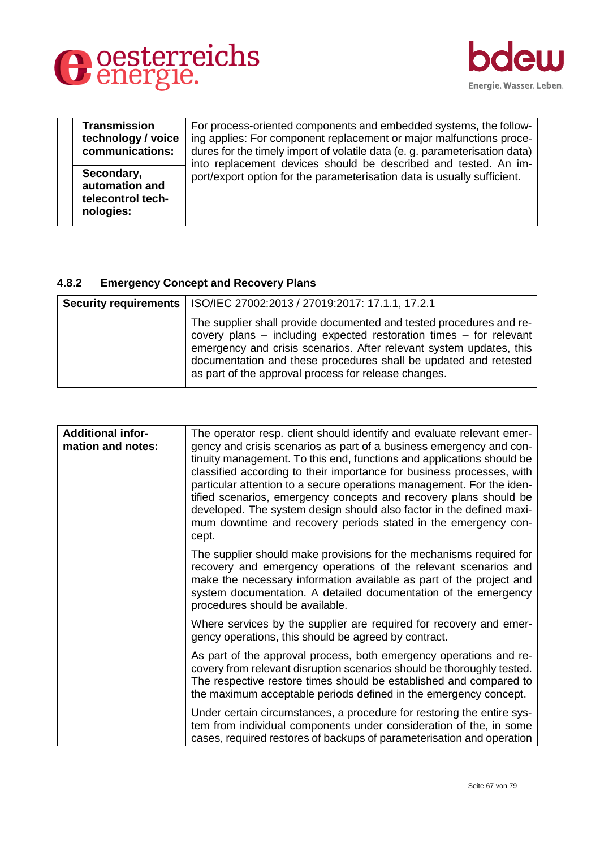



| <b>Transmission</b><br>technology / voice<br>communications:   | For process-oriented components and embedded systems, the follow-<br>ing applies: For component replacement or major malfunctions proce-<br>dures for the timely import of volatile data (e. g. parameterisation data)<br>into replacement devices should be described and tested. An im- |
|----------------------------------------------------------------|-------------------------------------------------------------------------------------------------------------------------------------------------------------------------------------------------------------------------------------------------------------------------------------------|
| Secondary,<br>automation and<br>telecontrol tech-<br>nologies: | port/export option for the parameterisation data is usually sufficient.                                                                                                                                                                                                                   |

## **4.8.2 Emergency Concept and Recovery Plans**

| Security requirements   ISO/IEC 27002:2013 / 27019:2017: 17.1.1, 17.2.1                                                                                                                                                                                                                                                                      |
|----------------------------------------------------------------------------------------------------------------------------------------------------------------------------------------------------------------------------------------------------------------------------------------------------------------------------------------------|
| The supplier shall provide documented and tested procedures and re-<br>covery plans – including expected restoration times – for relevant<br>emergency and crisis scenarios. After relevant system updates, this<br>documentation and these procedures shall be updated and retested<br>as part of the approval process for release changes. |

| <b>Additional infor-</b><br>mation and notes: | The operator resp. client should identify and evaluate relevant emer-<br>gency and crisis scenarios as part of a business emergency and con-<br>tinuity management. To this end, functions and applications should be<br>classified according to their importance for business processes, with<br>particular attention to a secure operations management. For the iden-<br>tified scenarios, emergency concepts and recovery plans should be<br>developed. The system design should also factor in the defined maxi-<br>mum downtime and recovery periods stated in the emergency con-<br>cept. |
|-----------------------------------------------|-------------------------------------------------------------------------------------------------------------------------------------------------------------------------------------------------------------------------------------------------------------------------------------------------------------------------------------------------------------------------------------------------------------------------------------------------------------------------------------------------------------------------------------------------------------------------------------------------|
|                                               | The supplier should make provisions for the mechanisms required for<br>recovery and emergency operations of the relevant scenarios and<br>make the necessary information available as part of the project and<br>system documentation. A detailed documentation of the emergency<br>procedures should be available.                                                                                                                                                                                                                                                                             |
|                                               | Where services by the supplier are required for recovery and emer-<br>gency operations, this should be agreed by contract.                                                                                                                                                                                                                                                                                                                                                                                                                                                                      |
|                                               | As part of the approval process, both emergency operations and re-<br>covery from relevant disruption scenarios should be thoroughly tested.<br>The respective restore times should be established and compared to<br>the maximum acceptable periods defined in the emergency concept.                                                                                                                                                                                                                                                                                                          |
|                                               | Under certain circumstances, a procedure for restoring the entire sys-<br>tem from individual components under consideration of the, in some<br>cases, required restores of backups of parameterisation and operation                                                                                                                                                                                                                                                                                                                                                                           |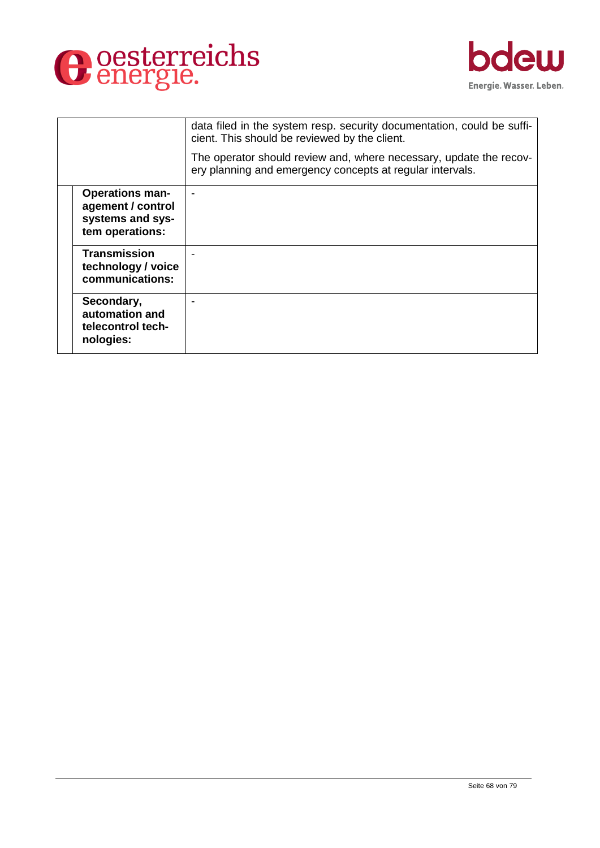



|                                                                                    | data filed in the system resp. security documentation, could be suffi-<br>cient. This should be reviewed by the client.         |
|------------------------------------------------------------------------------------|---------------------------------------------------------------------------------------------------------------------------------|
|                                                                                    | The operator should review and, where necessary, update the recov-<br>ery planning and emergency concepts at regular intervals. |
| <b>Operations man-</b><br>agement / control<br>systems and sys-<br>tem operations: |                                                                                                                                 |
| <b>Transmission</b><br>technology / voice<br>communications:                       |                                                                                                                                 |
| Secondary,<br>automation and<br>telecontrol tech-<br>nologies:                     |                                                                                                                                 |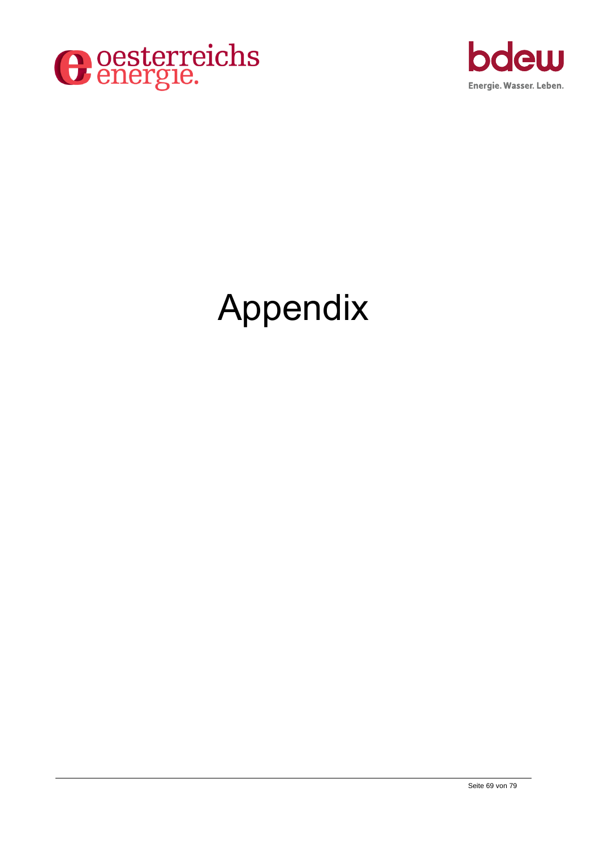



# Appendix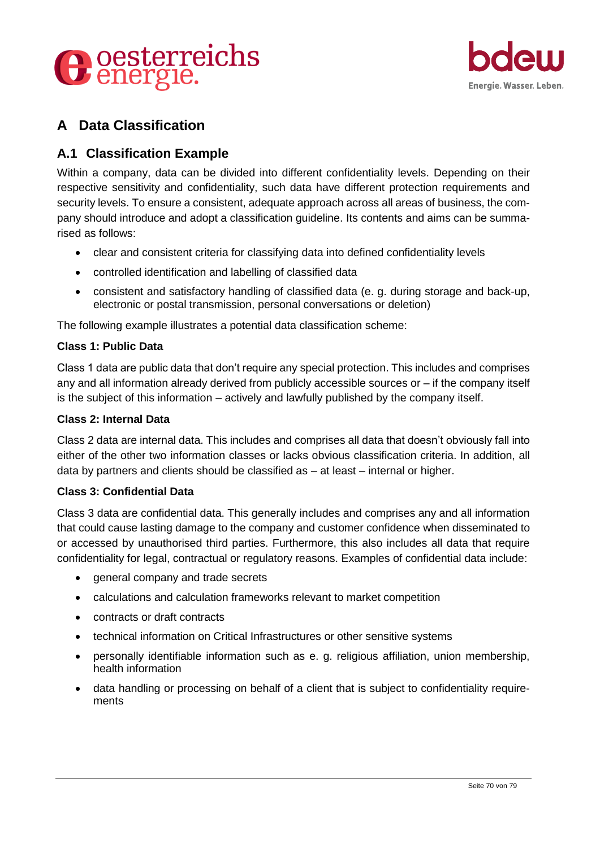



## **A Data Classification**

## **A.1 Classification Example**

Within a company, data can be divided into different confidentiality levels. Depending on their respective sensitivity and confidentiality, such data have different protection requirements and security levels. To ensure a consistent, adequate approach across all areas of business, the company should introduce and adopt a classification guideline. Its contents and aims can be summarised as follows:

- clear and consistent criteria for classifying data into defined confidentiality levels
- controlled identification and labelling of classified data
- consistent and satisfactory handling of classified data (e. g. during storage and back-up, electronic or postal transmission, personal conversations or deletion)

The following example illustrates a potential data classification scheme:

#### **Class 1: Public Data**

Class 1 data are public data that don't require any special protection. This includes and comprises any and all information already derived from publicly accessible sources or – if the company itself is the subject of this information – actively and lawfully published by the company itself.

#### **Class 2: Internal Data**

Class 2 data are internal data. This includes and comprises all data that doesn't obviously fall into either of the other two information classes or lacks obvious classification criteria. In addition, all data by partners and clients should be classified as – at least – internal or higher.

#### **Class 3: Confidential Data**

Class 3 data are confidential data. This generally includes and comprises any and all information that could cause lasting damage to the company and customer confidence when disseminated to or accessed by unauthorised third parties. Furthermore, this also includes all data that require confidentiality for legal, contractual or regulatory reasons. Examples of confidential data include:

- general company and trade secrets
- calculations and calculation frameworks relevant to market competition
- contracts or draft contracts
- technical information on Critical Infrastructures or other sensitive systems
- personally identifiable information such as e. g. religious affiliation, union membership, health information
- data handling or processing on behalf of a client that is subject to confidentiality requirements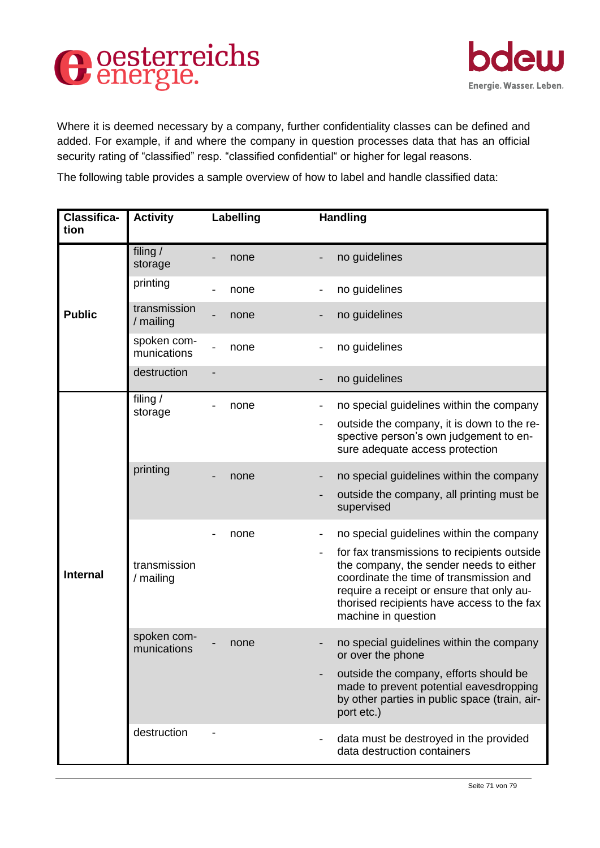



Where it is deemed necessary by a company, further confidentiality classes can be defined and added. For example, if and where the company in question processes data that has an official security rating of "classified" resp. "classified confidential" or higher for legal reasons.

The following table provides a sample overview of how to label and handle classified data:

| <b>Classifica-</b><br>tion | <b>Activity</b>            | Labelling | <b>Handling</b>                                                                                                                                                                                                                                                                                 |
|----------------------------|----------------------------|-----------|-------------------------------------------------------------------------------------------------------------------------------------------------------------------------------------------------------------------------------------------------------------------------------------------------|
|                            | filing /<br>storage        | none      | no guidelines                                                                                                                                                                                                                                                                                   |
|                            | printing                   | none      | no guidelines                                                                                                                                                                                                                                                                                   |
| <b>Public</b>              | transmission<br>/ mailing  | none      | no guidelines<br>-                                                                                                                                                                                                                                                                              |
|                            | spoken com-<br>munications | none      | no guidelines                                                                                                                                                                                                                                                                                   |
|                            | destruction                |           | no guidelines                                                                                                                                                                                                                                                                                   |
|                            | filing /<br>storage        | none      | no special guidelines within the company<br>outside the company, it is down to the re-<br>$\overline{\phantom{a}}$<br>spective person's own judgement to en-<br>sure adequate access protection                                                                                                 |
|                            | printing                   | none      | no special guidelines within the company<br>outside the company, all printing must be<br>supervised                                                                                                                                                                                             |
| <b>Internal</b>            | transmission<br>/ mailing  | none      | no special guidelines within the company<br>for fax transmissions to recipients outside<br>the company, the sender needs to either<br>coordinate the time of transmission and<br>require a receipt or ensure that only au-<br>thorised recipients have access to the fax<br>machine in question |
|                            | spoken com-<br>munications | none      | no special guidelines within the company<br>or over the phone<br>outside the company, efforts should be<br>made to prevent potential eavesdropping<br>by other parties in public space (train, air-<br>port etc.)                                                                               |
|                            | destruction                |           | data must be destroyed in the provided<br>data destruction containers                                                                                                                                                                                                                           |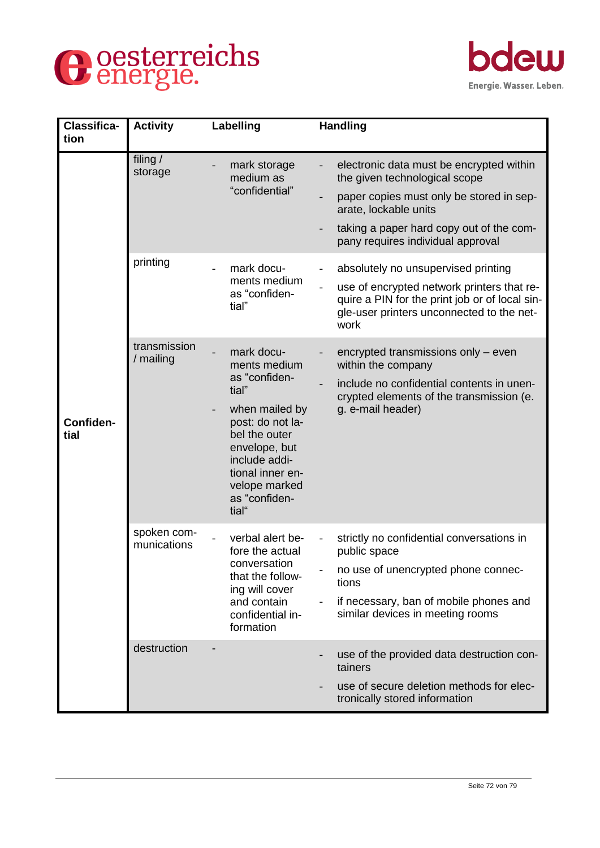



| <b>Classifica-</b><br>tion | <b>Activity</b>            | Labelling                                                                                                                                                                                                    | <b>Handling</b>                                                                                                                                                                          |
|----------------------------|----------------------------|--------------------------------------------------------------------------------------------------------------------------------------------------------------------------------------------------------------|------------------------------------------------------------------------------------------------------------------------------------------------------------------------------------------|
|                            | filing /<br>storage        | mark storage<br>medium as                                                                                                                                                                                    | electronic data must be encrypted within<br>the given technological scope                                                                                                                |
|                            |                            | "confidential"                                                                                                                                                                                               | paper copies must only be stored in sep-<br>arate, lockable units                                                                                                                        |
|                            |                            |                                                                                                                                                                                                              | taking a paper hard copy out of the com-<br>pany requires individual approval                                                                                                            |
|                            | printing                   | mark docu-<br>ments medium<br>as "confiden-<br>tial"                                                                                                                                                         | absolutely no unsupervised printing<br>use of encrypted network printers that re-<br>quire a PIN for the print job or of local sin-<br>gle-user printers unconnected to the net-<br>work |
| Confiden-<br>tial          | transmission<br>/ mailing  | mark docu-<br>ments medium<br>as "confiden-<br>tial"<br>when mailed by<br>post: do not la-<br>bel the outer<br>envelope, but<br>include addi-<br>tional inner en-<br>velope marked<br>as "confiden-<br>tial" | encrypted transmissions only – even<br>within the company<br>include no confidential contents in unen-<br>crypted elements of the transmission (e.<br>g. e-mail header)                  |
|                            | spoken com-<br>munications | verbal alert be-<br>fore the actual<br>conversation<br>that the follow-<br>ing will cover<br>and contain<br>confidential in-<br>formation                                                                    | strictly no confidential conversations in<br>public space<br>no use of unencrypted phone connec-<br>tions<br>if necessary, ban of mobile phones and<br>similar devices in meeting rooms  |
|                            | destruction                |                                                                                                                                                                                                              | use of the provided data destruction con-<br>tainers<br>use of secure deletion methods for elec-<br>tronically stored information                                                        |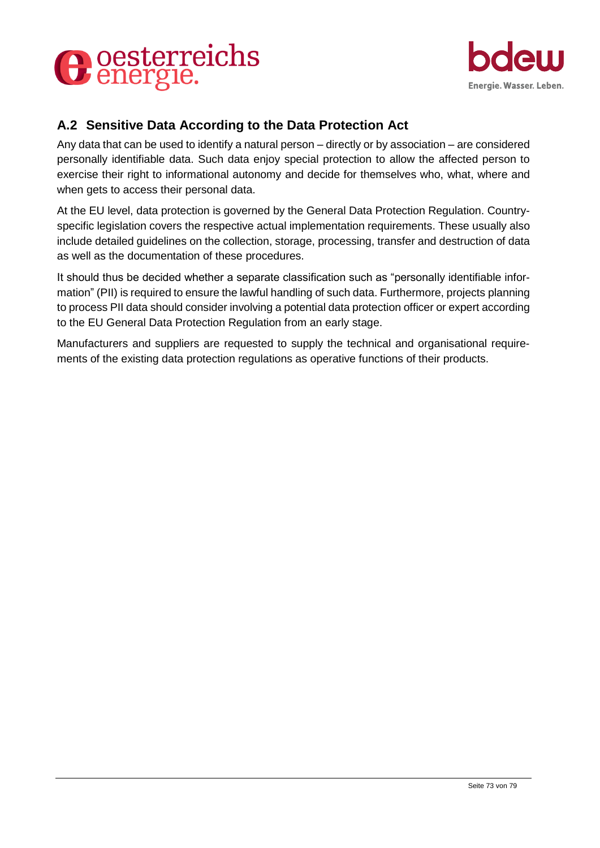



## **A.2 Sensitive Data According to the Data Protection Act**

Any data that can be used to identify a natural person – directly or by association – are considered personally identifiable data. Such data enjoy special protection to allow the affected person to exercise their right to informational autonomy and decide for themselves who, what, where and when gets to access their personal data.

At the EU level, data protection is governed by the General Data Protection Regulation. Countryspecific legislation covers the respective actual implementation requirements. These usually also include detailed guidelines on the collection, storage, processing, transfer and destruction of data as well as the documentation of these procedures.

It should thus be decided whether a separate classification such as "personally identifiable information" (PII) is required to ensure the lawful handling of such data. Furthermore, projects planning to process PII data should consider involving a potential data protection officer or expert according to the EU General Data Protection Regulation from an early stage.

Manufacturers and suppliers are requested to supply the technical and organisational requirements of the existing data protection regulations as operative functions of their products.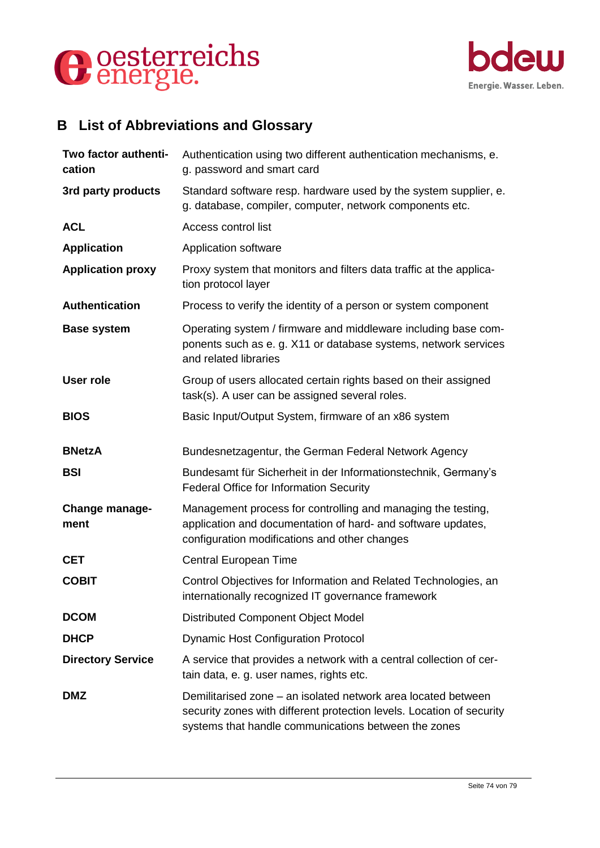



# **B List of Abbreviations and Glossary**

| Two factor authenti-<br>cation | Authentication using two different authentication mechanisms, e.<br>g. password and smart card                                                                                                 |
|--------------------------------|------------------------------------------------------------------------------------------------------------------------------------------------------------------------------------------------|
| 3rd party products             | Standard software resp. hardware used by the system supplier, e.<br>g. database, compiler, computer, network components etc.                                                                   |
| <b>ACL</b>                     | Access control list                                                                                                                                                                            |
| <b>Application</b>             | Application software                                                                                                                                                                           |
| <b>Application proxy</b>       | Proxy system that monitors and filters data traffic at the applica-<br>tion protocol layer                                                                                                     |
| <b>Authentication</b>          | Process to verify the identity of a person or system component                                                                                                                                 |
| <b>Base system</b>             | Operating system / firmware and middleware including base com-<br>ponents such as e. g. X11 or database systems, network services<br>and related libraries                                     |
| <b>User role</b>               | Group of users allocated certain rights based on their assigned<br>task(s). A user can be assigned several roles.                                                                              |
| <b>BIOS</b>                    | Basic Input/Output System, firmware of an x86 system                                                                                                                                           |
| <b>BNetzA</b>                  | Bundesnetzagentur, the German Federal Network Agency                                                                                                                                           |
| <b>BSI</b>                     | Bundesamt für Sicherheit in der Informationstechnik, Germany's<br><b>Federal Office for Information Security</b>                                                                               |
| <b>Change manage-</b><br>ment  | Management process for controlling and managing the testing,<br>application and documentation of hard- and software updates,<br>configuration modifications and other changes                  |
| <b>CET</b>                     | Central European Time                                                                                                                                                                          |
| <b>COBIT</b>                   | Control Objectives for Information and Related Technologies, an<br>internationally recognized IT governance framework                                                                          |
| <b>DCOM</b>                    | Distributed Component Object Model                                                                                                                                                             |
| <b>DHCP</b>                    | <b>Dynamic Host Configuration Protocol</b>                                                                                                                                                     |
| <b>Directory Service</b>       | A service that provides a network with a central collection of cer-<br>tain data, e. g. user names, rights etc.                                                                                |
| <b>DMZ</b>                     | Demilitarised zone – an isolated network area located between<br>security zones with different protection levels. Location of security<br>systems that handle communications between the zones |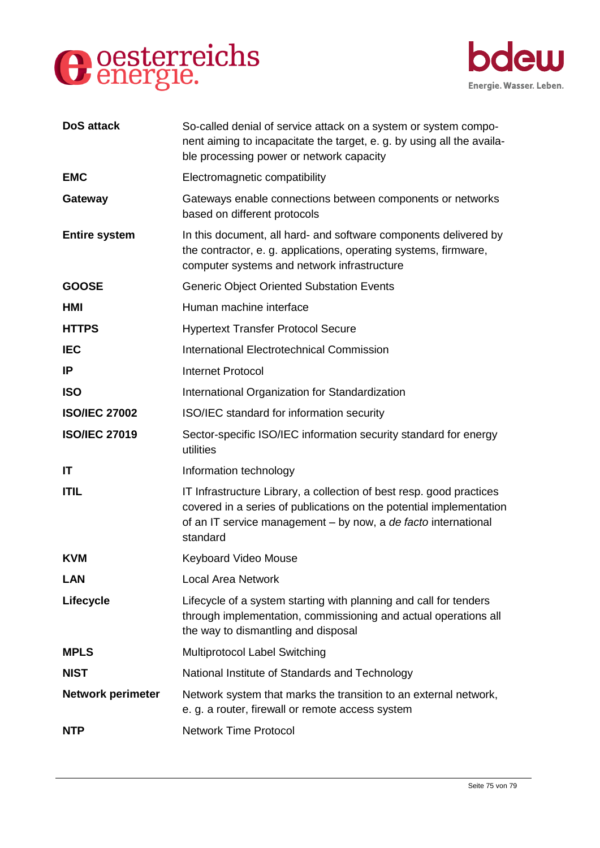



| <b>DoS</b> attack        | So-called denial of service attack on a system or system compo-<br>nent aiming to incapacitate the target, e. g. by using all the availa-<br>ble processing power or network capacity                                     |
|--------------------------|---------------------------------------------------------------------------------------------------------------------------------------------------------------------------------------------------------------------------|
| <b>EMC</b>               | Electromagnetic compatibility                                                                                                                                                                                             |
| Gateway                  | Gateways enable connections between components or networks<br>based on different protocols                                                                                                                                |
| <b>Entire system</b>     | In this document, all hard- and software components delivered by<br>the contractor, e. g. applications, operating systems, firmware,<br>computer systems and network infrastructure                                       |
| <b>GOOSE</b>             | <b>Generic Object Oriented Substation Events</b>                                                                                                                                                                          |
| HMI                      | Human machine interface                                                                                                                                                                                                   |
| <b>HTTPS</b>             | <b>Hypertext Transfer Protocol Secure</b>                                                                                                                                                                                 |
| <b>IEC</b>               | International Electrotechnical Commission                                                                                                                                                                                 |
| IP                       | <b>Internet Protocol</b>                                                                                                                                                                                                  |
| <b>ISO</b>               | International Organization for Standardization                                                                                                                                                                            |
| <b>ISO/IEC 27002</b>     | ISO/IEC standard for information security                                                                                                                                                                                 |
| <b>ISO/IEC 27019</b>     | Sector-specific ISO/IEC information security standard for energy<br>utilities                                                                                                                                             |
| IT                       | Information technology                                                                                                                                                                                                    |
| <b>ITIL</b>              | IT Infrastructure Library, a collection of best resp. good practices<br>covered in a series of publications on the potential implementation<br>of an IT service management - by now, a de facto international<br>standard |
| <b>KVM</b>               | <b>Keyboard Video Mouse</b>                                                                                                                                                                                               |
| <b>LAN</b>               | <b>Local Area Network</b>                                                                                                                                                                                                 |
| Lifecycle                | Lifecycle of a system starting with planning and call for tenders<br>through implementation, commissioning and actual operations all<br>the way to dismantling and disposal                                               |
| <b>MPLS</b>              | Multiprotocol Label Switching                                                                                                                                                                                             |
| <b>NIST</b>              | National Institute of Standards and Technology                                                                                                                                                                            |
| <b>Network perimeter</b> | Network system that marks the transition to an external network,<br>e. g. a router, firewall or remote access system                                                                                                      |
| <b>NTP</b>               | <b>Network Time Protocol</b>                                                                                                                                                                                              |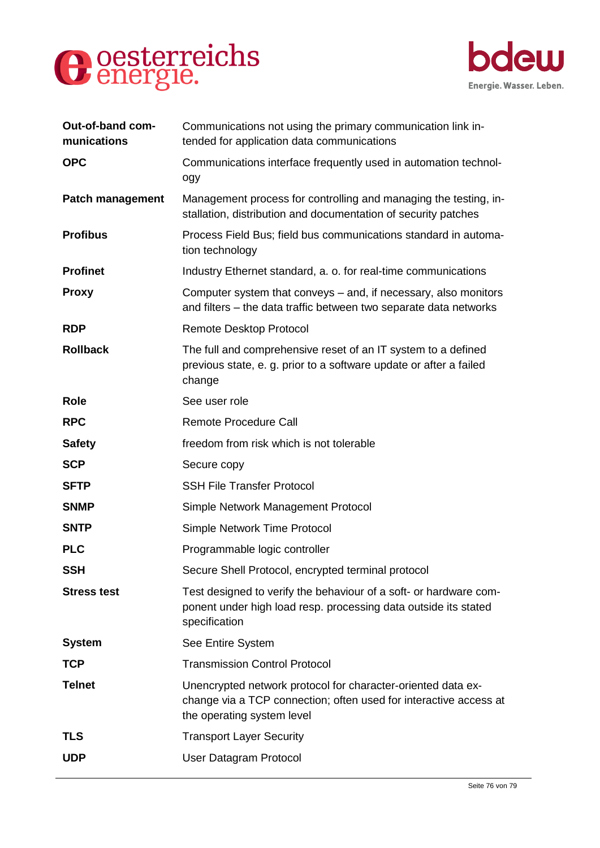



| Out-of-band com-<br>munications | Communications not using the primary communication link in-<br>tended for application data communications                                                       |
|---------------------------------|-----------------------------------------------------------------------------------------------------------------------------------------------------------------|
| <b>OPC</b>                      | Communications interface frequently used in automation technol-<br>ogy                                                                                          |
| <b>Patch management</b>         | Management process for controlling and managing the testing, in-<br>stallation, distribution and documentation of security patches                              |
| <b>Profibus</b>                 | Process Field Bus; field bus communications standard in automa-<br>tion technology                                                                              |
| <b>Profinet</b>                 | Industry Ethernet standard, a. o. for real-time communications                                                                                                  |
| <b>Proxy</b>                    | Computer system that conveys – and, if necessary, also monitors<br>and filters – the data traffic between two separate data networks                            |
| <b>RDP</b>                      | <b>Remote Desktop Protocol</b>                                                                                                                                  |
| <b>Rollback</b>                 | The full and comprehensive reset of an IT system to a defined<br>previous state, e. g. prior to a software update or after a failed<br>change                   |
| <b>Role</b>                     | See user role                                                                                                                                                   |
| <b>RPC</b>                      | <b>Remote Procedure Call</b>                                                                                                                                    |
| <b>Safety</b>                   | freedom from risk which is not tolerable                                                                                                                        |
| <b>SCP</b>                      | Secure copy                                                                                                                                                     |
| <b>SFTP</b>                     | <b>SSH File Transfer Protocol</b>                                                                                                                               |
| <b>SNMP</b>                     | Simple Network Management Protocol                                                                                                                              |
| <b>SNTP</b>                     | Simple Network Time Protocol                                                                                                                                    |
| <b>PLC</b>                      | Programmable logic controller                                                                                                                                   |
| <b>SSH</b>                      | Secure Shell Protocol, encrypted terminal protocol                                                                                                              |
| <b>Stress test</b>              | Test designed to verify the behaviour of a soft- or hardware com-<br>ponent under high load resp. processing data outside its stated<br>specification           |
| <b>System</b>                   | See Entire System                                                                                                                                               |
| <b>TCP</b>                      | <b>Transmission Control Protocol</b>                                                                                                                            |
| <b>Telnet</b>                   | Unencrypted network protocol for character-oriented data ex-<br>change via a TCP connection; often used for interactive access at<br>the operating system level |
| <b>TLS</b>                      | <b>Transport Layer Security</b>                                                                                                                                 |
| <b>UDP</b>                      | User Datagram Protocol                                                                                                                                          |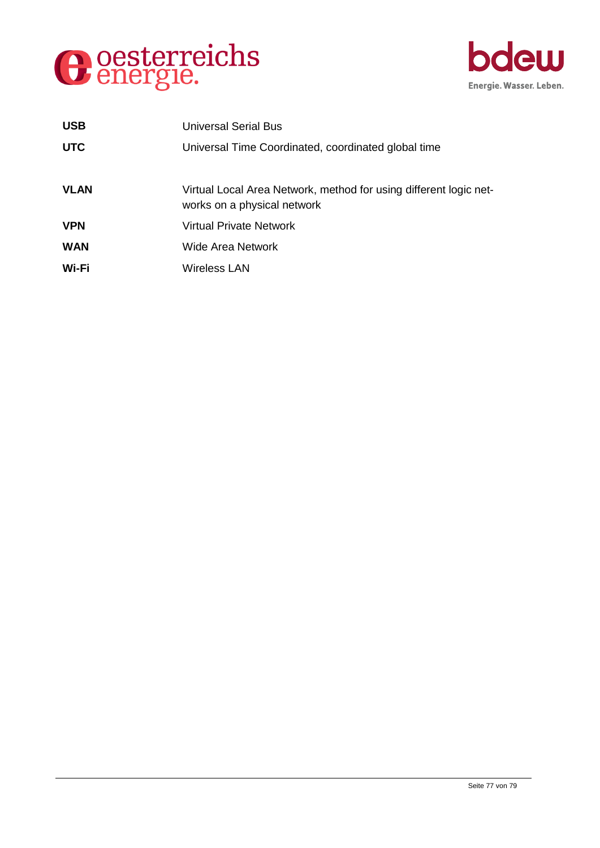



| <b>USB</b>  | Universal Serial Bus                                                                             |
|-------------|--------------------------------------------------------------------------------------------------|
| <b>UTC</b>  | Universal Time Coordinated, coordinated global time                                              |
| <b>VLAN</b> | Virtual Local Area Network, method for using different logic net-<br>works on a physical network |
| <b>VPN</b>  | <b>Virtual Private Network</b>                                                                   |
| <b>WAN</b>  | Wide Area Network                                                                                |
| Wi-Fi       | <b>Wireless LAN</b>                                                                              |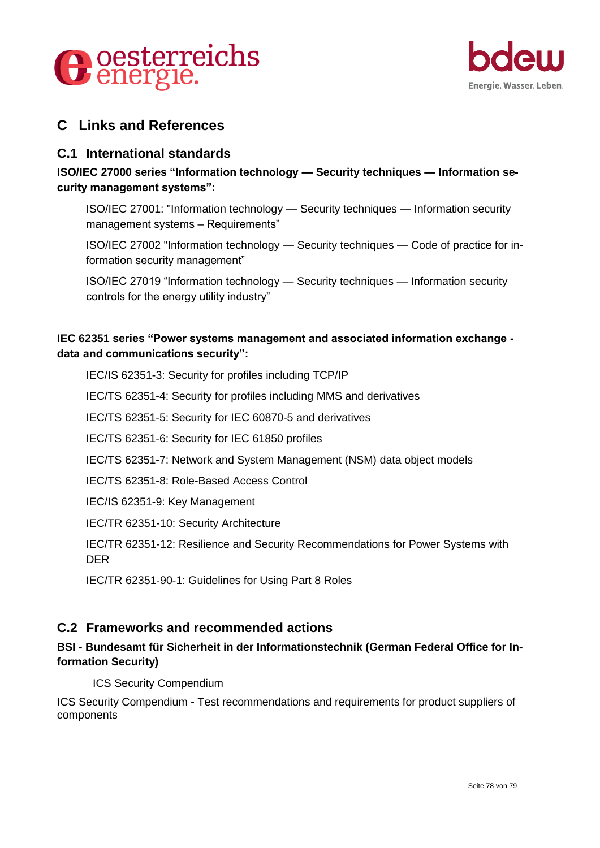



## **C Links and References**

### **C.1 International standards**

**ISO/IEC 27000 series "Information technology — Security techniques — Information security management systems":**

ISO/IEC 27001: "Information technology — Security techniques — Information security management systems – Requirements"

ISO/IEC 27002 "Information technology — Security techniques — Code of practice for information security management"

ISO/IEC 27019 "Information technology — Security techniques — Information security controls for the energy utility industry"

#### **IEC 62351 series "Power systems management and associated information exchange data and communications security":**

IEC/IS 62351-3: Security for profiles including TCP/IP

IEC/TS 62351-4: Security for profiles including MMS and derivatives

IEC/TS 62351-5: Security for IEC 60870-5 and derivatives

IEC/TS 62351-6: Security for IEC 61850 profiles

IEC/TS 62351-7: Network and System Management (NSM) data object models

IEC/TS 62351-8: Role-Based Access Control

IEC/IS 62351-9: Key Management

IEC/TR 62351-10: Security Architecture

IEC/TR 62351-12: Resilience and Security Recommendations for Power Systems with DER

IEC/TR 62351-90-1: Guidelines for Using Part 8 Roles

## **C.2 Frameworks and recommended actions**

#### **BSI - Bundesamt für Sicherheit in der Informationstechnik (German Federal Office for Information Security)**

ICS Security Compendium

ICS Security Compendium - Test recommendations and requirements for product suppliers of components